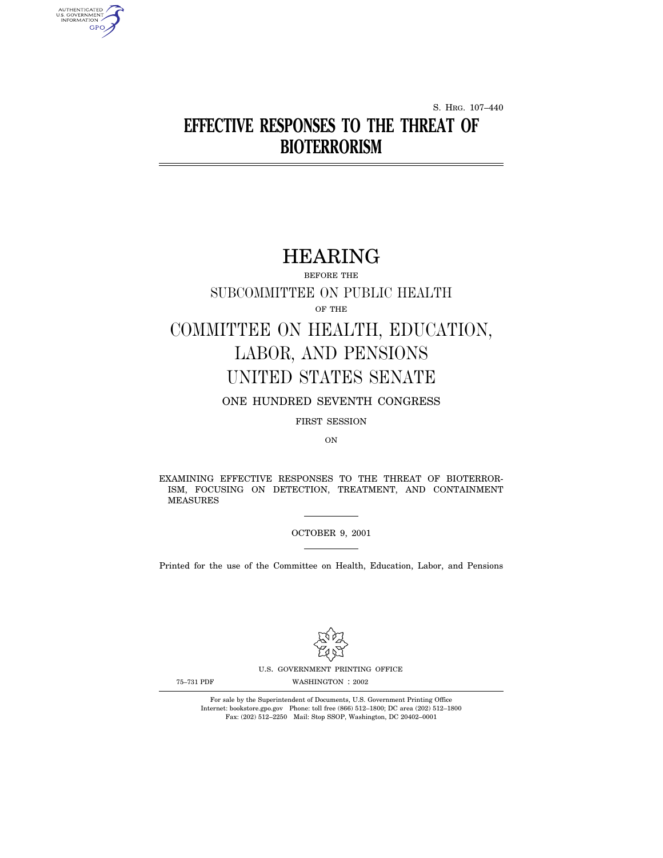S. HRG. 107–440

# **EFFECTIVE RESPONSES TO THE THREAT OF BIOTERRORISM**

# HEARING

BEFORE THE

SUBCOMMITTEE ON PUBLIC HEALTH OF THE

COMMITTEE ON HEALTH, EDUCATION,

# LABOR, AND PENSIONS UNITED STATES SENATE

ONE HUNDRED SEVENTH CONGRESS

FIRST SESSION

ON

EXAMINING EFFECTIVE RESPONSES TO THE THREAT OF BIOTERROR-ISM, FOCUSING ON DETECTION, TREATMENT, AND CONTAINMENT MEASURES

OCTOBER 9, 2001

Printed for the use of the Committee on Health, Education, Labor, and Pensions



AUTHENTICATED<br>U.S. GOVERNMENT<br>INFORMATION **GPO** 

75-731 PDF WASHINGTON : 2002

For sale by the Superintendent of Documents, U.S. Government Printing Office Internet: bookstore.gpo.gov Phone: toll free (866) 512–1800; DC area (202) 512–1800 Fax: (202) 512–2250 Mail: Stop SSOP, Washington, DC 20402–0001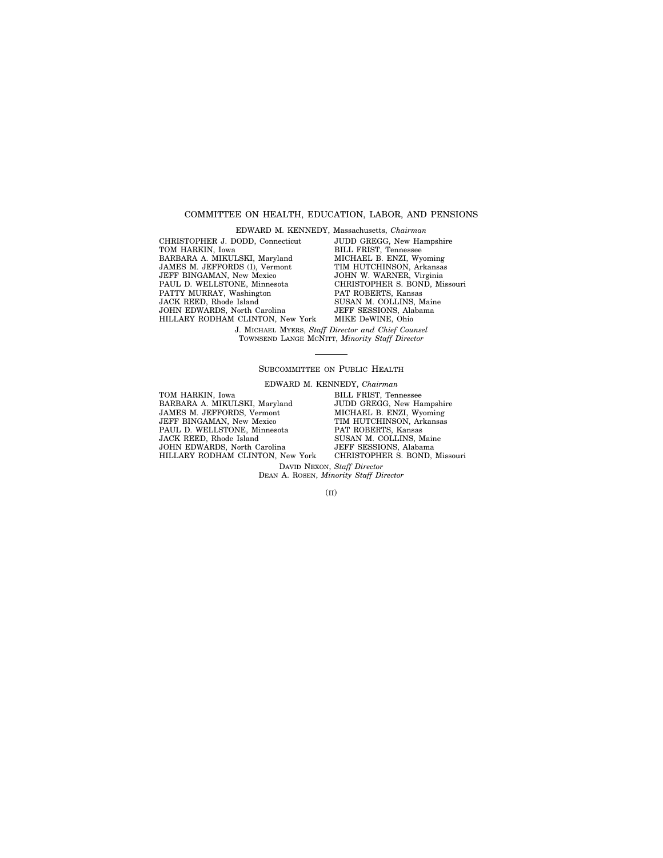# COMMITTEE ON HEALTH, EDUCATION, LABOR, AND PENSIONS

EDWARD M. KENNEDY, Massachusetts, *Chairman*

CHRISTOPHER J. DODD, Connecticut TOM HARKIN, Iowa BARBARA A. MIKULSKI, Maryland JAMES M. JEFFORDS (I), Vermont JEFF BINGAMAN, New Mexico PAUL D. WELLSTONE, Minnesota PATTY MURRAY, Washington JACK REED, Rhode Island JOHN EDWARDS, North Carolina HILLARY RODHAM CLINTON, New York

JUDD GREGG, New Hampshire BILL FRIST, Tennessee MICHAEL B. ENZI, Wyoming TIM HUTCHINSON, Arkansas JOHN W. WARNER, Virginia CHRISTOPHER S. BOND, Missouri PAT ROBERTS, Kansas SUSAN M. COLLINS, Maine JEFF SESSIONS, Alabama MIKE DeWINE, Ohio

J. MICHAEL MYERS, *Staff Director and Chief Counsel* TOWNSEND LANGE MCNITT, *Minority Staff Director*

### SUBCOMMITTEE ON PUBLIC HEALTH

EDWARD M. KENNEDY, *Chairman*

TOM HARKIN, Iowa BARBARA A. MIKULSKI, Maryland JAMES M. JEFFORDS, Vermont JEFF BINGAMAN, New Mexico PAUL D. WELLSTONE, Minnesota JACK REED, Rhode Island JOHN EDWARDS, North Carolina HILLARY RODHAM CLINTON, New York

BILL FRIST, Tennessee JUDD GREGG, New Hampshire MICHAEL B. ENZI, Wyoming TIM HUTCHINSON, Arkansas PAT ROBERTS, Kansas SUSAN M. COLLINS, Maine JEFF SESSIONS, Alabama CHRISTOPHER S. BOND, Missouri DAVID NEXON, *Staff Director*

DEAN A. ROSEN, *Minority Staff Director*

(II)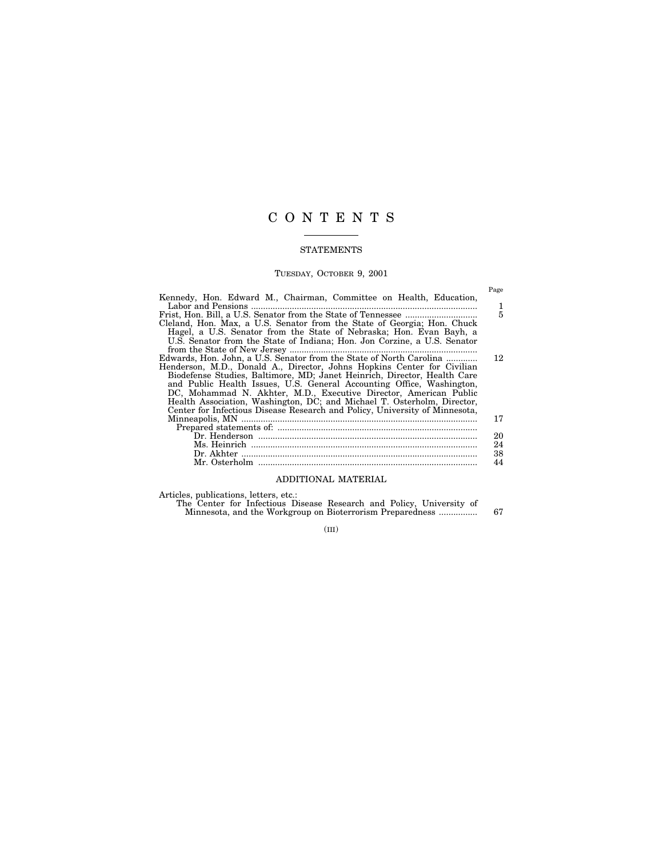# CONTENTS

# STATEMENTS

# TUESDAY, OCTOBER 9, 2001

| Kennedy, Hon. Edward M., Chairman, Committee on Health, Education,          | Page |
|-----------------------------------------------------------------------------|------|
|                                                                             | 1    |
|                                                                             | 5    |
| Cleland, Hon. Max, a U.S. Senator from the State of Georgia; Hon. Chuck     |      |
| Hagel, a U.S. Senator from the State of Nebraska; Hon. Evan Bayh, a         |      |
| U.S. Senator from the State of Indiana; Hon. Jon Corzine, a U.S. Senator    |      |
|                                                                             |      |
| Edwards, Hon. John, a U.S. Senator from the State of North Carolina         | 12   |
| Henderson, M.D., Donald A., Director, Johns Hopkins Center for Civilian     |      |
| Biodefense Studies, Baltimore, MD; Janet Heinrich, Director, Health Care    |      |
| and Public Health Issues, U.S. General Accounting Office, Washington,       |      |
| DC, Mohammad N. Akhter, M.D., Executive Director, American Public           |      |
| Health Association, Washington, DC; and Michael T. Osterholm, Director,     |      |
| Center for Infectious Disease Research and Policy, University of Minnesota, |      |
|                                                                             | 17   |
|                                                                             |      |
|                                                                             | 20   |
|                                                                             | 24   |
|                                                                             | 38   |
|                                                                             | 44   |

# ADDITIONAL MATERIAL

| Articles, publications, letters, etc.:                               |  |
|----------------------------------------------------------------------|--|
| The Center for Infectious Disease Research and Policy, University of |  |
| Minnesota, and the Workgroup on Bioterrorism Preparedness            |  |

(III)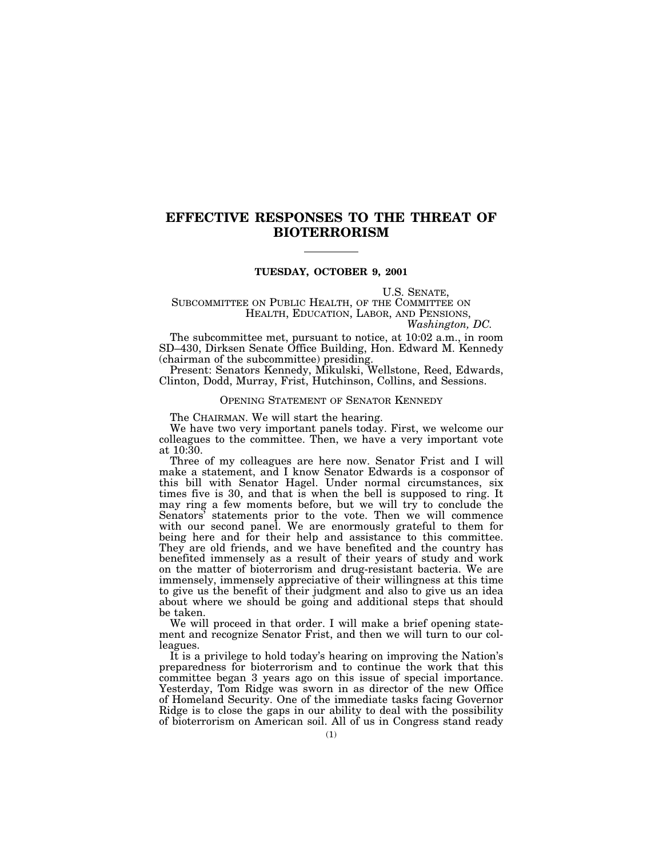# **EFFECTIVE RESPONSES TO THE THREAT OF BIOTERRORISM**

# **TUESDAY, OCTOBER 9, 2001**

U.S. SENATE,

SUBCOMMITTEE ON PUBLIC HEALTH, OF THE COMMITTEE ON HEALTH, EDUCATION, LABOR, AND PENSIONS,

*Washington, DC.*

The subcommittee met, pursuant to notice, at 10:02 a.m., in room SD–430, Dirksen Senate Office Building, Hon. Edward M. Kennedy (chairman of the subcommittee) presiding.

Present: Senators Kennedy, Mikulski, Wellstone, Reed, Edwards, Clinton, Dodd, Murray, Frist, Hutchinson, Collins, and Sessions.

## OPENING STATEMENT OF SENATOR KENNEDY

The CHAIRMAN. We will start the hearing.

We have two very important panels today. First, we welcome our colleagues to the committee. Then, we have a very important vote at 10:30.

Three of my colleagues are here now. Senator Frist and I will make a statement, and I know Senator Edwards is a cosponsor of this bill with Senator Hagel. Under normal circumstances, six times five is 30, and that is when the bell is supposed to ring. It may ring a few moments before, but we will try to conclude the Senators' statements prior to the vote. Then we will commence with our second panel. We are enormously grateful to them for being here and for their help and assistance to this committee. They are old friends, and we have benefited and the country has benefited immensely as a result of their years of study and work on the matter of bioterrorism and drug-resistant bacteria. We are immensely, immensely appreciative of their willingness at this time to give us the benefit of their judgment and also to give us an idea about where we should be going and additional steps that should be taken.

We will proceed in that order. I will make a brief opening statement and recognize Senator Frist, and then we will turn to our colleagues.

It is a privilege to hold today's hearing on improving the Nation's preparedness for bioterrorism and to continue the work that this committee began 3 years ago on this issue of special importance. Yesterday, Tom Ridge was sworn in as director of the new Office of Homeland Security. One of the immediate tasks facing Governor Ridge is to close the gaps in our ability to deal with the possibility of bioterrorism on American soil. All of us in Congress stand ready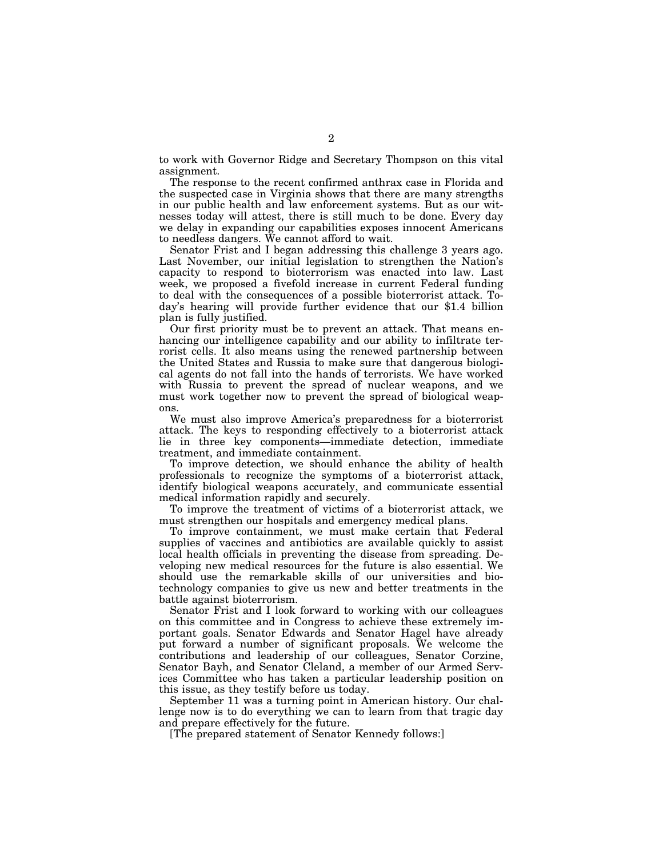to work with Governor Ridge and Secretary Thompson on this vital assignment.

The response to the recent confirmed anthrax case in Florida and the suspected case in Virginia shows that there are many strengths in our public health and law enforcement systems. But as our witnesses today will attest, there is still much to be done. Every day we delay in expanding our capabilities exposes innocent Americans to needless dangers. We cannot afford to wait.

Senator Frist and I began addressing this challenge 3 years ago. Last November, our initial legislation to strengthen the Nation's capacity to respond to bioterrorism was enacted into law. Last week, we proposed a fivefold increase in current Federal funding to deal with the consequences of a possible bioterrorist attack. Today's hearing will provide further evidence that our \$1.4 billion plan is fully justified.

Our first priority must be to prevent an attack. That means enhancing our intelligence capability and our ability to infiltrate terrorist cells. It also means using the renewed partnership between the United States and Russia to make sure that dangerous biological agents do not fall into the hands of terrorists. We have worked with Russia to prevent the spread of nuclear weapons, and we must work together now to prevent the spread of biological weapons.

We must also improve America's preparedness for a bioterrorist attack. The keys to responding effectively to a bioterrorist attack lie in three key components—immediate detection, immediate treatment, and immediate containment.

To improve detection, we should enhance the ability of health professionals to recognize the symptoms of a bioterrorist attack, identify biological weapons accurately, and communicate essential medical information rapidly and securely.

To improve the treatment of victims of a bioterrorist attack, we must strengthen our hospitals and emergency medical plans.

To improve containment, we must make certain that Federal supplies of vaccines and antibiotics are available quickly to assist local health officials in preventing the disease from spreading. Developing new medical resources for the future is also essential. We should use the remarkable skills of our universities and biotechnology companies to give us new and better treatments in the battle against bioterrorism.

Senator Frist and I look forward to working with our colleagues on this committee and in Congress to achieve these extremely important goals. Senator Edwards and Senator Hagel have already put forward a number of significant proposals. We welcome the contributions and leadership of our colleagues, Senator Corzine, Senator Bayh, and Senator Cleland, a member of our Armed Services Committee who has taken a particular leadership position on this issue, as they testify before us today.

September 11 was a turning point in American history. Our challenge now is to do everything we can to learn from that tragic day and prepare effectively for the future.

[The prepared statement of Senator Kennedy follows:]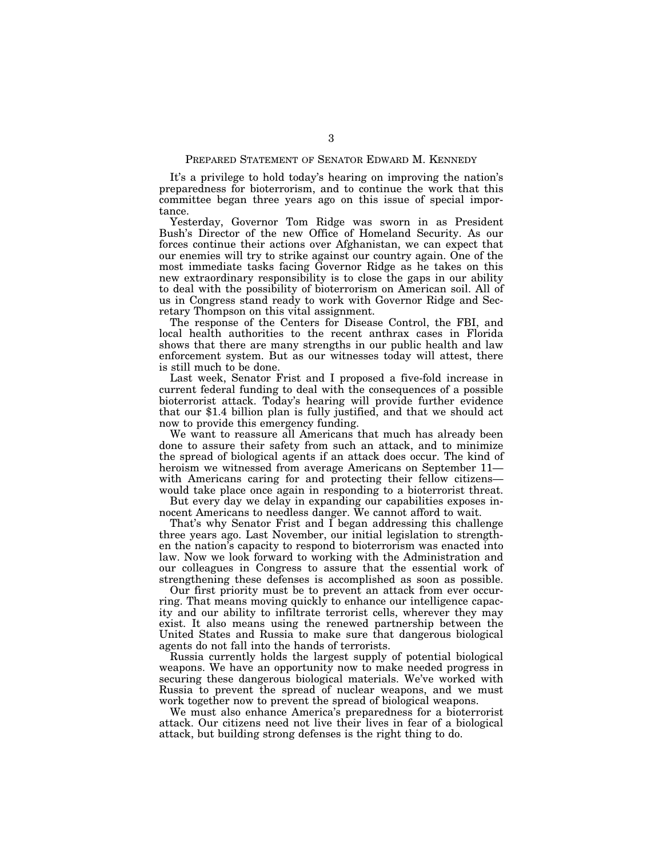# PREPARED STATEMENT OF SENATOR EDWARD M. KENNEDY

It's a privilege to hold today's hearing on improving the nation's preparedness for bioterrorism, and to continue the work that this committee began three years ago on this issue of special importance.

Yesterday, Governor Tom Ridge was sworn in as President Bush's Director of the new Office of Homeland Security. As our forces continue their actions over Afghanistan, we can expect that our enemies will try to strike against our country again. One of the most immediate tasks facing Governor Ridge as he takes on this new extraordinary responsibility is to close the gaps in our ability to deal with the possibility of bioterrorism on American soil. All of us in Congress stand ready to work with Governor Ridge and Secretary Thompson on this vital assignment.

The response of the Centers for Disease Control, the FBI, and local health authorities to the recent anthrax cases in Florida shows that there are many strengths in our public health and law enforcement system. But as our witnesses today will attest, there is still much to be done.

Last week, Senator Frist and I proposed a five-fold increase in current federal funding to deal with the consequences of a possible bioterrorist attack. Today's hearing will provide further evidence that our \$1.4 billion plan is fully justified, and that we should act now to provide this emergency funding.

We want to reassure all Americans that much has already been done to assure their safety from such an attack, and to minimize the spread of biological agents if an attack does occur. The kind of heroism we witnessed from average Americans on September 11 with Americans caring for and protecting their fellow citizens would take place once again in responding to a bioterrorist threat.

But every day we delay in expanding our capabilities exposes innocent Americans to needless danger. We cannot afford to wait.

That's why Senator Frist and I began addressing this challenge three years ago. Last November, our initial legislation to strengthen the nation's capacity to respond to bioterrorism was enacted into law. Now we look forward to working with the Administration and our colleagues in Congress to assure that the essential work of strengthening these defenses is accomplished as soon as possible.

Our first priority must be to prevent an attack from ever occurring. That means moving quickly to enhance our intelligence capacity and our ability to infiltrate terrorist cells, wherever they may exist. It also means using the renewed partnership between the United States and Russia to make sure that dangerous biological agents do not fall into the hands of terrorists.

Russia currently holds the largest supply of potential biological weapons. We have an opportunity now to make needed progress in securing these dangerous biological materials. We've worked with Russia to prevent the spread of nuclear weapons, and we must work together now to prevent the spread of biological weapons.

We must also enhance America's preparedness for a bioterrorist attack. Our citizens need not live their lives in fear of a biological attack, but building strong defenses is the right thing to do.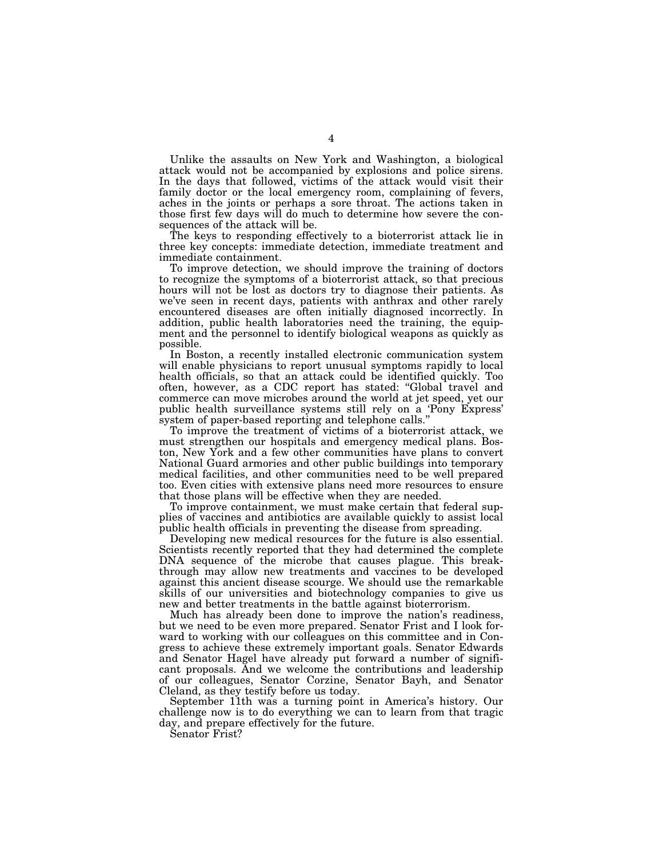Unlike the assaults on New York and Washington, a biological attack would not be accompanied by explosions and police sirens. In the days that followed, victims of the attack would visit their family doctor or the local emergency room, complaining of fevers, aches in the joints or perhaps a sore throat. The actions taken in those first few days will do much to determine how severe the consequences of the attack will be.

The keys to responding effectively to a bioterrorist attack lie in three key concepts: immediate detection, immediate treatment and immediate containment.

To improve detection, we should improve the training of doctors to recognize the symptoms of a bioterrorist attack, so that precious hours will not be lost as doctors try to diagnose their patients. As we've seen in recent days, patients with anthrax and other rarely encountered diseases are often initially diagnosed incorrectly. In addition, public health laboratories need the training, the equipment and the personnel to identify biological weapons as quickly as possible.

In Boston, a recently installed electronic communication system will enable physicians to report unusual symptoms rapidly to local health officials, so that an attack could be identified quickly. Too often, however, as a CDC report has stated: ''Global travel and commerce can move microbes around the world at jet speed, yet our public health surveillance systems still rely on a 'Pony Express' system of paper-based reporting and telephone calls.'' To improve the treatment of victims of a bioterrorist attack, we

must strengthen our hospitals and emergency medical plans. Boston, New York and a few other communities have plans to convert National Guard armories and other public buildings into temporary medical facilities, and other communities need to be well prepared too. Even cities with extensive plans need more resources to ensure that those plans will be effective when they are needed.

To improve containment, we must make certain that federal supplies of vaccines and antibiotics are available quickly to assist local public health officials in preventing the disease from spreading.

Developing new medical resources for the future is also essential. Scientists recently reported that they had determined the complete DNA sequence of the microbe that causes plague. This breakthrough may allow new treatments and vaccines to be developed against this ancient disease scourge. We should use the remarkable skills of our universities and biotechnology companies to give us new and better treatments in the battle against bioterrorism.

Much has already been done to improve the nation's readiness, but we need to be even more prepared. Senator Frist and I look forward to working with our colleagues on this committee and in Congress to achieve these extremely important goals. Senator Edwards and Senator Hagel have already put forward a number of significant proposals. And we welcome the contributions and leadership of our colleagues, Senator Corzine, Senator Bayh, and Senator Cleland, as they testify before us today.

September 11th was a turning point in America's history. Our challenge now is to do everything we can to learn from that tragic day, and prepare effectively for the future.

Senator Frist?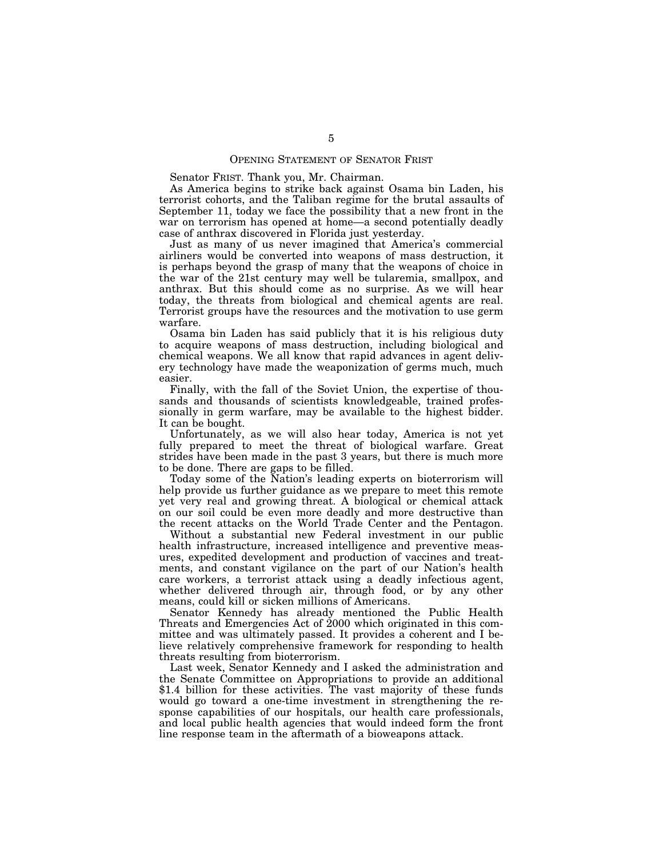## OPENING STATEMENT OF SENATOR FRIST

Senator FRIST. Thank you, Mr. Chairman.

As America begins to strike back against Osama bin Laden, his terrorist cohorts, and the Taliban regime for the brutal assaults of September 11, today we face the possibility that a new front in the war on terrorism has opened at home—a second potentially deadly case of anthrax discovered in Florida just yesterday.

Just as many of us never imagined that America's commercial airliners would be converted into weapons of mass destruction, it is perhaps beyond the grasp of many that the weapons of choice in the war of the 21st century may well be tularemia, smallpox, and anthrax. But this should come as no surprise. As we will hear today, the threats from biological and chemical agents are real. Terrorist groups have the resources and the motivation to use germ warfare.

Osama bin Laden has said publicly that it is his religious duty to acquire weapons of mass destruction, including biological and chemical weapons. We all know that rapid advances in agent delivery technology have made the weaponization of germs much, much easier.

Finally, with the fall of the Soviet Union, the expertise of thousands and thousands of scientists knowledgeable, trained professionally in germ warfare, may be available to the highest bidder. It can be bought.

Unfortunately, as we will also hear today, America is not yet fully prepared to meet the threat of biological warfare. Great strides have been made in the past 3 years, but there is much more to be done. There are gaps to be filled.

Today some of the Nation's leading experts on bioterrorism will help provide us further guidance as we prepare to meet this remote yet very real and growing threat. A biological or chemical attack on our soil could be even more deadly and more destructive than the recent attacks on the World Trade Center and the Pentagon.

Without a substantial new Federal investment in our public health infrastructure, increased intelligence and preventive measures, expedited development and production of vaccines and treatments, and constant vigilance on the part of our Nation's health care workers, a terrorist attack using a deadly infectious agent, whether delivered through air, through food, or by any other means, could kill or sicken millions of Americans.

Senator Kennedy has already mentioned the Public Health Threats and Emergencies Act of 2000 which originated in this committee and was ultimately passed. It provides a coherent and I believe relatively comprehensive framework for responding to health threats resulting from bioterrorism.

Last week, Senator Kennedy and I asked the administration and the Senate Committee on Appropriations to provide an additional \$1.4 billion for these activities. The vast majority of these funds would go toward a one-time investment in strengthening the response capabilities of our hospitals, our health care professionals, and local public health agencies that would indeed form the front line response team in the aftermath of a bioweapons attack.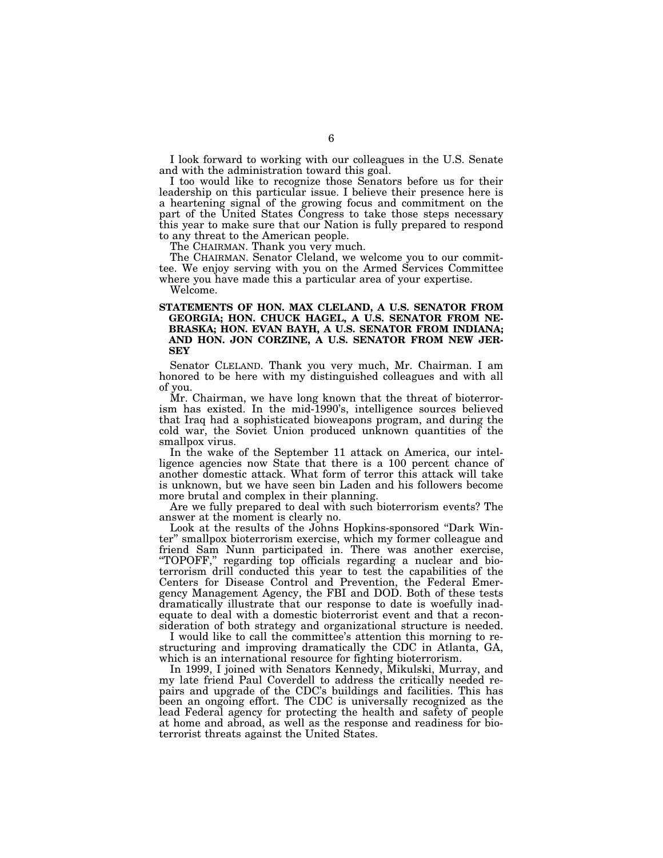I look forward to working with our colleagues in the U.S. Senate and with the administration toward this goal.

I too would like to recognize those Senators before us for their leadership on this particular issue. I believe their presence here is a heartening signal of the growing focus and commitment on the part of the United States Congress to take those steps necessary this year to make sure that our Nation is fully prepared to respond to any threat to the American people.

The CHAIRMAN. Thank you very much.

The CHAIRMAN. Senator Cleland, we welcome you to our committee. We enjoy serving with you on the Armed Services Committee where you have made this a particular area of your expertise.

Welcome.

# **STATEMENTS OF HON. MAX CLELAND, A U.S. SENATOR FROM GEORGIA; HON. CHUCK HAGEL, A U.S. SENATOR FROM NE-BRASKA; HON. EVAN BAYH, A U.S. SENATOR FROM INDIANA; AND HON. JON CORZINE, A U.S. SENATOR FROM NEW JER-SEY**

Senator CLELAND. Thank you very much, Mr. Chairman. I am honored to be here with my distinguished colleagues and with all of you.

Mr. Chairman, we have long known that the threat of bioterrorism has existed. In the mid-1990's, intelligence sources believed that Iraq had a sophisticated bioweapons program, and during the cold war, the Soviet Union produced unknown quantities of the smallpox virus.

In the wake of the September 11 attack on America, our intelligence agencies now State that there is a 100 percent chance of another domestic attack. What form of terror this attack will take is unknown, but we have seen bin Laden and his followers become more brutal and complex in their planning.

Are we fully prepared to deal with such bioterrorism events? The answer at the moment is clearly no.

Look at the results of the Johns Hopkins-sponsored ''Dark Winter'' smallpox bioterrorism exercise, which my former colleague and friend Sam Nunn participated in. There was another exercise, ''TOPOFF,'' regarding top officials regarding a nuclear and bioterrorism drill conducted this year to test the capabilities of the Centers for Disease Control and Prevention, the Federal Emergency Management Agency, the FBI and DOD. Both of these tests dramatically illustrate that our response to date is woefully inadequate to deal with a domestic bioterrorist event and that a reconsideration of both strategy and organizational structure is needed.

I would like to call the committee's attention this morning to restructuring and improving dramatically the CDC in Atlanta, GA, which is an international resource for fighting bioterrorism.

In 1999, I joined with Senators Kennedy, Mikulski, Murray, and my late friend Paul Coverdell to address the critically needed repairs and upgrade of the CDC's buildings and facilities. This has been an ongoing effort. The CDC is universally recognized as the lead Federal agency for protecting the health and safety of people at home and abroad, as well as the response and readiness for bioterrorist threats against the United States.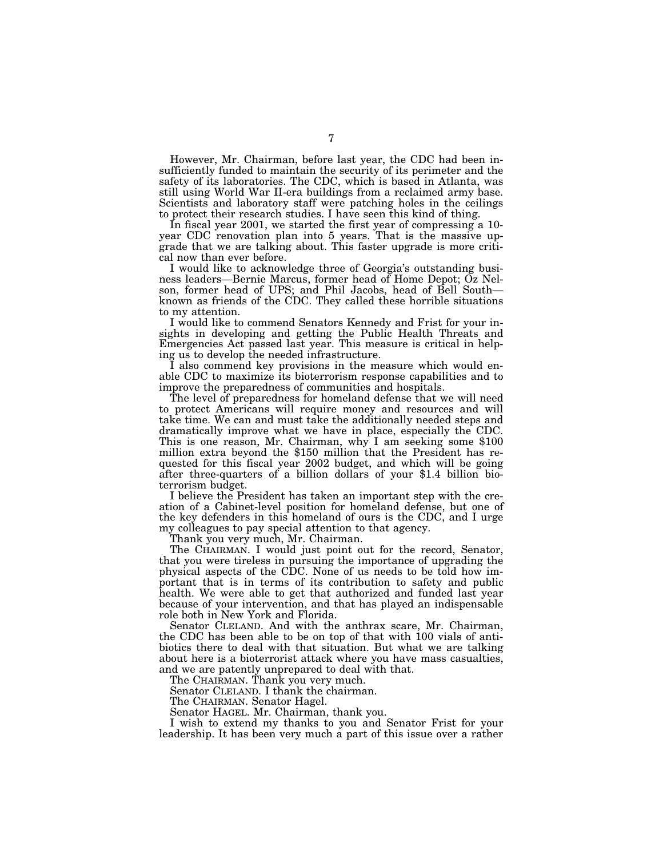However, Mr. Chairman, before last year, the CDC had been insufficiently funded to maintain the security of its perimeter and the safety of its laboratories. The CDC, which is based in Atlanta, was still using World War II-era buildings from a reclaimed army base. Scientists and laboratory staff were patching holes in the ceilings to protect their research studies. I have seen this kind of thing.

In fiscal year 2001, we started the first year of compressing a 10 year CDC renovation plan into 5 years. That is the massive upgrade that we are talking about. This faster upgrade is more critical now than ever before.

I would like to acknowledge three of Georgia's outstanding business leaders—Bernie Marcus, former head of Home Depot; Oz Nelknown as friends of the CDC. They called these horrible situations to my attention.

I would like to commend Senators Kennedy and Frist for your insights in developing and getting the Public Health Threats and Emergencies Act passed last year. This measure is critical in helping us to develop the needed infrastructure.

I also commend key provisions in the measure which would enable CDC to maximize its bioterrorism response capabilities and to improve the preparedness of communities and hospitals.

The level of preparedness for homeland defense that we will need to protect Americans will require money and resources and will take time. We can and must take the additionally needed steps and dramatically improve what we have in place, especially the CDC. This is one reason, Mr. Chairman, why I am seeking some \$100 million extra beyond the \$150 million that the President has requested for this fiscal year 2002 budget, and which will be going after three-quarters of a billion dollars of your \$1.4 billion bioterrorism budget.

I believe the President has taken an important step with the creation of a Cabinet-level position for homeland defense, but one of the key defenders in this homeland of ours is the CDC, and I urge my colleagues to pay special attention to that agency.

Thank you very much, Mr. Chairman.

The CHAIRMAN. I would just point out for the record, Senator, that you were tireless in pursuing the importance of upgrading the physical aspects of the CDC. None of us needs to be told how important that is in terms of its contribution to safety and public health. We were able to get that authorized and funded last year because of your intervention, and that has played an indispensable role both in New York and Florida.

Senator CLELAND. And with the anthrax scare, Mr. Chairman, the CDC has been able to be on top of that with 100 vials of antibiotics there to deal with that situation. But what we are talking about here is a bioterrorist attack where you have mass casualties, and we are patently unprepared to deal with that.

The CHAIRMAN. Thank you very much.

Senator CLELAND. I thank the chairman.

The CHAIRMAN. Senator Hagel.

Senator HAGEL. Mr. Chairman, thank you.

I wish to extend my thanks to you and Senator Frist for your leadership. It has been very much a part of this issue over a rather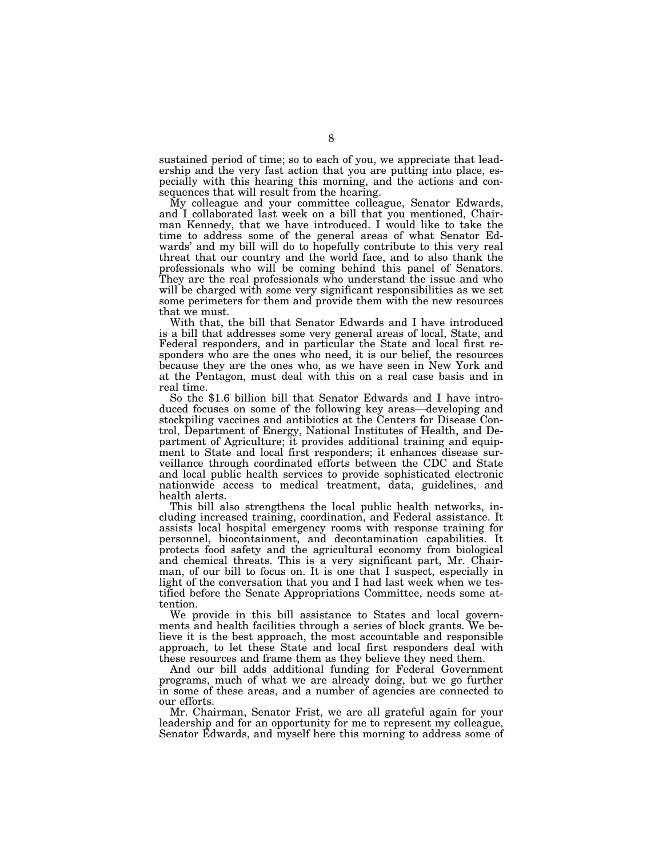sustained period of time; so to each of you, we appreciate that leadership and the very fast action that you are putting into place, especially with this hearing this morning, and the actions and consequences that will result from the hearing.

My colleague and your committee colleague, Senator Edwards, and I collaborated last week on a bill that you mentioned, Chairman Kennedy, that we have introduced. I would like to take the time to address some of the general areas of what Senator Edwards' and my bill will do to hopefully contribute to this very real threat that our country and the world face, and to also thank the professionals who will be coming behind this panel of Senators. They are the real professionals who understand the issue and who will be charged with some very significant responsibilities as we set some perimeters for them and provide them with the new resources that we must.

With that, the bill that Senator Edwards and I have introduced is a bill that addresses some very general areas of local, State, and Federal responders, and in particular the State and local first responders who are the ones who need, it is our belief, the resources because they are the ones who, as we have seen in New York and at the Pentagon, must deal with this on a real case basis and in real time.

So the \$1.6 billion bill that Senator Edwards and I have introduced focuses on some of the following key areas—developing and stockpiling vaccines and antibiotics at the Centers for Disease Control, Department of Energy, National Institutes of Health, and Department of Agriculture; it provides additional training and equipment to State and local first responders; it enhances disease surveillance through coordinated efforts between the CDC and State and local public health services to provide sophisticated electronic nationwide access to medical treatment, data, guidelines, and health alerts.

This bill also strengthens the local public health networks, including increased training, coordination, and Federal assistance. It assists local hospital emergency rooms with response training for personnel, biocontainment, and decontamination capabilities. It protects food safety and the agricultural economy from biological and chemical threats. This is a very significant part, Mr. Chairman, of our bill to focus on. It is one that I suspect, especially in light of the conversation that you and I had last week when we testified before the Senate Appropriations Committee, needs some attention.

We provide in this bill assistance to States and local governments and health facilities through a series of block grants. We believe it is the best approach, the most accountable and responsible approach, to let these State and local first responders deal with these resources and frame them as they believe they need them.

And our bill adds additional funding for Federal Government programs, much of what we are already doing, but we go further in some of these areas, and a number of agencies are connected to our efforts.

Mr. Chairman, Senator Frist, we are all grateful again for your leadership and for an opportunity for me to represent my colleague, Senator Edwards, and myself here this morning to address some of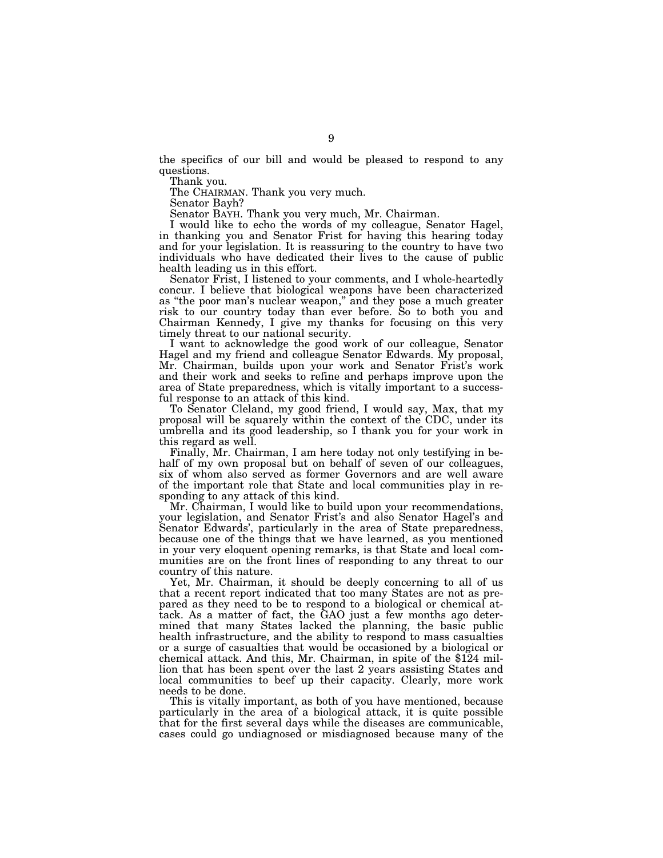the specifics of our bill and would be pleased to respond to any questions.

Thank you.

The CHAIRMAN. Thank you very much.

Senator Bayh?

Senator BAYH. Thank you very much, Mr. Chairman.

I would like to echo the words of my colleague, Senator Hagel, in thanking you and Senator Frist for having this hearing today and for your legislation. It is reassuring to the country to have two individuals who have dedicated their lives to the cause of public health leading us in this effort.

Senator Frist, I listened to your comments, and I whole-heartedly concur. I believe that biological weapons have been characterized as ''the poor man's nuclear weapon,'' and they pose a much greater risk to our country today than ever before. So to both you and Chairman Kennedy, I give my thanks for focusing on this very timely threat to our national security.

I want to acknowledge the good work of our colleague, Senator Hagel and my friend and colleague Senator Edwards. My proposal, Mr. Chairman, builds upon your work and Senator Frist's work and their work and seeks to refine and perhaps improve upon the area of State preparedness, which is vitally important to a successful response to an attack of this kind.

To Senator Cleland, my good friend, I would say, Max, that my proposal will be squarely within the context of the CDC, under its umbrella and its good leadership, so I thank you for your work in this regard as well.

Finally, Mr. Chairman, I am here today not only testifying in behalf of my own proposal but on behalf of seven of our colleagues, six of whom also served as former Governors and are well aware of the important role that State and local communities play in responding to any attack of this kind.

Mr. Chairman, I would like to build upon your recommendations, your legislation, and Senator Frist's and also Senator Hagel's and Senator Edwards', particularly in the area of State preparedness, because one of the things that we have learned, as you mentioned in your very eloquent opening remarks, is that State and local communities are on the front lines of responding to any threat to our country of this nature.

Yet, Mr. Chairman, it should be deeply concerning to all of us that a recent report indicated that too many States are not as prepared as they need to be to respond to a biological or chemical attack. As a matter of fact, the GAO just a few months ago determined that many States lacked the planning, the basic public health infrastructure, and the ability to respond to mass casualties or a surge of casualties that would be occasioned by a biological or chemical attack. And this, Mr. Chairman, in spite of the \$124 million that has been spent over the last 2 years assisting States and local communities to beef up their capacity. Clearly, more work needs to be done.

This is vitally important, as both of you have mentioned, because particularly in the area of a biological attack, it is quite possible that for the first several days while the diseases are communicable, cases could go undiagnosed or misdiagnosed because many of the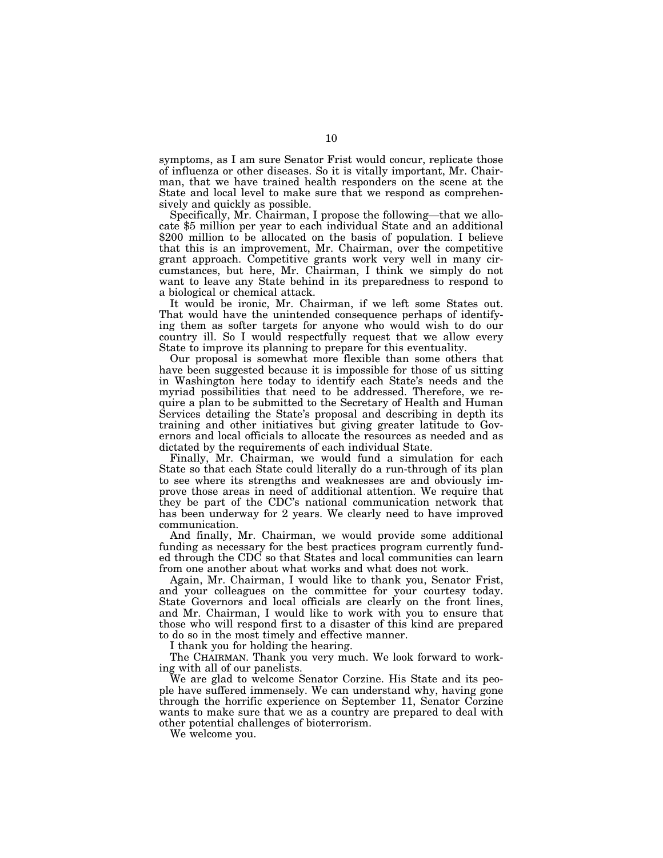symptoms, as I am sure Senator Frist would concur, replicate those of influenza or other diseases. So it is vitally important, Mr. Chairman, that we have trained health responders on the scene at the State and local level to make sure that we respond as comprehensively and quickly as possible.

Specifically, Mr. Chairman, I propose the following—that we allocate \$5 million per year to each individual State and an additional \$200 million to be allocated on the basis of population. I believe that this is an improvement, Mr. Chairman, over the competitive grant approach. Competitive grants work very well in many circumstances, but here, Mr. Chairman, I think we simply do not want to leave any State behind in its preparedness to respond to a biological or chemical attack.

It would be ironic, Mr. Chairman, if we left some States out. That would have the unintended consequence perhaps of identifying them as softer targets for anyone who would wish to do our country ill. So I would respectfully request that we allow every State to improve its planning to prepare for this eventuality.

Our proposal is somewhat more flexible than some others that have been suggested because it is impossible for those of us sitting in Washington here today to identify each State's needs and the myriad possibilities that need to be addressed. Therefore, we require a plan to be submitted to the Secretary of Health and Human Services detailing the State's proposal and describing in depth its training and other initiatives but giving greater latitude to Governors and local officials to allocate the resources as needed and as dictated by the requirements of each individual State.

Finally, Mr. Chairman, we would fund a simulation for each State so that each State could literally do a run-through of its plan to see where its strengths and weaknesses are and obviously improve those areas in need of additional attention. We require that they be part of the CDC's national communication network that has been underway for 2 years. We clearly need to have improved communication.

And finally, Mr. Chairman, we would provide some additional funding as necessary for the best practices program currently funded through the CDC so that States and local communities can learn from one another about what works and what does not work.

Again, Mr. Chairman, I would like to thank you, Senator Frist, and your colleagues on the committee for your courtesy today. State Governors and local officials are clearly on the front lines, and Mr. Chairman, I would like to work with you to ensure that those who will respond first to a disaster of this kind are prepared to do so in the most timely and effective manner.

I thank you for holding the hearing.

The CHAIRMAN. Thank you very much. We look forward to working with all of our panelists.

We are glad to welcome Senator Corzine. His State and its people have suffered immensely. We can understand why, having gone through the horrific experience on September 11, Senator Corzine wants to make sure that we as a country are prepared to deal with other potential challenges of bioterrorism.

We welcome you.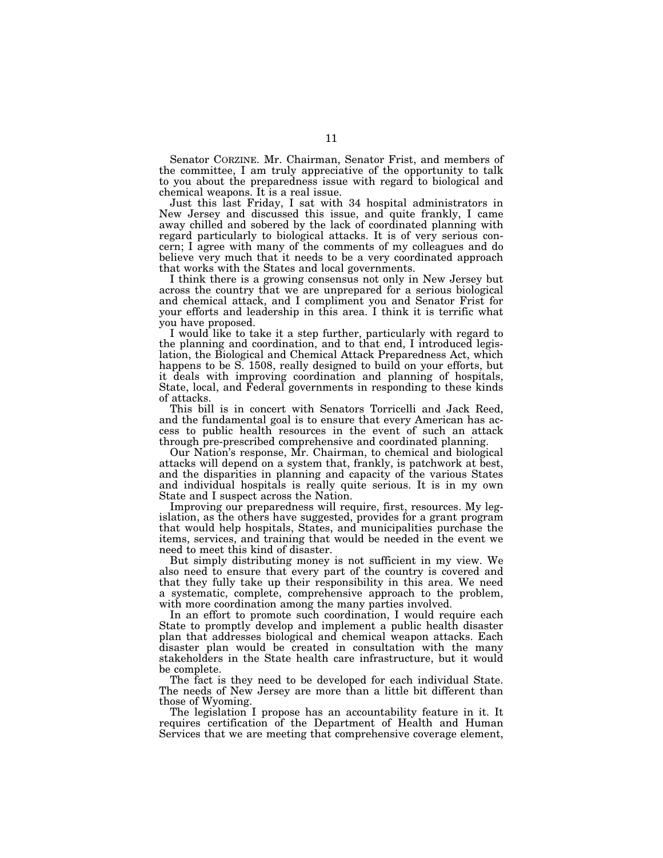Senator CORZINE. Mr. Chairman, Senator Frist, and members of the committee, I am truly appreciative of the opportunity to talk to you about the preparedness issue with regard to biological and chemical weapons. It is a real issue.

Just this last Friday, I sat with 34 hospital administrators in New Jersey and discussed this issue, and quite frankly, I came away chilled and sobered by the lack of coordinated planning with regard particularly to biological attacks. It is of very serious concern; I agree with many of the comments of my colleagues and do believe very much that it needs to be a very coordinated approach that works with the States and local governments.

I think there is a growing consensus not only in New Jersey but across the country that we are unprepared for a serious biological and chemical attack, and I compliment you and Senator Frist for your efforts and leadership in this area. I think it is terrific what you have proposed.

I would like to take it a step further, particularly with regard to the planning and coordination, and to that end, I introduced legislation, the Biological and Chemical Attack Preparedness Act, which happens to be S. 1508, really designed to build on your efforts, but it deals with improving coordination and planning of hospitals, State, local, and Federal governments in responding to these kinds of attacks.

This bill is in concert with Senators Torricelli and Jack Reed, and the fundamental goal is to ensure that every American has access to public health resources in the event of such an attack through pre-prescribed comprehensive and coordinated planning.

Our Nation's response, Mr. Chairman, to chemical and biological attacks will depend on a system that, frankly, is patchwork at best, and the disparities in planning and capacity of the various States and individual hospitals is really quite serious. It is in my own State and I suspect across the Nation.

Improving our preparedness will require, first, resources. My legislation, as the others have suggested, provides for a grant program that would help hospitals, States, and municipalities purchase the items, services, and training that would be needed in the event we need to meet this kind of disaster.

But simply distributing money is not sufficient in my view. We also need to ensure that every part of the country is covered and that they fully take up their responsibility in this area. We need a systematic, complete, comprehensive approach to the problem, with more coordination among the many parties involved.

In an effort to promote such coordination, I would require each State to promptly develop and implement a public health disaster plan that addresses biological and chemical weapon attacks. Each disaster plan would be created in consultation with the many stakeholders in the State health care infrastructure, but it would be complete.

The fact is they need to be developed for each individual State. The needs of New Jersey are more than a little bit different than those of Wyoming.

The legislation I propose has an accountability feature in it. It requires certification of the Department of Health and Human Services that we are meeting that comprehensive coverage element,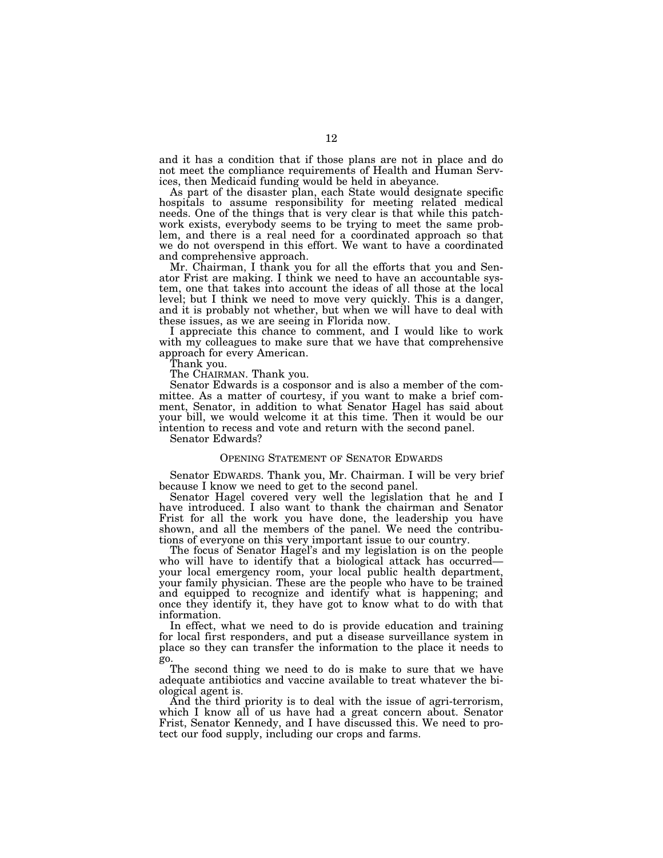and it has a condition that if those plans are not in place and do not meet the compliance requirements of Health and Human Services, then Medicaid funding would be held in abeyance.

As part of the disaster plan, each State would designate specific hospitals to assume responsibility for meeting related medical needs. One of the things that is very clear is that while this patchwork exists, everybody seems to be trying to meet the same problem, and there is a real need for a coordinated approach so that we do not overspend in this effort. We want to have a coordinated and comprehensive approach.

Mr. Chairman, I thank you for all the efforts that you and Senator Frist are making. I think we need to have an accountable system, one that takes into account the ideas of all those at the local level; but I think we need to move very quickly. This is a danger, and it is probably not whether, but when we will have to deal with these issues, as we are seeing in Florida now.

I appreciate this chance to comment, and I would like to work with my colleagues to make sure that we have that comprehensive approach for every American.

Thank you.

The CHAIRMAN. Thank you.

Senator Edwards is a cosponsor and is also a member of the committee. As a matter of courtesy, if you want to make a brief comment, Senator, in addition to what Senator Hagel has said about your bill, we would welcome it at this time. Then it would be our intention to recess and vote and return with the second panel.

Senator Edwards?

# OPENING STATEMENT OF SENATOR EDWARDS

Senator EDWARDS. Thank you, Mr. Chairman. I will be very brief because I know we need to get to the second panel.

Senator Hagel covered very well the legislation that he and I have introduced. I also want to thank the chairman and Senator Frist for all the work you have done, the leadership you have shown, and all the members of the panel. We need the contributions of everyone on this very important issue to our country.

The focus of Senator Hagel's and my legislation is on the people who will have to identify that a biological attack has occurred who will have to identify that a biological attack has occurred— your local emergency room, your local public health department, your family physician. These are the people who have to be trained and equipped to recognize and identify what is happening; and once they identify it, they have got to know what to do with that information.

In effect, what we need to do is provide education and training for local first responders, and put a disease surveillance system in place so they can transfer the information to the place it needs to go.

The second thing we need to do is make to sure that we have adequate antibiotics and vaccine available to treat whatever the biological agent is.

And the third priority is to deal with the issue of agri-terrorism, which I know all of us have had a great concern about. Senator Frist, Senator Kennedy, and I have discussed this. We need to protect our food supply, including our crops and farms.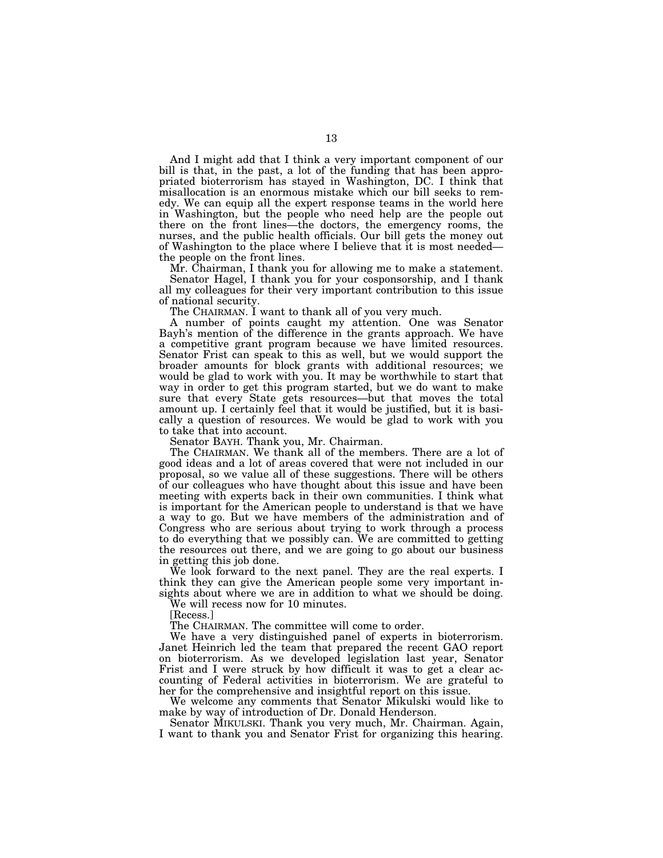And I might add that I think a very important component of our bill is that, in the past, a lot of the funding that has been appropriated bioterrorism has stayed in Washington, DC. I think that misallocation is an enormous mistake which our bill seeks to remedy. We can equip all the expert response teams in the world here in Washington, but the people who need help are the people out there on the front lines—the doctors, the emergency rooms, the nurses, and the public health officials. Our bill gets the money out of Washington to the place where I believe that it is most needed— the people on the front lines.

Mr. Chairman, I thank you for allowing me to make a statement. Senator Hagel, I thank you for your cosponsorship, and I thank all my colleagues for their very important contribution to this issue of national security.

The CHAIRMAN. I want to thank all of you very much.

A number of points caught my attention. One was Senator Bayh's mention of the difference in the grants approach. We have a competitive grant program because we have limited resources. Senator Frist can speak to this as well, but we would support the broader amounts for block grants with additional resources; we would be glad to work with you. It may be worthwhile to start that way in order to get this program started, but we do want to make sure that every State gets resources—but that moves the total amount up. I certainly feel that it would be justified, but it is basically a question of resources. We would be glad to work with you to take that into account.

Senator BAYH. Thank you, Mr. Chairman.

The CHAIRMAN. We thank all of the members. There are a lot of good ideas and a lot of areas covered that were not included in our proposal, so we value all of these suggestions. There will be others of our colleagues who have thought about this issue and have been meeting with experts back in their own communities. I think what is important for the American people to understand is that we have a way to go. But we have members of the administration and of Congress who are serious about trying to work through a process to do everything that we possibly can. We are committed to getting the resources out there, and we are going to go about our business in getting this job done.

We look forward to the next panel. They are the real experts. I think they can give the American people some very important insights about where we are in addition to what we should be doing.

We will recess now for 10 minutes.

[Recess.]

The CHAIRMAN. The committee will come to order.

We have a very distinguished panel of experts in bioterrorism. Janet Heinrich led the team that prepared the recent GAO report on bioterrorism. As we developed legislation last year, Senator Frist and I were struck by how difficult it was to get a clear accounting of Federal activities in bioterrorism. We are grateful to her for the comprehensive and insightful report on this issue.

We welcome any comments that Senator Mikulski would like to make by way of introduction of Dr. Donald Henderson.

Senator MIKULSKI. Thank you very much, Mr. Chairman. Again, I want to thank you and Senator Frist for organizing this hearing.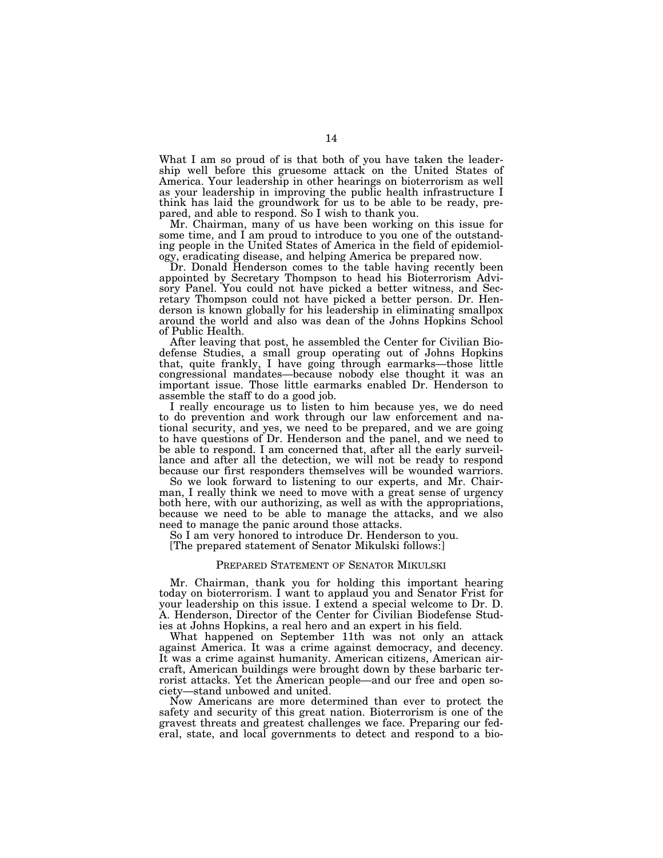What I am so proud of is that both of you have taken the leadership well before this gruesome attack on the United States of America. Your leadership in other hearings on bioterrorism as well as your leadership in improving the public health infrastructure I think has laid the groundwork for us to be able to be ready, prepared, and able to respond. So I wish to thank you.

Mr. Chairman, many of us have been working on this issue for some time, and I am proud to introduce to you one of the outstanding people in the United States of America in the field of epidemiology, eradicating disease, and helping America be prepared now.

Dr. Donald Henderson comes to the table having recently been appointed by Secretary Thompson to head his Bioterrorism Advisory Panel. You could not have picked a better witness, and Secretary Thompson could not have picked a better person. Dr. Henderson is known globally for his leadership in eliminating smallpox around the world and also was dean of the Johns Hopkins School of Public Health.

After leaving that post, he assembled the Center for Civilian Biodefense Studies, a small group operating out of Johns Hopkins that, quite frankly, I have going through earmarks—those little congressional mandates—because nobody else thought it was an important issue. Those little earmarks enabled Dr. Henderson to assemble the staff to do a good job.

I really encourage us to listen to him because yes, we do need to do prevention and work through our law enforcement and national security, and yes, we need to be prepared, and we are going to have questions of Dr. Henderson and the panel, and we need to be able to respond. I am concerned that, after all the early surveillance and after all the detection, we will not be ready to respond because our first responders themselves will be wounded warriors.

So we look forward to listening to our experts, and Mr. Chairman, I really think we need to move with a great sense of urgency both here, with our authorizing, as well as with the appropriations, because we need to be able to manage the attacks, and we also need to manage the panic around those attacks.

So I am very honored to introduce Dr. Henderson to you. [The prepared statement of Senator Mikulski follows:]

# PREPARED STATEMENT OF SENATOR MIKULSKI

Mr. Chairman, thank you for holding this important hearing today on bioterrorism. I want to applaud you and Senator Frist for your leadership on this issue. I extend a special welcome to Dr. D. A. Henderson, Director of the Center for Civilian Biodefense Studies at Johns Hopkins, a real hero and an expert in his field.

What happened on September 11th was not only an attack against America. It was a crime against democracy, and decency. It was a crime against humanity. American citizens, American aircraft, American buildings were brought down by these barbaric terrorist attacks. Yet the American people—and our free and open society—stand unbowed and united.

Now Americans are more determined than ever to protect the safety and security of this great nation. Bioterrorism is one of the gravest threats and greatest challenges we face. Preparing our federal, state, and local governments to detect and respond to a bio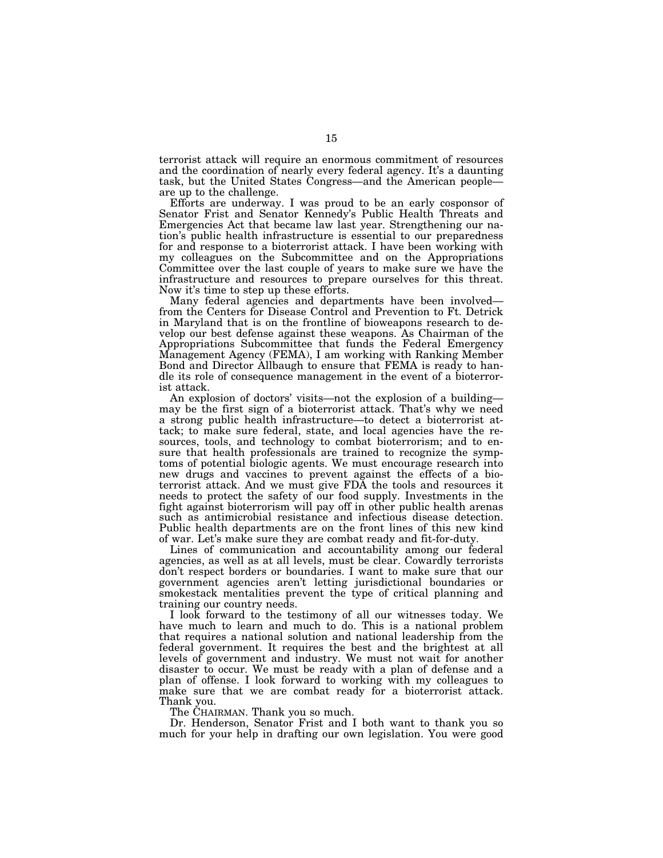terrorist attack will require an enormous commitment of resources and the coordination of nearly every federal agency. It's a daunting task, but the United States Congress—and the American people— are up to the challenge.

Efforts are underway. I was proud to be an early cosponsor of Senator Frist and Senator Kennedy's Public Health Threats and Emergencies Act that became law last year. Strengthening our nation's public health infrastructure is essential to our preparedness for and response to a bioterrorist attack. I have been working with my colleagues on the Subcommittee and on the Appropriations Committee over the last couple of years to make sure we have the infrastructure and resources to prepare ourselves for this threat. Now it's time to step up these efforts.

Many federal agencies and departments have been involved— from the Centers for Disease Control and Prevention to Ft. Detrick in Maryland that is on the frontline of bioweapons research to develop our best defense against these weapons. As Chairman of the Appropriations Subcommittee that funds the Federal Emergency Management Agency (FEMA), I am working with Ranking Member Bond and Director Allbaugh to ensure that FEMA is ready to handle its role of consequence management in the event of a bioterror-

ist attack.<br>An explosion of doctors' visits—not the explosion of a building may be the first sign of a bioterrorist attack. That's why we need a strong public health infrastructure—to detect a bioterrorist attack; to make sure federal, state, and local agencies have the resources, tools, and technology to combat bioterrorism; and to ensure that health professionals are trained to recognize the symptoms of potential biologic agents. We must encourage research into new drugs and vaccines to prevent against the effects of a bioterrorist attack. And we must give FDA the tools and resources it needs to protect the safety of our food supply. Investments in the fight against bioterrorism will pay off in other public health arenas such as antimicrobial resistance and infectious disease detection. Public health departments are on the front lines of this new kind of war. Let's make sure they are combat ready and fit-for-duty.

Lines of communication and accountability among our federal agencies, as well as at all levels, must be clear. Cowardly terrorists don't respect borders or boundaries. I want to make sure that our government agencies aren't letting jurisdictional boundaries or smokestack mentalities prevent the type of critical planning and training our country needs.

I look forward to the testimony of all our witnesses today. We have much to learn and much to do. This is a national problem that requires a national solution and national leadership from the federal government. It requires the best and the brightest at all levels of government and industry. We must not wait for another disaster to occur. We must be ready with a plan of defense and a plan of offense. I look forward to working with my colleagues to make sure that we are combat ready for a bioterrorist attack. Thank you.

The CHAIRMAN. Thank you so much.

Dr. Henderson, Senator Frist and I both want to thank you so much for your help in drafting our own legislation. You were good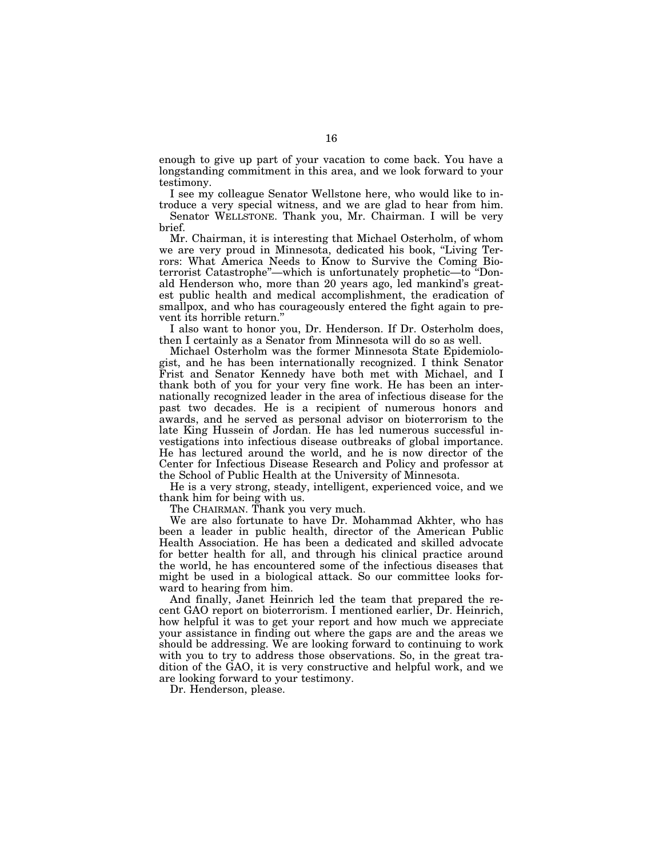enough to give up part of your vacation to come back. You have a longstanding commitment in this area, and we look forward to your testimony.

I see my colleague Senator Wellstone here, who would like to introduce a very special witness, and we are glad to hear from him. Senator WELLSTONE. Thank you, Mr. Chairman. I will be very

brief.

Mr. Chairman, it is interesting that Michael Osterholm, of whom we are very proud in Minnesota, dedicated his book, ''Living Terrors: What America Needs to Know to Survive the Coming Bioterrorist Catastrophe''—which is unfortunately prophetic—to ''Donald Henderson who, more than 20 years ago, led mankind's greatest public health and medical accomplishment, the eradication of smallpox, and who has courageously entered the fight again to prevent its horrible return.''

I also want to honor you, Dr. Henderson. If Dr. Osterholm does, then I certainly as a Senator from Minnesota will do so as well.

Michael Osterholm was the former Minnesota State Epidemiologist, and he has been internationally recognized. I think Senator Frist and Senator Kennedy have both met with Michael, and I thank both of you for your very fine work. He has been an internationally recognized leader in the area of infectious disease for the past two decades. He is a recipient of numerous honors and awards, and he served as personal advisor on bioterrorism to the late King Hussein of Jordan. He has led numerous successful investigations into infectious disease outbreaks of global importance. He has lectured around the world, and he is now director of the Center for Infectious Disease Research and Policy and professor at the School of Public Health at the University of Minnesota.

He is a very strong, steady, intelligent, experienced voice, and we thank him for being with us.

The CHAIRMAN. Thank you very much.

We are also fortunate to have Dr. Mohammad Akhter, who has been a leader in public health, director of the American Public Health Association. He has been a dedicated and skilled advocate for better health for all, and through his clinical practice around the world, he has encountered some of the infectious diseases that might be used in a biological attack. So our committee looks forward to hearing from him.

And finally, Janet Heinrich led the team that prepared the recent GAO report on bioterrorism. I mentioned earlier, Dr. Heinrich, how helpful it was to get your report and how much we appreciate your assistance in finding out where the gaps are and the areas we should be addressing. We are looking forward to continuing to work with you to try to address those observations. So, in the great tradition of the GAO, it is very constructive and helpful work, and we are looking forward to your testimony.

Dr. Henderson, please.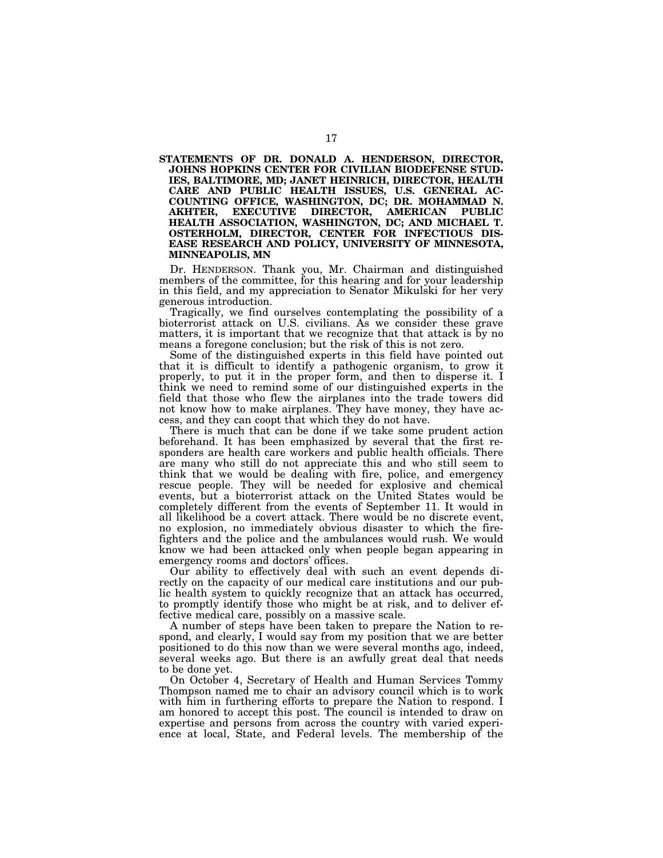**STATEMENTS OF DR. DONALD A. HENDERSON, DIRECTOR, JOHNS HOPKINS CENTER FOR CIVILIAN BIODEFENSE STUD-IES, BALTIMORE, MD; JANET HEINRICH, DIRECTOR, HEALTH CARE AND PUBLIC HEALTH ISSUES, U.S. GENERAL AC-COUNTING OFFICE, WASHINGTON, DC; DR. MOHAMMAD N. AKHTER, EXECUTIVE DIRECTOR, AMERICAN PUBLIC HEALTH ASSOCIATION, WASHINGTON, DC; AND MICHAEL T. OSTERHOLM, DIRECTOR, CENTER FOR INFECTIOUS DIS-EASE RESEARCH AND POLICY, UNIVERSITY OF MINNESOTA, MINNEAPOLIS, MN**

Dr. HENDERSON. Thank you, Mr. Chairman and distinguished members of the committee, for this hearing and for your leadership in this field, and my appreciation to Senator Mikulski for her very generous introduction.

Tragically, we find ourselves contemplating the possibility of a bioterrorist attack on U.S. civilians. As we consider these grave matters, it is important that we recognize that that attack is by no means a foregone conclusion; but the risk of this is not zero.

Some of the distinguished experts in this field have pointed out that it is difficult to identify a pathogenic organism, to grow it properly, to put it in the proper form, and then to disperse it. I think we need to remind some of our distinguished experts in the field that those who flew the airplanes into the trade towers did not know how to make airplanes. They have money, they have access, and they can coopt that which they do not have.

There is much that can be done if we take some prudent action beforehand. It has been emphasized by several that the first responders are health care workers and public health officials. There are many who still do not appreciate this and who still seem to think that we would be dealing with fire, police, and emergency rescue people. They will be needed for explosive and chemical events, but a bioterrorist attack on the United States would be completely different from the events of September 11. It would in all likelihood be a covert attack. There would be no discrete event, no explosion, no immediately obvious disaster to which the firefighters and the police and the ambulances would rush. We would know we had been attacked only when people began appearing in emergency rooms and doctors' offices.

Our ability to effectively deal with such an event depends directly on the capacity of our medical care institutions and our public health system to quickly recognize that an attack has occurred, to promptly identify those who might be at risk, and to deliver effective medical care, possibly on a massive scale.

A number of steps have been taken to prepare the Nation to respond, and clearly, I would say from my position that we are better positioned to do this now than we were several months ago, indeed, several weeks ago. But there is an awfully great deal that needs to be done yet.

On October 4, Secretary of Health and Human Services Tommy Thompson named me to chair an advisory council which is to work with him in furthering efforts to prepare the Nation to respond. I am honored to accept this post. The council is intended to draw on expertise and persons from across the country with varied experience at local, State, and Federal levels. The membership of the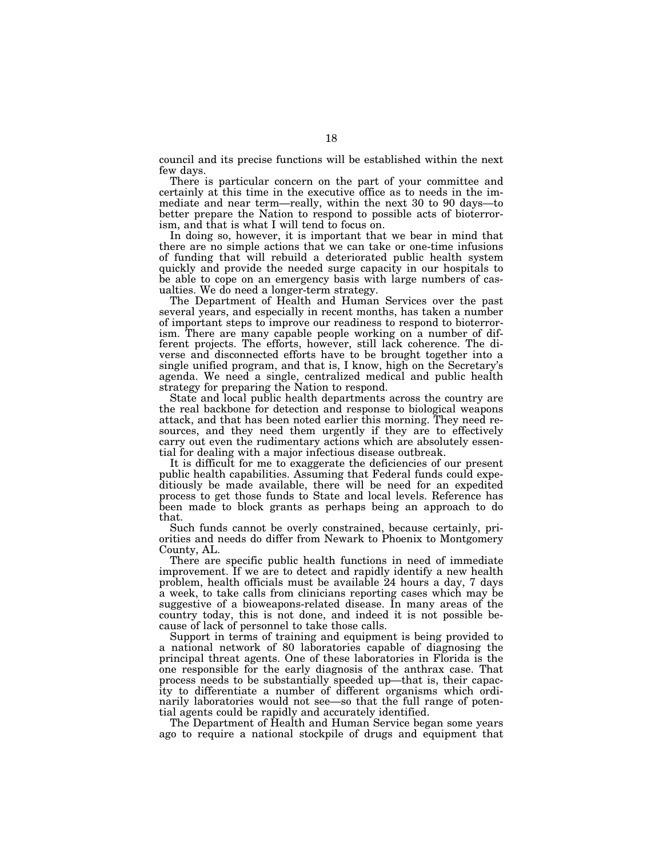council and its precise functions will be established within the next few days.

There is particular concern on the part of your committee and certainly at this time in the executive office as to needs in the immediate and near term—really, within the next 30 to 90 days—to better prepare the Nation to respond to possible acts of bioterrorism, and that is what I will tend to focus on.

In doing so, however, it is important that we bear in mind that there are no simple actions that we can take or one-time infusions of funding that will rebuild a deteriorated public health system quickly and provide the needed surge capacity in our hospitals to be able to cope on an emergency basis with large numbers of casualties. We do need a longer-term strategy.

The Department of Health and Human Services over the past several years, and especially in recent months, has taken a number of important steps to improve our readiness to respond to bioterrorism. There are many capable people working on a number of different projects. The efforts, however, still lack coherence. The diverse and disconnected efforts have to be brought together into a single unified program, and that is, I know, high on the Secretary's agenda. We need a single, centralized medical and public health strategy for preparing the Nation to respond.

State and local public health departments across the country are the real backbone for detection and response to biological weapons attack, and that has been noted earlier this morning. They need resources, and they need them urgently if they are to effectively carry out even the rudimentary actions which are absolutely essential for dealing with a major infectious disease outbreak.

It is difficult for me to exaggerate the deficiencies of our present public health capabilities. Assuming that Federal funds could expeditiously be made available, there will be need for an expedited process to get those funds to State and local levels. Reference has been made to block grants as perhaps being an approach to do that.

Such funds cannot be overly constrained, because certainly, priorities and needs do differ from Newark to Phoenix to Montgomery County, AL.

There are specific public health functions in need of immediate improvement. If we are to detect and rapidly identify a new health problem, health officials must be available 24 hours a day, 7 days a week, to take calls from clinicians reporting cases which may be suggestive of a bioweapons-related disease. In many areas of the country today, this is not done, and indeed it is not possible because of lack of personnel to take those calls.

Support in terms of training and equipment is being provided to a national network of 80 laboratories capable of diagnosing the principal threat agents. One of these laboratories in Florida is the one responsible for the early diagnosis of the anthrax case. That process needs to be substantially speeded up—that is, their capacity to differentiate a number of different organisms which ordinarily laboratories would not see—so that the full range of potential agents could be rapidly and accurately identified.

The Department of Health and Human Service began some years ago to require a national stockpile of drugs and equipment that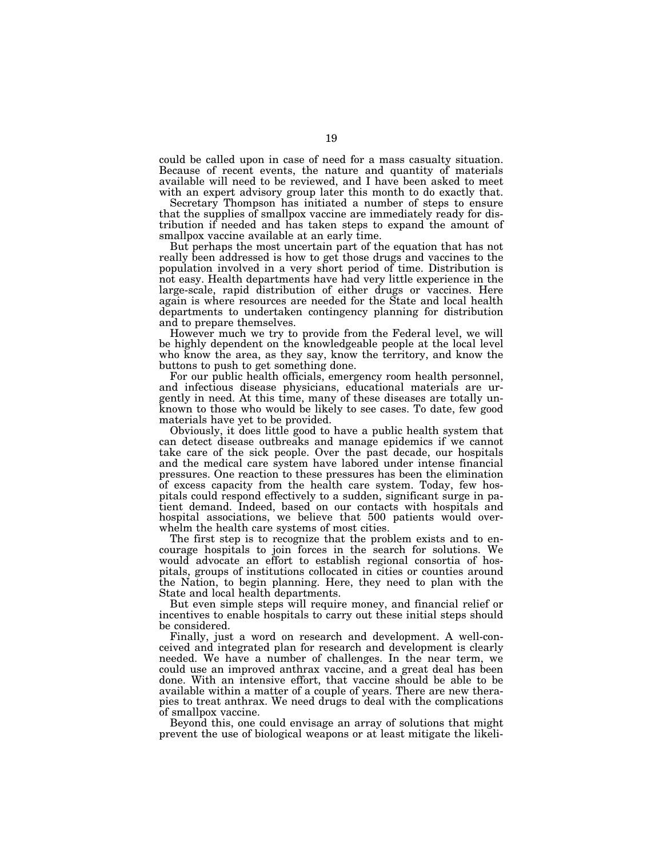could be called upon in case of need for a mass casualty situation. Because of recent events, the nature and quantity of materials available will need to be reviewed, and I have been asked to meet with an expert advisory group later this month to do exactly that.

Secretary Thompson has initiated a number of steps to ensure that the supplies of smallpox vaccine are immediately ready for distribution if needed and has taken steps to expand the amount of smallpox vaccine available at an early time.

But perhaps the most uncertain part of the equation that has not really been addressed is how to get those drugs and vaccines to the population involved in a very short period of time. Distribution is not easy. Health departments have had very little experience in the large-scale, rapid distribution of either drugs or vaccines. Here again is where resources are needed for the State and local health departments to undertaken contingency planning for distribution and to prepare themselves.

However much we try to provide from the Federal level, we will be highly dependent on the knowledgeable people at the local level who know the area, as they say, know the territory, and know the buttons to push to get something done.

For our public health officials, emergency room health personnel, and infectious disease physicians, educational materials are urgently in need. At this time, many of these diseases are totally unknown to those who would be likely to see cases. To date, few good materials have yet to be provided.

Obviously, it does little good to have a public health system that can detect disease outbreaks and manage epidemics if we cannot take care of the sick people. Over the past decade, our hospitals and the medical care system have labored under intense financial pressures. One reaction to these pressures has been the elimination of excess capacity from the health care system. Today, few hospitals could respond effectively to a sudden, significant surge in patient demand. Indeed, based on our contacts with hospitals and hospital associations, we believe that 500 patients would overwhelm the health care systems of most cities.

The first step is to recognize that the problem exists and to encourage hospitals to join forces in the search for solutions. We would advocate an effort to establish regional consortia of hospitals, groups of institutions collocated in cities or counties around the Nation, to begin planning. Here, they need to plan with the State and local health departments.

But even simple steps will require money, and financial relief or incentives to enable hospitals to carry out these initial steps should be considered.

Finally, just a word on research and development. A well-conceived and integrated plan for research and development is clearly needed. We have a number of challenges. In the near term, we could use an improved anthrax vaccine, and a great deal has been done. With an intensive effort, that vaccine should be able to be available within a matter of a couple of years. There are new therapies to treat anthrax. We need drugs to deal with the complications of smallpox vaccine.

Beyond this, one could envisage an array of solutions that might prevent the use of biological weapons or at least mitigate the likeli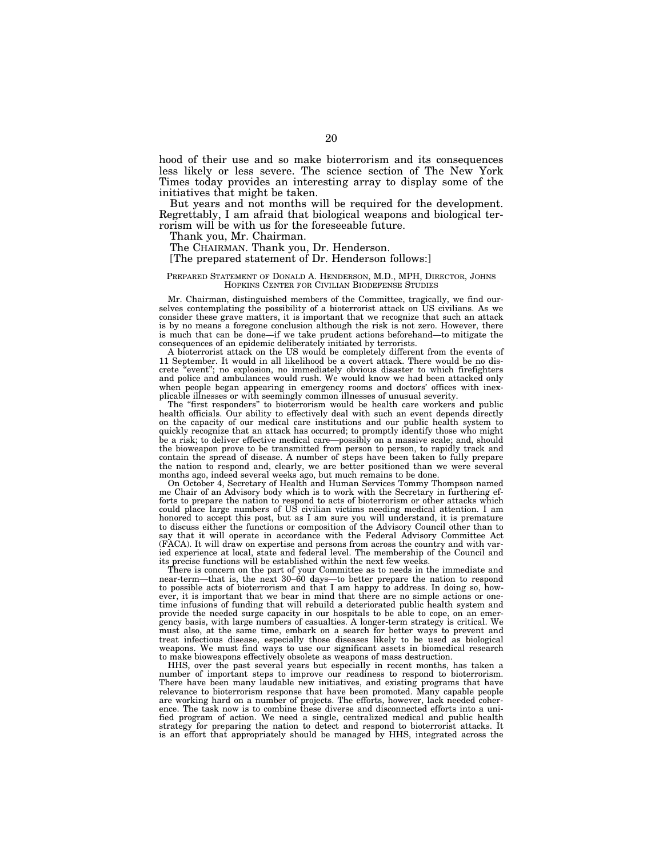hood of their use and so make bioterrorism and its consequences less likely or less severe. The science section of The New York Times today provides an interesting array to display some of the initiatives that might be taken.

But years and not months will be required for the development. Regrettably, I am afraid that biological weapons and biological terrorism will be with us for the foreseeable future.

Thank you, Mr. Chairman.

# The CHAIRMAN. Thank you, Dr. Henderson.

#### [The prepared statement of Dr. Henderson follows:]

#### PREPARED STATEMENT OF DONALD A. HENDERSON, M.D., MPH, DIRECTOR, JOHNS HOPKINS CENTER FOR CIVILIAN BIODEFENSE STUDIES

Mr. Chairman, distinguished members of the Committee, tragically, we find ourselves contemplating the possibility of a bioterrorist attack on US civilians. As we consider these grave matters, it is important that we recognize that such an attack is by no means a foregone conclusion although the risk is not zero. However, there is much that can be done—if we take prudent actions beforehand—to mitigate the consequences of an epidemic deliberately initiated by terrorists.

A bioterrorist attack on the US would be completely different from the events of 11 September. It would in all likelihood be a covert attack. There would be no discrete ''event''; no explosion, no immediately obvious disaster to which firefighters and police and ambulances would rush. We would know we had been attacked only when people began appearing in emergency rooms and doctors' offices with inexplicable illnesses or with seemingly common illnesses of unusual severity.

The ''first responders'' to bioterrorism would be health care workers and public health officials. Our ability to effectively deal with such an event depends directly on the capacity of our medical care institutions and our public health system to quickly recognize that an attack has occurred; to promptly identify those who might be a risk; to deliver effective medical care—possibly on a massive scale; and, should the bioweapon prove to be transmitted from person to person, to rapidly track and contain the spread of disease. A number of steps have been taken to fully prepare the nation to respond and, clearly, we are better positioned than we were several months ago, indeed several weeks ago, but much remains to be done.

On October 4, Secretary of Health and Human Services Tommy Thompson named me Chair of an Advisory body which is to work with the Secretary in furthering efforts to prepare the nation to respond to acts of bioterrorism or other attacks which could place large numbers of US civilian victims needing medical attention. I am honored to accept this post, but as I am sure you will understand, it is premature to discuss either the functions or composition of the Advisory Council other than to say that it will operate in accordance with the Federal Advisory Committee Act (FACA). It will draw on expertise and persons from across the country and with varied experience at local, state and federal level. The membership of the Council and its precise functions will be established within the next few weeks.

There is concern on the part of your Committee as to needs in the immediate and near-term—that is, the next 30–60 days—to better prepare the nation to respond to possible acts of bioterrorism and that I am happy to address. In doing so, however, it is important that we bear in mind that there are no simple actions or onetime infusions of funding that will rebuild a deteriorated public health system and provide the needed surge capacity in our hospitals to be able to cope, on an emergency basis, with large numbers of casualties. A longer-term strategy is critical. We must also, at the same time, embark on a search for better ways to prevent and treat infectious disease, especially those diseases likely to be used as biological weapons. We must find ways to use our significant assets in biomedical research to make bioweapons effectively obsolete as weapons of mass destruction.

HHS, over the past several years but especially in recent months, has taken a number of important steps to improve our readiness to respond to bioterrorism. There have been many laudable new initiatives, and existing programs that have relevance to bioterrorism response that have been promoted. Many capable people are working hard on a number of projects. The efforts, however, lack needed coherence. The task now is to combine these diverse and disconnected efforts into a unified program of action. We need a single, centralized medical and public health strategy for preparing the nation to detect and respond to bioterrorist attacks. It is an effort that appropriately should be managed by HHS, integrated across the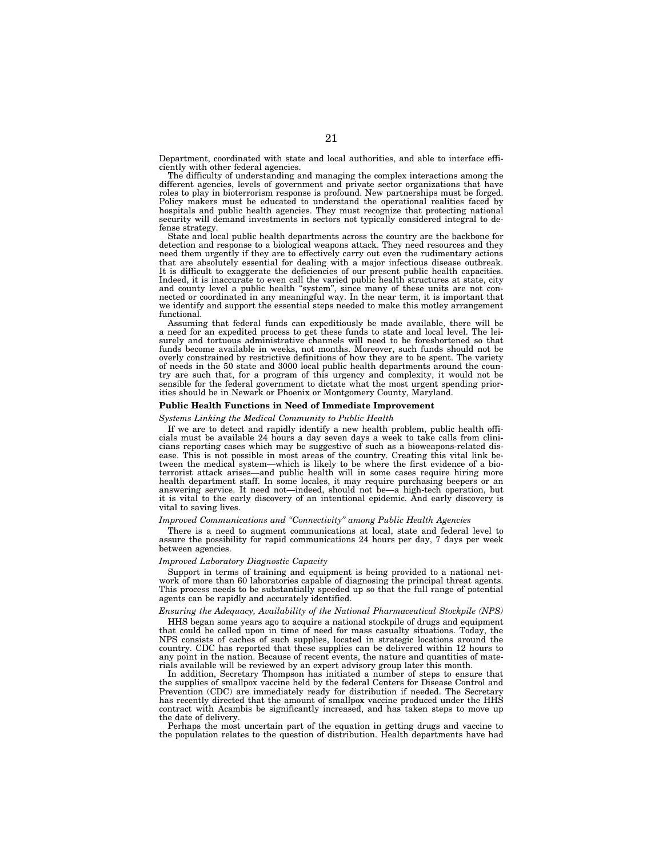Department, coordinated with state and local authorities, and able to interface efficiently with other federal agencies.

The difficulty of understanding and managing the complex interactions among the different agencies, levels of government and private sector organizations that have roles to play in bioterrorism response is profound. New partnerships must be forged. Policy makers must be educated to understand the operational realities faced by hospitals and public health agencies. They must recognize that protecting national security will demand investments in sectors not typically considered integral to defense strategy.

State and local public health departments across the country are the backbone for detection and response to a biological weapons attack. They need resources and they need them urgently if they are to effectively carry out even the rudimentary actions that are absolutely essential for dealing with a major infectious disease outbreak. It is difficult to exaggerate the deficiencies of our present public health capacities. Indeed, it is inaccurate to even call the varied public health structures at state, city and county level a public health ''system'', since many of these units are not connected or coordinated in any meaningful way. In the near term, it is important that we identify and support the essential steps needed to make this motley arrangement functional.

Assuming that federal funds can expeditiously be made available, there will be a need for an expedited process to get these funds to state and local level. The leisurely and tortuous administrative channels will need to be foreshortened so that funds become available in weeks, not months. Moreover, such funds should not be overly constrained by restrictive definitions of how they are to be spent. The variety of needs in the 50 state and 3000 local public health departments around the country are such that, for a program of this urgency and complexity, it would not be sensible for the federal government to dictate what the most urgent spending priorities should be in Newark or Phoenix or Montgomery County, Maryland.

#### **Public Health Functions in Need of Immediate Improvement**

#### *Systems Linking the Medical Community to Public Health*

If we are to detect and rapidly identify a new health problem, public health officials must be available 24 hours a day seven days a week to take calls from clinicians reporting cases which may be suggestive of such as a bioweapons-related disease. This is not possible in most areas of the country. Creating this vital link between the medical system—which is likely to be where the first evidence of a bioterrorist attack arises—and public health will in some cases require hiring more health department staff. In some locales, it may require purchasing beepers or an answering service. It need not—indeed, should not be—a high-tech operation, but it is vital to the early discovery of an intentional epidemic. And early discovery is vital to saving lives.

### *Improved Communications and ''Connectivity'' among Public Health Agencies*

There is a need to augment communications at local, state and federal level to assure the possibility for rapid communications 24 hours per day, 7 days per week between agencies.

# *Improved Laboratory Diagnostic Capacity*

Support in terms of training and equipment is being provided to a national network of more than 60 laboratories capable of diagnosing the principal threat agents. This process needs to be substantially speeded up so that the full range of potential agents can be rapidly and accurately identified.

#### *Ensuring the Adequacy, Availability of the National Pharmaceutical Stockpile (NPS)*

HHS began some years ago to acquire a national stockpile of drugs and equipment that could be called upon in time of need for mass casualty situations. Today, the NPS consists of caches of such supplies, located in strategic locations around the country. CDC has reported that these supplies can be delivered within 12 hours to any point in the nation. Because of recent events, the nature and quantities of materials available will be reviewed by an expert advisory group later this month.

In addition, Secretary Thompson has initiated a number of steps to ensure that the supplies of smallpox vaccine held by the federal Centers for Disease Control and Prevention (CDC) are immediately ready for distribution if needed. The Secretary has recently directed that the amount of smallpox vaccine produced under the HHS contract with Acambis be significantly increased, and has taken steps to move up the date of delivery.

Perhaps the most uncertain part of the equation in getting drugs and vaccine to the population relates to the question of distribution. Health departments have had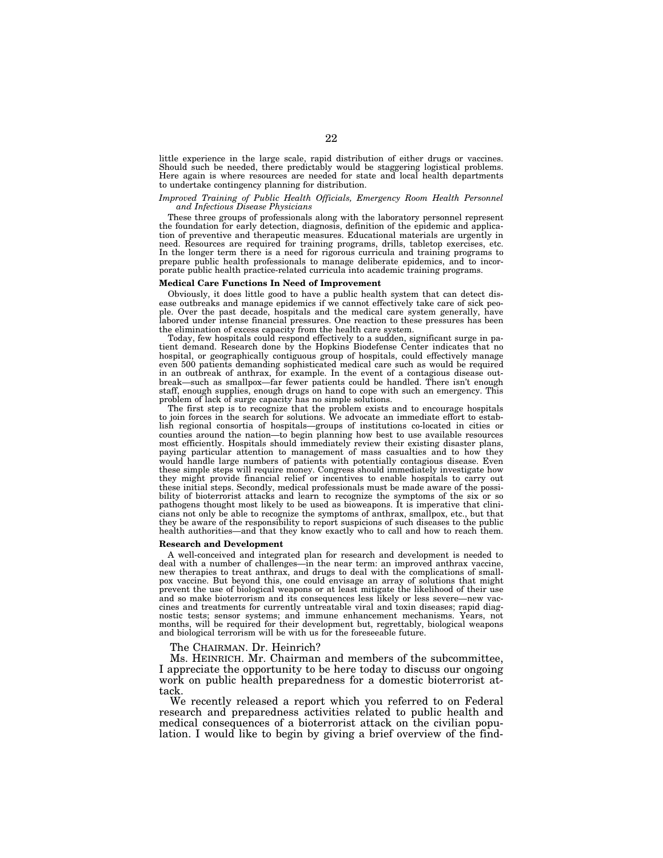little experience in the large scale, rapid distribution of either drugs or vaccines. Should such be needed, there predictably would be staggering logistical problems. Here again is where resources are needed for state and local health departments to undertake contingency planning for distribution.

#### *Improved Training of Public Health Officials, Emergency Room Health Personnel and Infectious Disease Physicians*

These three groups of professionals along with the laboratory personnel represent the foundation for early detection, diagnosis, definition of the epidemic and application of preventive and therapeutic measures. Educational materials are urgently in need. Resources are required for training programs, drills, tabletop exercises, etc. In the longer term there is a need for rigorous curricula and training programs to prepare public health professionals to manage deliberate epidemics, and to incorporate public health practice-related curricula into academic training programs.

### **Medical Care Functions In Need of Improvement**

Obviously, it does little good to have a public health system that can detect disease outbreaks and manage epidemics if we cannot effectively take care of sick people. Over the past decade, hospitals and the medical care system generally, have labored under intense financial pressures. One reaction to these pressures has been the elimination of excess capacity from the health care system.

Today, few hospitals could respond effectively to a sudden, significant surge in patient demand. Research done by the Hopkins Biodefense Center indicates that no hospital, or geographically contiguous group of hospitals, could effectively manage even 500 patients demanding sophisticated medical care such as would be required in an outbreak of anthrax, for example. In the event of a contagious disease outbreak—such as smallpox—far fewer patients could be handled. There isn't enough staff, enough supplies, enough drugs on hand to cope with such an emergency. This problem of lack of surge capacity has no simple solutions.

The first step is to recognize that the problem exists and to encourage hospitals to join forces in the search for solutions. We advocate an immediate effort to establish regional consortia of hospitals—groups of institutions co-located in cities or counties around the nation—to begin planning how best to use available resources most efficiently. Hospitals should immediately review their existing disaster plans, paying particular attention to management of mass casualties and to how they would handle large numbers of patients with potentially contagious disease. Even these simple steps will require money. Congress should immediately investigate how they might provide financial relief or incentives to enable hospitals to carry out these initial steps. Secondly, medical professionals must be made aware of the possibility of bioterrorist attacks and learn to recognize the symptoms of the six or so pathogens thought most likely to be used as bioweapons. It is imperative that clinicians not only be able to recognize the symptoms of anthrax, smallpox, etc., but that they be aware of the responsibility to report suspicions of such diseases to the public health authorities—and that they know exactly who to call and how to reach them.

#### **Research and Development**

A well-conceived and integrated plan for research and development is needed to deal with a number of challenges—in the near term: an improved anthrax vaccine, new therapies to treat anthrax, and drugs to deal with the complications of smallpox vaccine. But beyond this, one could envisage an array of solutions that might prevent the use of biological weapons or at least mitigate the likelihood of their use and so make bioterrorism and its consequences less likely or less severe—new vaccines and treatments for currently untreatable viral and toxin diseases; rapid diagnostic tests; sensor systems; and immune enhancement mechanisms. Years, not months, will be required for their development but, regrettably, biological weapons and biological terrorism will be with us for the foreseeable future.

The CHAIRMAN. Dr. Heinrich?

Ms. HEINRICH. Mr. Chairman and members of the subcommittee, I appreciate the opportunity to be here today to discuss our ongoing work on public health preparedness for a domestic bioterrorist attack.

We recently released a report which you referred to on Federal research and preparedness activities related to public health and medical consequences of a bioterrorist attack on the civilian population. I would like to begin by giving a brief overview of the find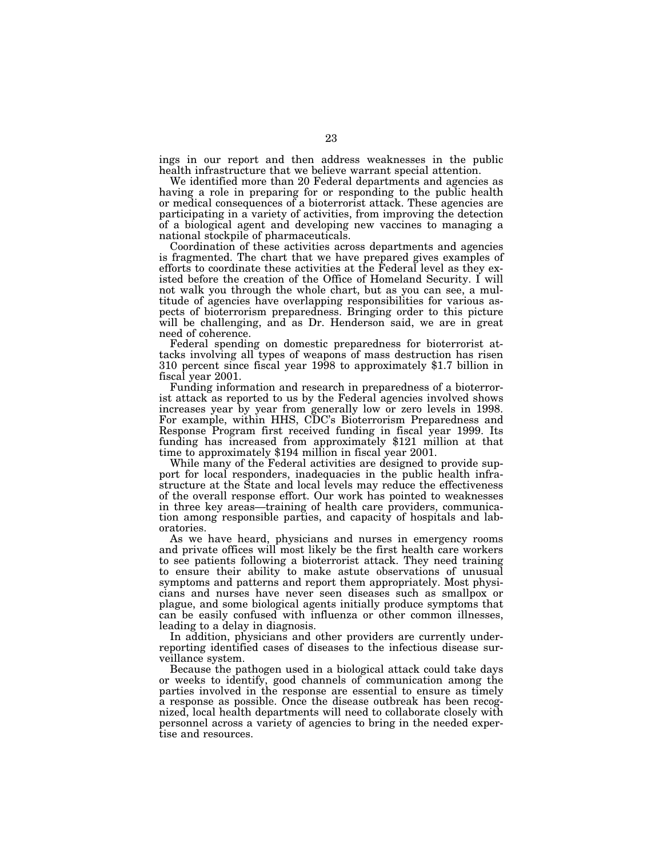ings in our report and then address weaknesses in the public health infrastructure that we believe warrant special attention.

We identified more than 20 Federal departments and agencies as having a role in preparing for or responding to the public health or medical consequences of a bioterrorist attack. These agencies are participating in a variety of activities, from improving the detection of a biological agent and developing new vaccines to managing a national stockpile of pharmaceuticals.

Coordination of these activities across departments and agencies is fragmented. The chart that we have prepared gives examples of efforts to coordinate these activities at the Federal level as they existed before the creation of the Office of Homeland Security. I will not walk you through the whole chart, but as you can see, a multitude of agencies have overlapping responsibilities for various aspects of bioterrorism preparedness. Bringing order to this picture will be challenging, and as Dr. Henderson said, we are in great need of coherence.

Federal spending on domestic preparedness for bioterrorist attacks involving all types of weapons of mass destruction has risen 310 percent since fiscal year 1998 to approximately \$1.7 billion in fiscal year 2001.

Funding information and research in preparedness of a bioterrorist attack as reported to us by the Federal agencies involved shows increases year by year from generally low or zero levels in 1998. For example, within HHS, CDC's Bioterrorism Preparedness and Response Program first received funding in fiscal year 1999. Its funding has increased from approximately \$121 million at that time to approximately \$194 million in fiscal year 2001.

While many of the Federal activities are designed to provide support for local responders, inadequacies in the public health infrastructure at the State and local levels may reduce the effectiveness of the overall response effort. Our work has pointed to weaknesses in three key areas—training of health care providers, communication among responsible parties, and capacity of hospitals and laboratories.

As we have heard, physicians and nurses in emergency rooms and private offices will most likely be the first health care workers to see patients following a bioterrorist attack. They need training to ensure their ability to make astute observations of unusual symptoms and patterns and report them appropriately. Most physicians and nurses have never seen diseases such as smallpox or plague, and some biological agents initially produce symptoms that can be easily confused with influenza or other common illnesses, leading to a delay in diagnosis.

In addition, physicians and other providers are currently underreporting identified cases of diseases to the infectious disease surveillance system.

Because the pathogen used in a biological attack could take days or weeks to identify, good channels of communication among the parties involved in the response are essential to ensure as timely a response as possible. Once the disease outbreak has been recognized, local health departments will need to collaborate closely with personnel across a variety of agencies to bring in the needed expertise and resources.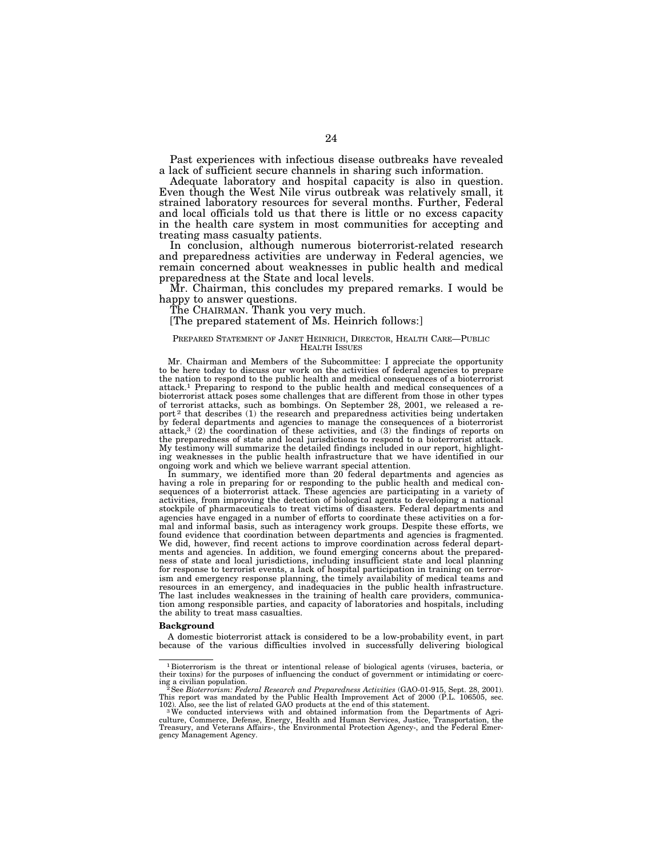Past experiences with infectious disease outbreaks have revealed a lack of sufficient secure channels in sharing such information.

Adequate laboratory and hospital capacity is also in question. Even though the West Nile virus outbreak was relatively small, it strained laboratory resources for several months. Further, Federal and local officials told us that there is little or no excess capacity in the health care system in most communities for accepting and treating mass casualty patients.

In conclusion, although numerous bioterrorist-related research and preparedness activities are underway in Federal agencies, we remain concerned about weaknesses in public health and medical preparedness at the State and local levels.

Mr. Chairman, this concludes my prepared remarks. I would be happy to answer questions.

The CHAIRMAN. Thank you very much.

[The prepared statement of Ms. Heinrich follows:]

#### PREPARED STATEMENT OF JANET HEINRICH, DIRECTOR, HEALTH CARE—PUBLIC HEALTH ISSUES

Mr. Chairman and Members of the Subcommittee: I appreciate the opportunity to be here today to discuss our work on the activities of federal agencies to prepare the nation to respond to the public health and medical consequences of a bioterrorist attack.1 Preparing to respond to the public health and medical consequences of a bioterrorist attack poses some challenges that are different from those in other types of terrorist attacks, such as bombings. On September 28, 2001, we released a report 2 that describes (1) the research and preparedness activities being undertaken by federal departments and agencies to manage the consequences of a bioterrorist attack,<sup>3</sup> (2) the coordination of these activities, and (3) the findings of reports on the preparedness of state and local jurisdictions to respond to a bioterrorist attack. My testimony will summarize the detailed findings included in our report, highlighting weaknesses in the public health infrastructure that we have identified in our ongoing work and which we believe warrant special attention.

In summary, we identified more than 20 federal departments and agencies as having a role in preparing for or responding to the public health and medical consequences of a bioterrorist attack. These agencies are participating in a variety of activities, from improving the detection of biological agents to developing a national stockpile of pharmaceuticals to treat victims of disasters. Federal departments and agencies have engaged in a number of efforts to coordinate these activities on a formal and informal basis, such as interagency work groups. Despite these efforts, we found evidence that coordination between departments and agencies is fragmented. We did, however, find recent actions to improve coordination across federal departments and agencies. In addition, we found emerging concerns about the preparedness of state and local jurisdictions, including insufficient state and local planning for response to terrorist events, a lack of hospital participation in training on terrorism and emergency response planning, the timely availability of medical teams and resources in an emergency, and inadequacies in the public health infrastructure. The last includes weaknesses in the training of health care providers, communication among responsible parties, and capacity of laboratories and hospitals, including the ability to treat mass casualties.

#### **Background**

A domestic bioterrorist attack is considered to be a low-probability event, in part because of the various difficulties involved in successfully delivering biological

<sup>1</sup> Bioterrorism is the threat or intentional release of biological agents (viruses, bacteria, or their toxins) for the purposes of influencing the conduct of government or intimidating or coerc-

ing a civilian population.<br><sup>2</sup> See *Bioterrorism: Federal Research and Preparedness Activities (GAO-01-915, Sept. 28, 2001).<br>This report was mandated by the Public Health Improvement Act of 2000 (P.L. 106505, sec.* 

<sup>102).</sup> Also, see the list of related GAO products at the end of this statement. 3We conducted interviews with and obtained information from the Departments of Agriculture, Commerce, Defense, Energy, Health and Human Services, Justice, Transportation, the Treasury, and Veterans Affairs-, the Environmental Protection Agency-, and the Federal Emer-gency Management Agency.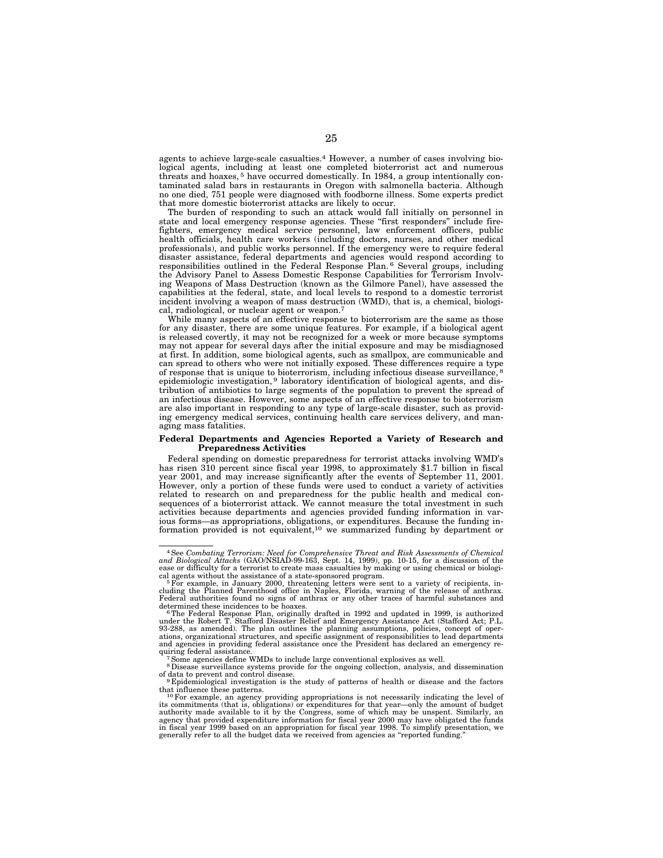agents to achieve large-scale casualties.4 However, a number of cases involving biological agents, including at least one completed bioterrorist act and numerous threats and hoaxes,<sup>5</sup> have occurred domestically. In 1984, a group intentionally contaminated salad bars in restaurants in Oregon with salmonella bacteria. Although no one died, 751 people were diagnosed with foodborne illness. Some experts predict that more domestic bioterrorist attacks are likely to occur.

The burden of responding to such an attack would fall initially on personnel in state and local emergency response agencies. These ''first responders'' include firefighters, emergency medical service personnel, law enforcement officers, public health officials, health care workers (including doctors, nurses, and other medical professionals), and public works personnel. If the emergency were to require federal disaster assistance, federal departments and agencies would respond according to responsibilities outlined in the Federal Response Plan. 6 Several groups, including the Advisory Panel to Assess Domestic Response Capabilities for Terrorism Involving Weapons of Mass Destruction (known as the Gilmore Panel), have assessed the capabilities at the federal, state, and local levels to respond to a domestic terrorist incident involving a weapon of mass destruction (WMD), that is, a chemical, biological, radiological, or nuclear agent or weapon.7

While many aspects of an effective response to bioterrorism are the same as those for any disaster, there are some unique features. For example, if a biological agent is released covertly, it may not be recognized for a week or more because symptoms may not appear for several days after the initial exposure and may be misdiagnosed at first. In addition, some biological agents, such as smallpox, are communicable and can spread to others who were not initially exposed. These differences require a type of response that is unique to bioterrorism, including infectious disease surveillance, epidemiologic investigation, <sup>9</sup> laboratory identification of biological agents, and distribution of antibiotics to large segments of the population to prevent the spread of an infectious disease. However, some aspects of an effective response to bioterrorism are also important in responding to any type of large-scale disaster, such as providing emergency medical services, continuing health care services delivery, and managing mass fatalities.

#### **Federal Departments and Agencies Reported a Variety of Research and Preparedness Activities**

Federal spending on domestic preparedness for terrorist attacks involving WMD's has risen 310 percent since fiscal year 1998, to approximately \$1.7 billion in fiscal year 2001, and may increase significantly after the events of September 11, 2001. However, only a portion of these funds were used to conduct a variety of activities related to research on and preparedness for the public health and medical consequences of a bioterrorist attack. We cannot measure the total investment in such activities because departments and agencies provided funding information in various forms—as appropriations, obligations, or expenditures. Because the funding information provided is not equivalent,10 we summarized funding by department or

<sup>4</sup>See *Combating Terrorism: Need for Comprehensive Threat and Risk Assessments of Chemical and Biological Attacks* (GAO/NSIAD-99-163, Sept. 14, 1999), pp. 10-15, for a discussion of the ease or difficulty for a terrorist to create mass casualties by making or using chemical or biological agents without the assistance of a state-sponsored program. 5For example, in January 2000, threatening letters were sent to a variety of recipients, in-

cluding the Planned Parenthood office in Naples, Florida, warning of the release of anthrax. Federal authorities found no signs of anthrax or any other traces of harmful substances and determined these incidences to be hoaxes.

determined these incidences to be hoaxes.<br><sup>6</sup> The Federal Response Plan, originally drafted in 1992 and updated in 1999, is authorized<br>under the Robert T. Stafford Disaster Relief and Emergency Assistance Act (Stafford Act ations, organizational structures, and specific assignment of responsibilities to lead departments and agencies in providing federal assistance once the President has declared an emergency re-

quiring federal assistance.<br><sup>7</sup> Some agencies define WMDs to include large conventional explosives as well.<br><sup>8</sup> Disease surveillance systems provide for the ongoing collection, analysis, and dissemination

of data to prevent and control disease.<br><sup>9</sup> Epidemiological investigation is the study of patterns of health or disease and the factors that influence these patterns.

<sup>&</sup>lt;sup>10</sup>For example, an agency providing appropriations is not necessarily indicating the level of its commitments (that is, obligations) or expenditures for that year—only the amount of budget authority made available to it by the Congress, some of which may be unspent. Similarly, an agency that provided expenditure information for fiscal year 2000 may have obligated the funds in fiscal year 1999 based on an appropriation for fiscal year 1998. To simplify presentation, we generally refer to all the budget data we received from agencies as ''reported funding.''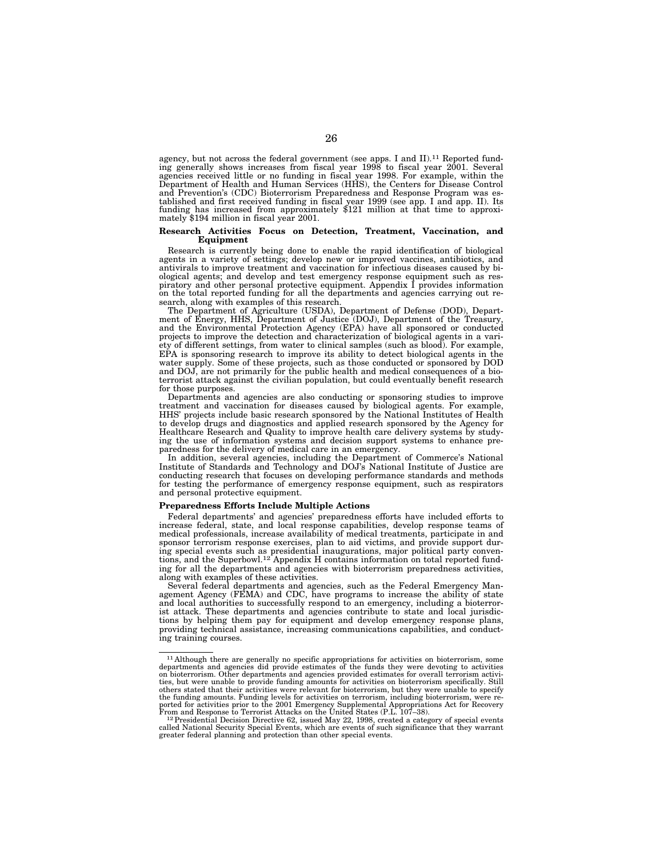agency, but not across the federal government (see apps. I and II).<sup>11</sup> Reported funding generally shows increases from fiscal year 1998 to fiscal year 2001. Several agencies received little or no funding in fiscal year 19 tablished and first received funding in fiscal year 1999 (see app. I and app. II). Its funding has increased from approximately \$121 million at that time to approximately \$194 million in fiscal year 2001.

#### **Research Activities Focus on Detection, Treatment, Vaccination, and Equipment**

Research is currently being done to enable the rapid identification of biological agents in a variety of settings; develop new or improved vaccines, antibiotics, and antivirals to improve treatment and vaccination for infectious diseases caused by biological agents; and develop and test emergency response equipment such as res-piratory and other personal protective equipment. Appendix I provides information on the total reported funding for all the departments and agencies carrying out research, along with examples of this research.

The Department of Agriculture (USDA), Department of Defense (DOD), Department of Energy, HHS, Department of Justice (DOJ), Department of the Treasury, and the Environmental Protection Agency (EPA) have all sponsored or conducted projects to improve the detection and characterization of biological agents in a variety of different settings, from water to clinical samples (such as blood). For example, EPA is sponsoring research to improve its ability to detect biological agents in the water supply. Some of these projects, such as those conducted or sponsored by DOD and DOJ, are not primarily for the public health and medical consequences of a bioterrorist attack against the civilian population, but could eventually benefit research for those purposes.

Departments and agencies are also conducting or sponsoring studies to improve treatment and vaccination for diseases caused by biological agents. For example, HHS' projects include basic research sponsored by the National Institutes of Health to develop drugs and diagnostics and applied research sponsored by the Agency for Healthcare Research and Quality to improve health care delivery systems by studying the use of information systems and decision support systems to enhance preparedness for the delivery of medical care in an emergency.

In addition, several agencies, including the Department of Commerce's National Institute of Standards and Technology and DOJ's National Institute of Justice are conducting research that focuses on developing performance standards and methods for testing the performance of emergency response equipment, such as respirators and personal protective equipment.

### **Preparedness Efforts Include Multiple Actions**

Federal departments' and agencies' preparedness efforts have included efforts to increase federal, state, and local response capabilities, develop response teams of medical professionals, increase availability of medical treatments, participate in and sponsor terrorism response exercises, plan to aid victims, and provide support during special events such as presidential inaugurations, major political party conven-tions, and the Superbowl.12 Appendix H contains information on total reported funding for all the departments and agencies with bioterrorism preparedness activities, along with examples of these activities.

Several federal departments and agencies, such as the Federal Emergency Management Agency (FEMA) and CDC, have programs to increase the ability of state and local authorities to successfully respond to an emergency, including a bioterrorist attack. These departments and agencies contribute to state and local jurisdictions by helping them pay for equipment and develop emergency response plans, providing technical assistance, increasing communications capabilities, and conducting training courses.

 $^{11}$  Although there are generally no specific appropriations for activities on bioterrorism, some departments and agencies did provide estimates of the funds they were devoting to activities on bioterrorism. Other depar ties, but were unable to provide funding amounts for activities on bioterrorism specifically. Still<br>others stated that their activities were relevant for bioterrorism, but they were unable to specify<br>the funding amounts. F ported for activities prior to the 2001 Emergency Supplemental Appropriations Act for Recovery<br>From and Response to Terrorist Attacks on the United States (P.L. 107–38).

 $12$  Presidential Decision Directive 62, issued May 22, 1998, created a category of special events called National Security Special Events, which are events of such significance that they warrant greater federal planning and protection than other special events.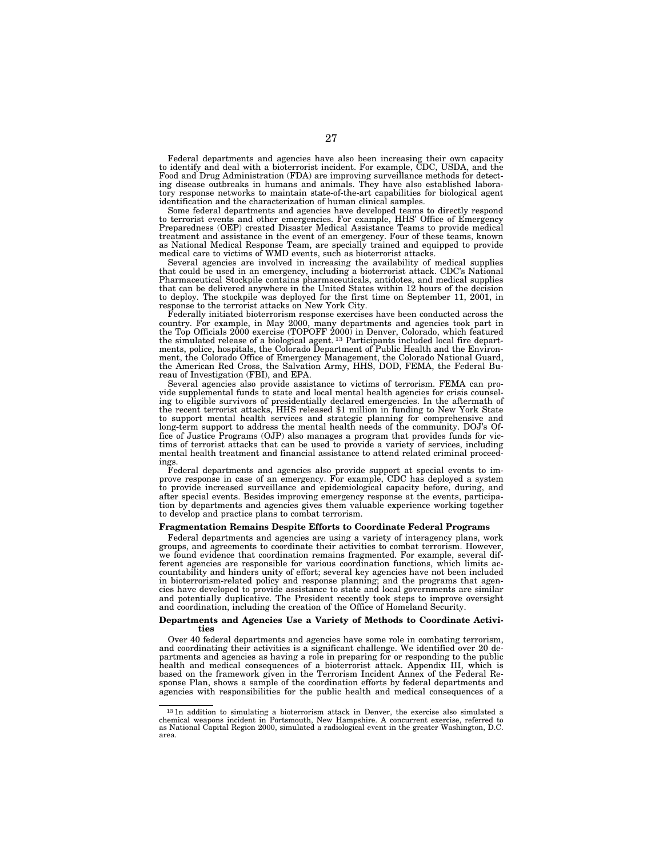Federal departments and agencies have also been increasing their own capacity to identify and deal with a bioterrorist incident. For example, CDC, USDA, and the Food and Drug Administration (FDA) are improving surveillance methods for detecting disease outbreaks in humans and animals. They have also established laboratory response networks to maintain state-of-the-art capabilities for biological agent identification and the characterization of human clinical samples.

Some federal departments and agencies have developed teams to directly respond to terrorist events and other emergencies. For example, HHS' Office of Emergency Preparedness (OEP) created Disaster Medical Assistance Teams to provide medical treatment and assistance in the event of an emergency. Four of these teams, known as National Medical Response Team, are specially trained and equipped to provide medical care to victims of WMD events, such as bioterrorist attacks.

Several agencies are involved in increasing the availability of medical supplies that could be used in an emergency, including a bioterrorist attack. CDC's National Pharmaceutical Stockpile contains pharmaceuticals, antidotes, and medical supplies that can be delivered anywhere in the United States within 12 hours of the decision to deploy. The stockpile was deployed for the first time on September 11, 2001, in response to the terrorist attacks on New York City.

Federally initiated bioterrorism response exercises have been conducted across the country. For example, in May 2000, many departments and agencies took part in the Top Officials 2000 exercise (TOPOFF 2000) in Denver, Colorado, which featured the simulated release of a biological agent. 13 Participants included local fire depart-ments, police, hospitals, the Colorado Department of Public Health and the Environment, the Colorado Office of Emergency Management, the Colorado National Guard, the American Red Cross, the Salvation Army, HHS, DOD, FEMA, the Federal Bureau of Investigation (FBI), and EPA.

Several agencies also provide assistance to victims of terrorism. FEMA can provide supplemental funds to state and local mental health agencies for crisis counseling to eligible survivors of presidentially declared emergencies. In the aftermath of the recent terrorist attacks, HHS released \$1 million in funding to New York State to support mental health services and strategic planning for comprehensive and long-term support to address the mental health needs of the community. DOJ's Office of Justice Programs (OJP) also manages a program that provides funds for victims of terrorist attacks that can be used to provide a variety of services, including mental health treatment and financial assistance to attend related criminal proceedings.

Federal departments and agencies also provide support at special events to improve response in case of an emergency. For example, CDC has deployed a system to provide increased surveillance and epidemiological capacity before, during, and after special events. Besides improving emergency response at the events, participation by departments and agencies gives them valuable experience working together to develop and practice plans to combat terrorism.

## **Fragmentation Remains Despite Efforts to Coordinate Federal Programs**

Federal departments and agencies are using a variety of interagency plans, work groups, and agreements to coordinate their activities to combat terrorism. However, we found evidence that coordination remains fragmented. For example, several different agencies are responsible for various coordination functions, which limits accountability and hinders unity of effort; several key agencies have not been included in bioterrorism-related policy and response planning; and the programs that agencies have developed to provide assistance to state and local governments are similar and potentially duplicative. The President recently took steps to improve oversight and coordination, including the creation of the Office of Homeland Security.

#### **Departments and Agencies Use a Variety of Methods to Coordinate Activities**

Over 40 federal departments and agencies have some role in combating terrorism, and coordinating their activities is a significant challenge. We identified over 20 departments and agencies as having a role in preparing for or responding to the public health and medical consequences of a bioterrorist attack. Appendix III, which is based on the framework given in the Terrorism Incident Annex of the Federal Response Plan, shows a sample of the coordination efforts by federal departments and agencies with responsibilities for the public health and medical consequences of a

<sup>13</sup> 1n addition to simulating a bioterrorism attack in Denver, the exercise also simulated a chemical weapons incident in Portsmouth, New Hampshire. A concurrent exercise, referred to as National Capital Region 2000, simulated a radiological event in the greater Washington, D.C. area.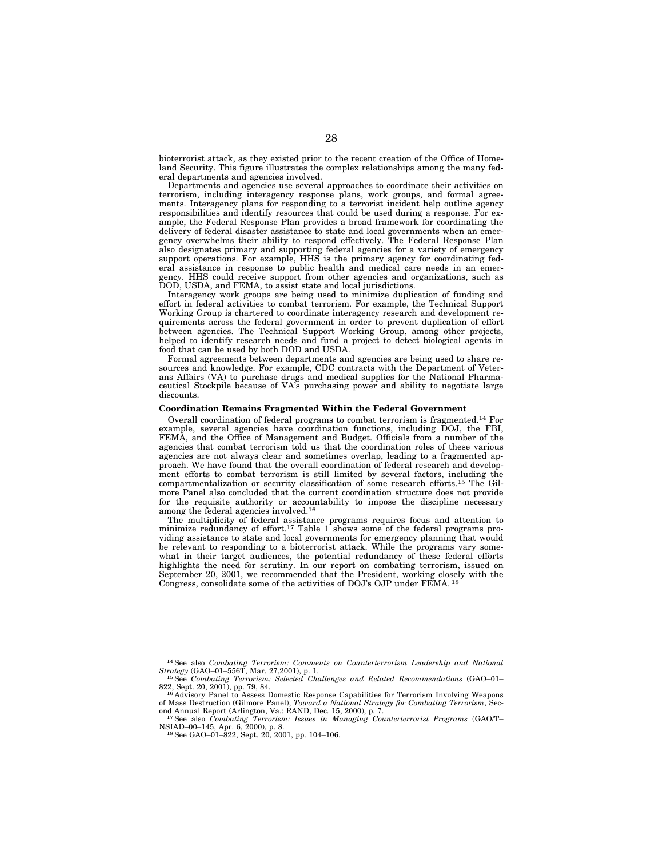bioterrorist attack, as they existed prior to the recent creation of the Office of Homeland Security. This figure illustrates the complex relationships among the many federal departments and agencies involved.

Departments and agencies use several approaches to coordinate their activities on terrorism, including interagency response plans, work groups, and formal agreements. Interagency plans for responding to a terrorist incident help outline agency responsibilities and identify resources that could be used during a response. For example, the Federal Response Plan provides a broad framework for coordinating the delivery of federal disaster assistance to state and local governments when an emergency overwhelms their ability to respond effectively. The Federal Response Plan also designates primary and supporting federal agencies for a variety of emergency support operations. For example, HHS is the primary agency for coordinating federal assistance in response to public health and medical care needs in an emergency. HHS could receive support from other agencies and organizations, such as DOD, USDA, and FEMA, to assist state and local jurisdictions.

Interagency work groups are being used to minimize duplication of funding and effort in federal activities to combat terrorism. For example, the Technical Support Working Group is chartered to coordinate interagency research and development requirements across the federal government in order to prevent duplication of effort between agencies. The Technical Support Working Group, among other projects, helped to identify research needs and fund a project to detect biological agents in food that can be used by both DOD and USDA.

Formal agreements between departments and agencies are being used to share resources and knowledge. For example, CDC contracts with the Department of Veterans Affairs (VA) to purchase drugs and medical supplies for the National Pharmaceutical Stockpile because of VA's purchasing power and ability to negotiate large discounts.

#### **Coordination Remains Fragmented Within the Federal Government**

Overall coordination of federal programs to combat terrorism is fragmented.14 For example, several agencies have coordination functions, including DOJ, the FBI, FEMA, and the Office of Management and Budget. Officials from a number of the agencies that combat terrorism told us that the coordination roles of these various agencies are not always clear and sometimes overlap, leading to a fragmented approach. We have found that the overall coordination of federal research and development efforts to combat terrorism is still limited by several factors, including the compartmentalization or security classification of some research efforts.15 The Gilmore Panel also concluded that the current coordination structure does not provide for the requisite authority or accountability to impose the discipline necessary among the federal agencies involved.16

The multiplicity of federal assistance programs requires focus and attention to minimize redundancy of effort.<sup>17</sup> Table 1 shows some of the federal programs providing assistance to state and local governments for emergency planning that would be relevant to responding to a bioterrorist attack. While the programs vary somewhat in their target audiences, the potential redundancy of these federal efforts highlights the need for scrutiny. In our report on combating terrorism, issued on September 20, 2001, we recommended that the President, working closely with the Congress, consolidate some of the activities of DOJ's OJP under FEMA. 18

<sup>14</sup>See also *Combating Terrorism: Comments on Counterterrorism Leadership and National Strategy* (GAO–01–556T, Mar. 27,2001), p. 1. 15See *Combating Terrorism: Selected Challenges and Related Recommendations* (GAO–01–

Sept. 20, 2001), pp. 79, 84.<br>
<sup>16</sup> Advisory Panel to Assess Domestic Response Capabilities for Terrorism Involving Weapons<sup>16</sup> Advisory Panel to Assess Domestic Response Capabilities for Terrorism Involving Weapons

of Mass Destruction (Gilmore Panel), Toward a National Strategy for Combating Terrorism, Second Annual Report (Arlington, Va.: RAND, Dec. 15, 2000), p. 7.<br><sup>17</sup> See also *Combating Terrorism: Issues in Managing Counterterro* 

NSIAD–00–145, Apr. 6, 2000), p. 8.<br><sup>18</sup>See GAO–01–822, Sept. 20, 2001, pp. 104–106.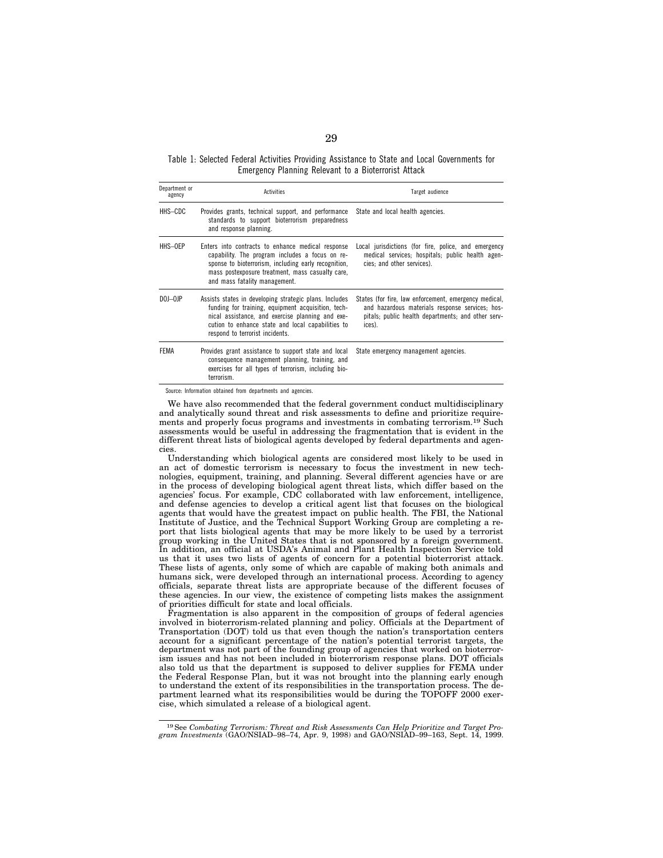Table 1: Selected Federal Activities Providing Assistance to State and Local Governments for Emergency Planning Relevant to a Bioterrorist Attack

| Department or<br>agency | Activities                                                                                                                                                                                                                                               | Target audience                                                                                                                                                          |  |
|-------------------------|----------------------------------------------------------------------------------------------------------------------------------------------------------------------------------------------------------------------------------------------------------|--------------------------------------------------------------------------------------------------------------------------------------------------------------------------|--|
| HHS-CDC                 | Provides grants, technical support, and performance<br>standards to support bioterrorism preparedness<br>and response planning.                                                                                                                          | State and local health agencies.                                                                                                                                         |  |
| HHS-OEP                 | Enters into contracts to enhance medical response<br>capability. The program includes a focus on re-<br>sponse to bioterrorism, including early recognition,<br>mass postexposure treatment, mass casualty care,<br>and mass fatality management.        | Local jurisdictions (for fire, police, and emergency<br>medical services; hospitals; public health agen-<br>cies: and other services).                                   |  |
| $DOJ = OJP$             | Assists states in developing strategic plans. Includes<br>funding for training, equipment acquisition, tech-<br>nical assistance, and exercise planning and exe-<br>cution to enhance state and local capabilities to<br>respond to terrorist incidents. | States (for fire, law enforcement, emergency medical,<br>and hazardous materials response services; hos-<br>pitals; public health departments; and other serv-<br>ices). |  |
| <b>FEMA</b>             | Provides grant assistance to support state and local<br>consequence management planning, training, and<br>exercises for all types of terrorism, including bio-<br>terrorism.                                                                             | State emergency management agencies.                                                                                                                                     |  |

Source: Information obtained from departments and agencies.

We have also recommended that the federal government conduct multidisciplinary and analytically sound threat and risk assessments to define and prioritize requirements and properly focus programs and investments in combating terrorism.<sup>19</sup> Such assessments would be useful in addressing the fragmentation that is evident in the different threat lists of biological agents developed by federal departments and agencies.

Understanding which biological agents are considered most likely to be used in an act of domestic terrorism is necessary to focus the investment in new technologies, equipment, training, and planning. Several different agencies have or are in the process of developing biological agent threat lists, which differ based on the agencies' focus. For example, CDC collaborated with law enforcement, intelligence, and defense agencies to develop a critical agent list that focuses on the biological agents that would have the greatest impact on public health. The FBI, the National Institute of Justice, and the Technical Support Working Group are completing a report that lists biological agents that may be more likely to be used by a terrorist group working in the United States that is not sponsored by a foreign government. In addition, an official at USDA's Animal and Plant Health Inspection Service told us that it uses two lists of agents of concern for a potential bioterrorist attack. These lists of agents, only some of which are capable of making both animals and humans sick, were developed through an international process. According to agency officials, separate threat lists are appropriate because of the different focuses of these agencies. In our view, the existence of competing lists makes the assignment of priorities difficult for state and local officials.

Fragmentation is also apparent in the composition of groups of federal agencies involved in bioterrorism-related planning and policy. Officials at the Department of Transportation (DOT) told us that even though the nation's transportation centers account for a significant percentage of the nation's potential terrorist targets, the department was not part of the founding group of agencies that worked on bioterrorism issues and has not been included in bioterrorism response plans. DOT officials also told us that the department is supposed to deliver supplies for FEMA under the Federal Response Plan, but it was not brought into the planning early enough to understand the extent of its responsibilities in the transportation process. The department learned what its responsibilities would be during the TOPOFF 2000 exercise, which simulated a release of a biological agent.

<sup>19</sup>See *Combating Terrorism: Threat and Risk Assessments Can Help Prioritize and Target Pro-gram Investments* (GAO/NSIAD–98–74, Apr. 9, 1998) and GAO/NSIAD–99–163, Sept. 14, 1999.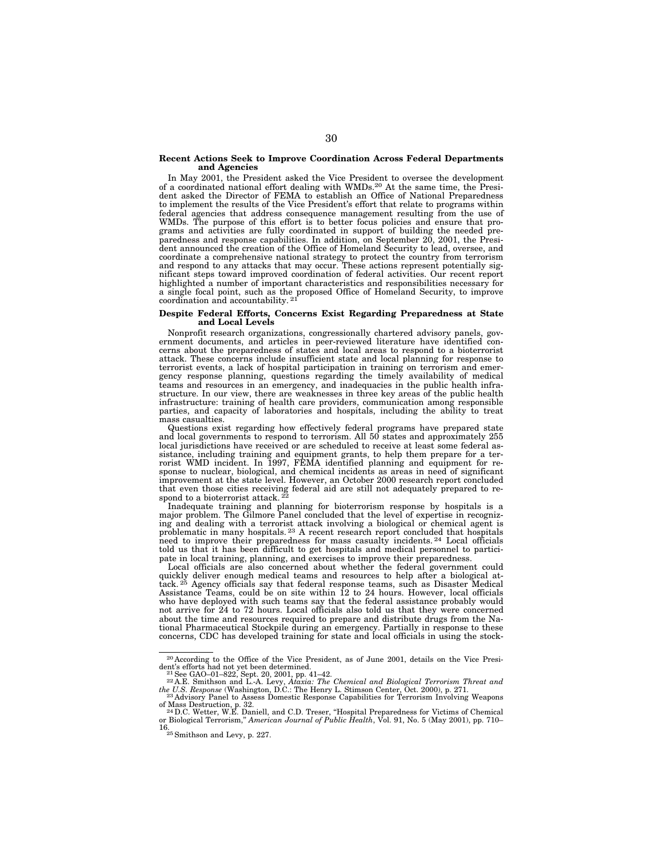#### **Recent Actions Seek to Improve Coordination Across Federal Departments and Agencies**

In May 2001, the President asked the Vice President to oversee the development of a coordinated national effort dealing with WMDs.<sup>20</sup> At the same time, the President asked the Director of FEMA to establish an Office of National Preparedness to implement the results of the Vice President's effort that relate to programs within federal agencies that address consequence management resulting from the use of WMDs. The purpose of this effort is to better focus policies and ensure that programs and activities are fully coordinated in support of building the needed preparedness and response capabilities. In addition, on September 20, 2001, the President announced the creation of the Office of Homeland Security to lead, oversee, and coordinate a comprehensive national strategy to protect the country from terrorism and respond to any attacks that may occur. These actions represent potentially significant steps toward improved coordination of federal activities. Our recent report highlighted a number of important characteristics and responsibilities necessary for a single focal point, such as the proposed Office of Homeland Security, to improve coordination and accountability.<sup>21</sup>

#### **Despite Federal Efforts, Concerns Exist Regarding Preparedness at State and Local Levels**

Nonprofit research organizations, congressionally chartered advisory panels, government documents, and articles in peer-reviewed literature have identified concerns about the preparedness of states and local areas to respond to a bioterrorist attack. These concerns include insufficient state and local planning for response to terrorist events, a lack of hospital participation in training on terrorism and emergency response planning, questions regarding the timely availability of medical teams and resources in an emergency, and inadequacies in the public health infrastructure. In our view, there are weaknesses in three key areas of the public health infrastructure: training of health care providers, communication among responsible parties, and capacity of laboratories and hospitals, including the ability to treat mass casualties.

Questions exist regarding how effectively federal programs have prepared state and local governments to respond to terrorism. All 50 states and approximately 255 local jurisdictions have received or are scheduled to receive at least some federal assistance, including training and equipment grants, to help them prepare for a terrorist WMD incident. In 1997, FEMA identified planning and equipment for response to nuclear, biological, and chemical incidents as areas in need of significant improvement at the state level. However, an October 2000 research report concluded that even those cities receiving federal aid are still not adequately prepared to respond to a bioterrorist attack.  $2\overline{2}$ 

Inadequate training and planning for bioterrorism response by hospitals is a major problem. The Gilmore Panel concluded that the level of expertise in recognizing and dealing with a terrorist attack involving a biological or chemical agent is problematic in many hospitals.<sup>23</sup> A recent research report concluded that hospitals need to improve their preparedness for mass casualty incidents.<sup>24</sup> Local officials told us that it has been difficult to get hospitals and medical personnel to participate in local training, planning, and exercises to improve their preparedness.

Local officials are also concerned about whether the federal government could quickly deliver enough medical teams and resources to help after a biological attack. 25 Agency officials say that federal response teams, such as Disaster Medical Assistance Teams, could be on site within 12 to 24 hours. However, local officials who have deployed with such teams say that the federal assistance probably would not arrive for 24 to 72 hours. Local officials also told us that they were concerned about the time and resources required to prepare and distribute drugs from the National Pharmaceutical Stockpile during an emergency. Partially in response to these concerns, CDC has developed training for state and local officials in using the stock-

<sup>&</sup>lt;sup>20</sup> According to the Office of the Vice President, as of June 2001, details on the Vice President's efforts had not yet been determined.<br><sup>21</sup> See GAO–01–822, Sept. 20, 2001, pp. 41–42.<br><sup>21</sup> See GAO–01–822, Sept. 20, 2001

<sup>&</sup>lt;sup>22</sup> A.E. Smithson and L.-A. Levy, *Ataxia: The Chemical and Biological Terrorism Threat and*<br>*the U.S. Response* (Washington, D.C.: The Henry L. Stimson Center, Oct. 2000), p. 271.<br><sup>23</sup> Advisory Panel to Assess Domestic R

of Mass Destruction, p. 32.<br><sup>24</sup> D.C. Wetter, W.E. Daniell, and C.D. Treser, "Hospital Preparedness for Victims of Chemical<br>20 Biological Terrorism," *American Journal of Public Health*, Vol. 91, No. 5 (May 2001), pp. 710–

 $16.$ <sup>25</sup> Smithson and Levy, p. 227.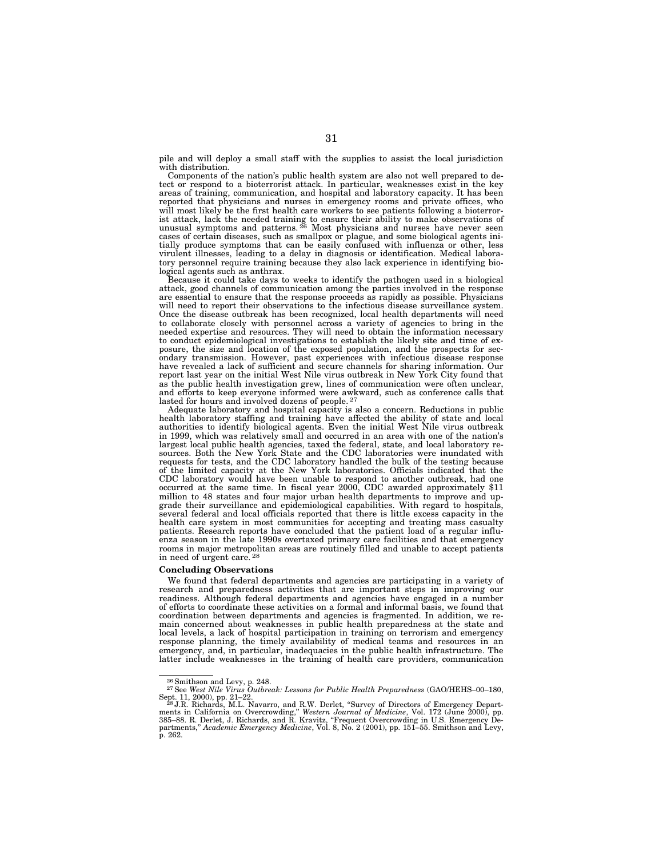pile and will deploy a small staff with the supplies to assist the local jurisdiction with distribution.

Components of the nation's public health system are also not well prepared to detect or respond to a bioterrorist attack. In particular, weaknesses exist in the key areas of training, communication, and hospital and laboratory capacity. It has been reported that physicians and nurses in emergency rooms and private offices, who will most likely be the first health care workers to see patients following a bioterrorist attack, lack the needed training to ensure their ability to make observations of unusual symptoms and patterns.<sup>26</sup> Most physicians and nurses have never seen cases of certain diseases, such as smallpox or plague, and some biological agents initially produce symptoms that can be easily confused with influenza or other, less virulent illnesses, leading to a delay in diagnosis or identification. Medical laboratory personnel require training because they also lack experience in identifying biological agents such as anthrax.

Because it could take days to weeks to identify the pathogen used in a biological attack, good channels of communication among the parties involved in the response are essential to ensure that the response proceeds as rapidly as possible. Physicians will need to report their observations to the infectious disease surveillance system. Once the disease outbreak has been recognized, local health departments will need to collaborate closely with personnel across a variety of agencies to bring in the needed expertise and resources. They will need to obtain the information necessary to conduct epidemiological investigations to establish the likely site and time of exposure, the size and location of the exposed population, and the prospects for secondary transmission. However, past experiences with infectious disease response have revealed a lack of sufficient and secure channels for sharing information. Our report last year on the initial West Nile virus outbreak in New York City found that as the public health investigation grew, lines of communication were often unclear, and efforts to keep everyone informed were awkward, such as conference calls that lasted for hours and involved dozens of people.<sup>27</sup>

Adequate laboratory and hospital capacity is also a concern. Reductions in public health laboratory staffing and training have affected the ability of state and local authorities to identify biological agents. Even the initial West Nile virus outbreak in 1999, which was relatively small and occurred in an area with one of the nation's largest local public health agencies, taxed the federal, state, and local laboratory resources. Both the New York State and the CDC laboratories were inundated with requests for tests, and the CDC laboratory handled the bulk of the testing because of the limited capacity at the New York laboratories. Officials indicated that the CDC laboratory would have been unable to respond to another outbreak, had one occurred at the same time. In fiscal year 2000, CDC awarded approximately \$11 million to 48 states and four major urban health departments to improve and upgrade their surveillance and epidemiological capabilities. With regard to hospitals, several federal and local officials reported that there is little excess capacity in the health care system in most communities for accepting and treating mass casualty patients. Research reports have concluded that the patient load of a regular influenza season in the late 1990s overtaxed primary care facilities and that emergency rooms in major metropolitan areas are routinely filled and unable to accept patients in need of urgent care. 28

#### **Concluding Observations**

We found that federal departments and agencies are participating in a variety of research and preparedness activities that are important steps in improving our readiness. Although federal departments and agencies have engaged in a number of efforts to coordinate these activities on a formal and informal basis, we found that coordination between departments and agencies is fragmented. In addition, we remain concerned about weaknesses in public health preparedness at the state and local levels, a lack of hospital participation in training on terrorism and emergency response planning, the timely availability of medical teams and resources in an emergency, and, in particular, inadequacies in the public health infrastructure. The latter include weaknesses in the training of health care providers, communication

<sup>26</sup>Smithson and Levy, p. 248. 27See *West Nile Virus Outbreak: Lessons for Public Health Preparedness* (GAO/HEHS–00–180,

Sept. 11, 2000), pp. 21–22.<br><sup>28</sup>J.R. Richards, M.L. Navarro, and R.W. Derlet, "Survey of Directors of Emergency Depart-<br>ments in California on Overcrowding," Western Journal of Medicine, Vol. 172 (June 2000), pp.<br>385–88. R partments,'' *Academic Emergency Medicine*, Vol. 8, No. 2 (2001), pp. 151–55. Smithson and Levy, p. 262.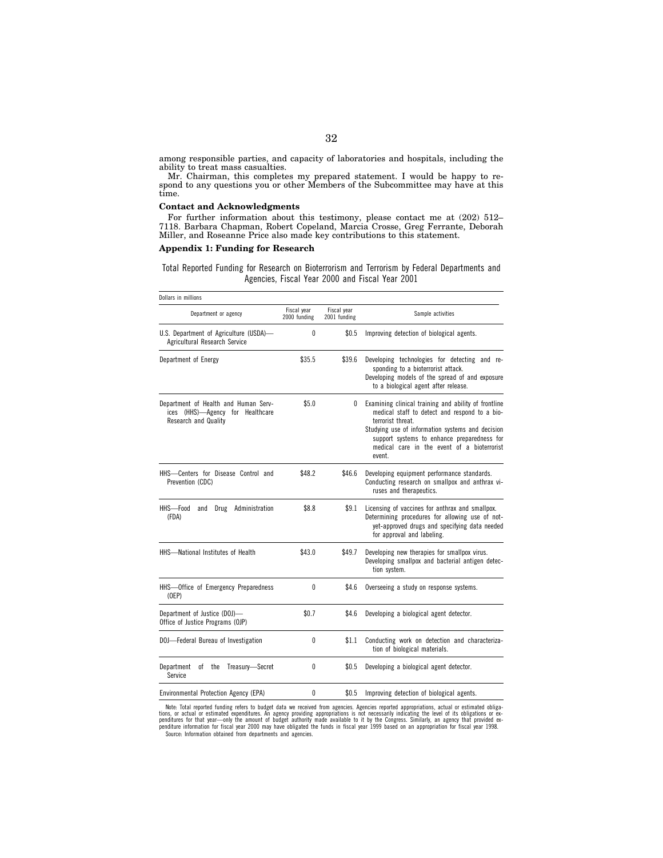among responsible parties, and capacity of laboratories and hospitals, including the ability to treat mass casualties.

Mr. Chairman, this completes my prepared statement. I would be happy to respond to any questions you or other Members of the Subcommittee may have at this time.

### **Contact and Acknowledgments**

For further information about this testimony, please contact me at (202) 512– 7118. Barbara Chapman, Robert Copeland, Marcia Crosse, Greg Ferrante, Deborah Miller, and Roseanne Price also made key contributions to this statement.

## **Appendix 1: Funding for Research**

Total Reported Funding for Research on Bioterrorism and Terrorism by Federal Departments and Agencies, Fiscal Year 2000 and Fiscal Year 2001

| Dollars in millions                                                                              |                             |                             |                                                                                                                                                                                                                                                                                        |
|--------------------------------------------------------------------------------------------------|-----------------------------|-----------------------------|----------------------------------------------------------------------------------------------------------------------------------------------------------------------------------------------------------------------------------------------------------------------------------------|
| Department or agency                                                                             | Fiscal year<br>2000 funding | Fiscal vear<br>2001 funding | Sample activities                                                                                                                                                                                                                                                                      |
| U.S. Department of Agriculture (USDA)-<br>Agricultural Research Service                          | $\Omega$                    | \$0.5                       | Improving detection of biological agents.                                                                                                                                                                                                                                              |
| Department of Energy                                                                             | \$35.5                      | \$39.6                      | Developing technologies for detecting and re-<br>sponding to a bioterrorist attack.<br>Developing models of the spread of and exposure<br>to a biological agent after release.                                                                                                         |
| Department of Health and Human Serv-<br>ices (HHS)-Agency for Healthcare<br>Research and Quality | \$5.0                       | 0                           | Examining clinical training and ability of frontline<br>medical staff to detect and respond to a bio-<br>terrorist threat.<br>Studying use of information systems and decision<br>support systems to enhance preparedness for<br>medical care in the event of a bioterrorist<br>event. |
| HHS-Centers for Disease Control and<br>Prevention (CDC)                                          | \$48.2                      | \$46.6                      | Developing equipment performance standards.<br>Conducting research on smallpox and anthrax vi-<br>ruses and therapeutics.                                                                                                                                                              |
| HHS-Food<br>and Drug<br>Administration<br>(FDA)                                                  | \$8.8                       | \$9.1                       | Licensing of vaccines for anthrax and smallpox.<br>Determining procedures for allowing use of not-<br>yet-approved drugs and specifying data needed<br>for approval and labeling.                                                                                                      |
| HHS-National Institutes of Health                                                                | \$43.0                      | \$49.7                      | Developing new therapies for smallpox virus.<br>Developing smallpox and bacterial antigen detec-<br>tion system.                                                                                                                                                                       |
| HHS-Office of Emergency Preparedness<br>(OEP)                                                    | 0                           | \$4.6                       | Overseeing a study on response systems.                                                                                                                                                                                                                                                |
| Department of Justice (DOJ)-<br>Office of Justice Programs (OJP)                                 | \$0.7                       | \$4.6                       | Developing a biological agent detector.                                                                                                                                                                                                                                                |
| DOJ-Federal Bureau of Investigation                                                              | 0                           | \$1.1                       | Conducting work on detection and characteriza-<br>tion of biological materials.                                                                                                                                                                                                        |
| Department of the Treasury-Secret<br>Service                                                     | $\mathbf{0}$                | \$0.5                       | Developing a biological agent detector.                                                                                                                                                                                                                                                |
| Environmental Protection Agency (EPA)                                                            | 0                           | \$0.5                       | Improving detection of biological agents.                                                                                                                                                                                                                                              |

Note: Total reported funding refers to budget data we received from agencies. Agencies reported appropriations, actual or estimated obliga-<br>tions, or actual or estimated expenditures. An agency providing appropriations is Source: Information obtained from departments and agencies.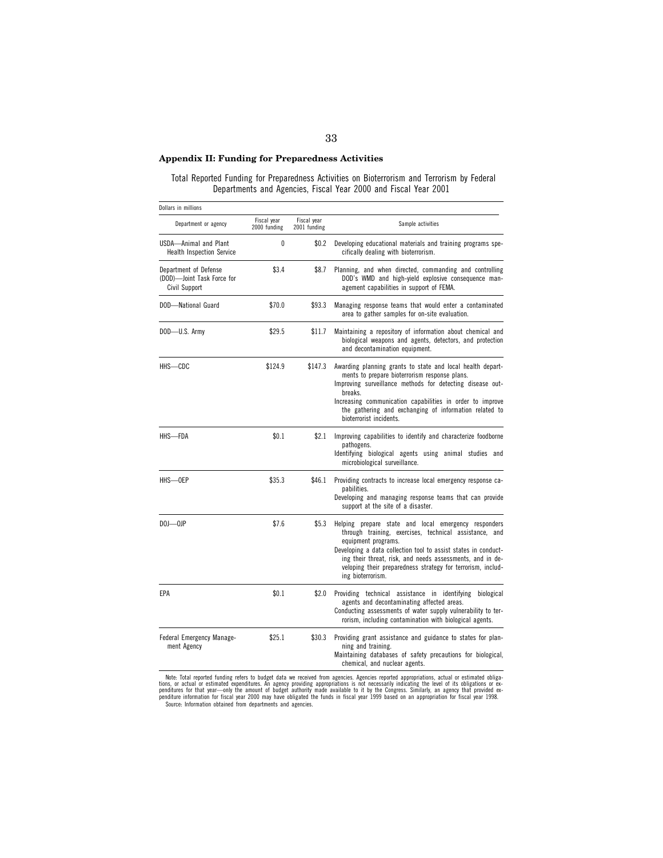# **Appendix II: Funding for Preparedness Activities**

Total Reported Funding for Preparedness Activities on Bioterrorism and Terrorism by Federal Departments and Agencies, Fiscal Year 2000 and Fiscal Year 2001

| Dollars in millions                                                  |                             |                             |                                                                                                                                                                                                                                                                                                                                                          |  |
|----------------------------------------------------------------------|-----------------------------|-----------------------------|----------------------------------------------------------------------------------------------------------------------------------------------------------------------------------------------------------------------------------------------------------------------------------------------------------------------------------------------------------|--|
| Department or agency                                                 | Fiscal year<br>2000 funding | Fiscal year<br>2001 funding | Sample activities                                                                                                                                                                                                                                                                                                                                        |  |
| USDA-Animal and Plant<br><b>Health Inspection Service</b>            | $\mathbf{0}$                | \$0.2                       | Developing educational materials and training programs spe-<br>cifically dealing with bioterrorism.                                                                                                                                                                                                                                                      |  |
| Department of Defense<br>(DOD)-Joint Task Force for<br>Civil Support | \$3.4                       | \$8.7                       | Planning, and when directed, commanding and controlling<br>DOD's WMD and high-yield explosive consequence man-<br>agement capabilities in support of FEMA.                                                                                                                                                                                               |  |
| DOD-National Guard                                                   | \$70.0                      | \$93.3                      | Managing response teams that would enter a contaminated<br>area to gather samples for on-site evaluation.                                                                                                                                                                                                                                                |  |
| DOD-U.S. Army                                                        | \$29.5                      | \$11.7                      | Maintaining a repository of information about chemical and<br>biological weapons and agents, detectors, and protection<br>and decontamination equipment.                                                                                                                                                                                                 |  |
| HHS-CDC                                                              | \$124.9                     | \$147.3                     | Awarding planning grants to state and local health depart-<br>ments to prepare bioterrorism response plans.<br>Improving surveillance methods for detecting disease out-<br>breaks.<br>Increasing communication capabilities in order to improve<br>the gathering and exchanging of information related to<br>bioterrorist incidents.                    |  |
| HHS-FDA                                                              | \$0.1                       | \$2.1                       | Improving capabilities to identify and characterize foodborne<br>pathogens.<br>Identifying biological agents using animal studies and<br>microbiological surveillance.                                                                                                                                                                                   |  |
| HHS-OEP                                                              | \$35.3                      | \$46.1                      | Providing contracts to increase local emergency response ca-<br>pabilities.<br>Developing and managing response teams that can provide<br>support at the site of a disaster.                                                                                                                                                                             |  |
| $DO$ - $OP$                                                          | \$7.6                       | \$5.3                       | Helping prepare state and local emergency responders<br>through training, exercises, technical assistance, and<br>equipment programs.<br>Developing a data collection tool to assist states in conduct-<br>ing their threat, risk, and needs assessments, and in de-<br>veloping their preparedness strategy for terrorism, includ-<br>ing bioterrorism. |  |
| EPA                                                                  | \$0.1                       | \$2.0                       | Providing technical assistance in identifying biological<br>agents and decontaminating affected areas.<br>Conducting assessments of water supply vulnerability to ter-<br>rorism, including contamination with biological agents.                                                                                                                        |  |
| Federal Emergency Manage-<br>ment Agency                             | \$25.1                      | \$30.3                      | Providing grant assistance and guidance to states for plan-<br>ning and training.<br>Maintaining databases of safety precautions for biological,<br>chemical, and nuclear agents.                                                                                                                                                                        |  |

Note: Total reported funding refers to budget data we received from agencies. Agencies reported appropriations, or actual or estimated obliga-<br>tions, or actual or estimated expenditures. An agency providing appropriations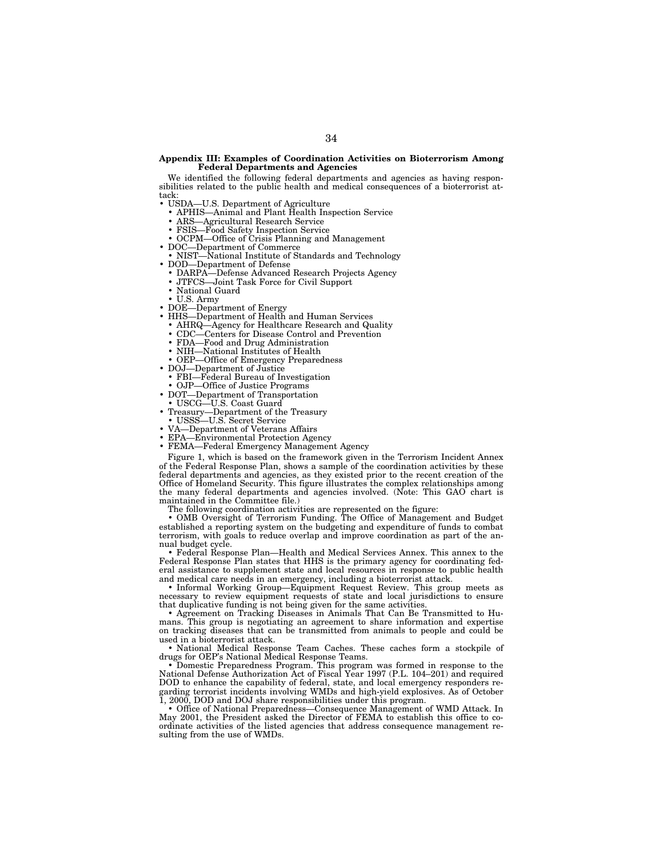## **Appendix III: Examples of Coordination Activities on Bioterrorism Among Federal Departments and Agencies**

We identified the following federal departments and agencies as having responsibilities related to the public health and medical consequences of a bioterrorist attack:<br>• USDA-

- USDA—U.S. Department of Agriculture
- APHIS—Animal and Plant Health Inspection Service
- ARS—Agricultural Research Service
- FSIS—Food Safety Inspection Service • OCPM—Office of Crisis Planning and Management
- DOC—Department of Commerce
- NIST—National Institute of Standards and Technology
- DOD—Department of Defense
	- DARPA—Defense Advanced Research Projects Agency
	- JTFCS—Joint Task Force for Civil Support
	- National Guard
	- U.S. Army
- DOE—Department of Energy
- HHS—Department of Health and Human Services
	- AHRQ—Agency for Healthcare Research and Quality
	- CDC—Centers for Disease Control and Prevention
	- FDA—Food and Drug Administration
	- NIH—National Institutes of Health
- OEP—Office of Emergency Preparedness
- DOJ—Department of Justice
- FBI—Federal Bureau of Investigation
- OJP—Office of Justice Programs
- DOT—Department of Transportation
- USCG—U.S. Coast Guard
- Treasury—Department of the Treasury
- USSS—U.S. Secret Service
- VA—Department of Veterans Affairs
- EPA—Environmental Protection Agency
- FEMA—Federal Emergency Management Agency

Figure 1, which is based on the framework given in the Terrorism Incident Annex of the Federal Response Plan, shows a sample of the coordination activities by these federal departments and agencies, as they existed prior to the recent creation of the Office of Homeland Security. This figure illustrates the complex relationships among the many federal departments and agencies involved. (Note: This GAO chart is maintained in the Committee file.)

The following coordination activities are represented on the figure:

• OMB Oversight of Terrorism Funding. The Office of Management and Budget established a reporting system on the budgeting and expenditure of funds to combat terrorism, with goals to reduce overlap and improve coordination as part of the annual budget cycle.

• Federal Response Plan—Health and Medical Services Annex. This annex to the Federal Response Plan states that HHS is the primary agency for coordinating federal assistance to supplement state and local resources in response to public health and medical care needs in an emergency, including a bioterrorist attack.

• Informal Working Group—Equipment Request Review. This group meets as necessary to review equipment requests of state and local jurisdictions to ensure that duplicative funding is not being given for the same activities.

• Agreement on Tracking Diseases in Animals That Can Be Transmitted to Humans. This group is negotiating an agreement to share information and expertise on tracking diseases that can be transmitted from animals to people and could be used in a bioterrorist attack.

• National Medical Response Team Caches. These caches form a stockpile of drugs for OEP's National Medical Response Teams.

• Domestic Preparedness Program. This program was formed in response to the National Defense Authorization Act of Fiscal Year 1997 (P.L. 104–201) and required DOD to enhance the capability of federal, state, and local emergency responders regarding terrorist incidents involving WMDs and high-yield explosives. As of October 1, 2000, DOD and DOJ share responsibilities under this program.

• Office of National Preparedness—Consequence Management of WMD Attack. In May 2001, the President asked the Director of FEMA to establish this office to coordinate activities of the listed agencies that address consequence management resulting from the use of WMDs.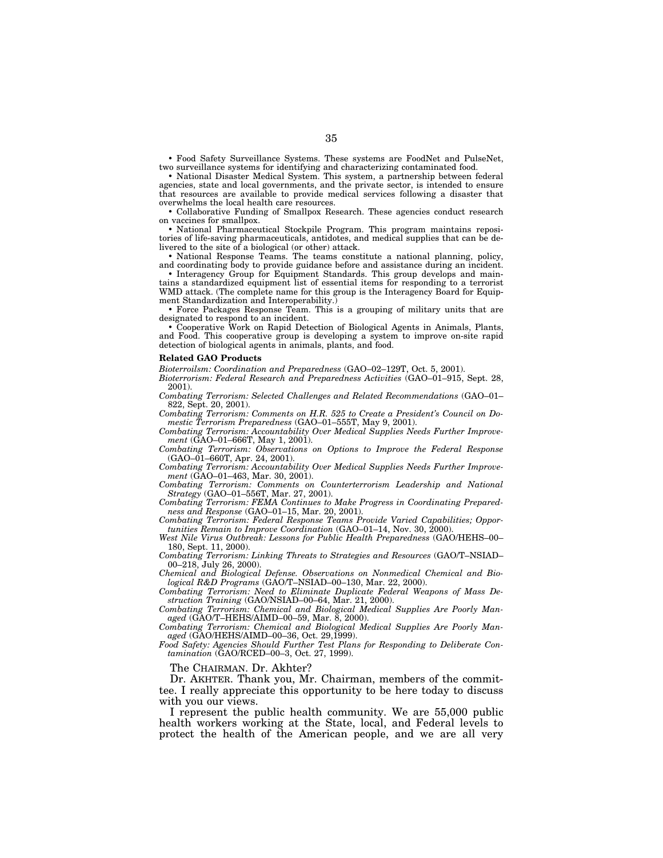• Food Safety Surveillance Systems. These systems are FoodNet and PulseNet, two surveillance systems for identifying and characterizing contaminated food.

• National Disaster Medical System. This system, a partnership between federal agencies, state and local governments, and the private sector, is intended to ensure that resources are available to provide medical services following a disaster that overwhelms the local health care resources.

• Collaborative Funding of Smallpox Research. These agencies conduct research on vaccines for smallpox.

• National Pharmaceutical Stockpile Program. This program maintains repositories of life-saving pharmaceuticals, antidotes, and medical supplies that can be delivered to the site of a biological (or other) attack.

• National Response Teams. The teams constitute a national planning, policy, and coordinating body to provide guidance before and assistance during an incident.

• Interagency Group for Equipment Standards. This group develops and maintains a standardized equipment list of essential items for responding to a terrorist WMD attack. (The complete name for this group is the Interagency Board for Equipment Standardization and Interoperability.)

• Force Packages Response Team. This is a grouping of military units that are designated to respond to an incident.

• Cooperative Work on Rapid Detection of Biological Agents in Animals, Plants, and Food. This cooperative group is developing a system to improve on-site rapid detection of biological agents in animals, plants, and food.

## **Related GAO Products**

*Bioterroilsm: Coordination and Preparedness* (GAO–02–129T, Oct. 5, 2001).

*Bioterrorism: Federal Research and Preparedness Activities* (GAO–01–915, Sept. 28, 2001).

*Combating Terrorism: Selected Challenges and Related Recommendations* (GAO–01– 822, Sept. 20, 2001).

*Combating Terrorism: Comments on H.R. 525 to Create a President's Council on Domestic Terrorism Preparedness* (GAO–01–555T, May 9, 2001).

*Combating Terrorism: Accountability Over Medical Supplies Needs Further Improvement* (GAO–01–666T, May 1, 2001).

*Combating Terrorism: Observations on Options to Improve the Federal Response* (GAO–01–660T, Apr. 24, 2001).

*Combating Terrorism: Accountability Over Medical Supplies Needs Further Improvement* (GAO–01–463, Mar. 30, 2001).

*Combating Terrorism: Comments on Counterterrorism Leadership and National Strategy* (GAO–01–556T, Mar. 27, 2001).

*Combating Terrorism: FEMA Continues to Make Progress in Coordinating Preparedness and Response* (GAO–01–15, Mar. 20, 2001).

*Combating Terrorism: Federal Response Teams Provide Varied Capabilities; Opportunities Remain to Improve Coordination* (GAO–01–14, Nov. 30, 2000).

*West Nile Virus Outbreak: Lessons for Public Health Preparedness* (GAO/HEHS–00– 180, Sept. 11, 2000).

*Combating Terrorism: Linking Threats to Strategies and Resources* (GAO/T–NSIAD– 00–218, July 26, 2000).

*Chemical and Biological Defense. Observations on Nonmedical Chemical and Biological R&D Programs* (GAO/T–NSIAD–00–130, Mar. 22, 2000).

*Combating Terrorism: Need to Eliminate Duplicate Federal Weapons of Mass Destruction Training* (GAO/NSIAD–00–64, Mar. 21, 2000).

*Combating Terrorism: Chemical and Biological Medical Supplies Are Poorly Managed* (GAO/T–HEHS/AIMD–00–59, Mar. 8, 2000).

*Combating Terrorism: Chemical and Biological Medical Supplies Are Poorly Managed* (GAO/HEHS/AIMD–00–36, Oct. 29,1999).

*Food Safety: Agencies Should Further Test Plans for Responding to Deliberate Contamination* (GAO/RCED–00–3, Oct. 27, 1999).

The CHAIRMAN. Dr. Akhter?

Dr. AKHTER. Thank you, Mr. Chairman, members of the committee. I really appreciate this opportunity to be here today to discuss with you our views.

I represent the public health community. We are 55,000 public health workers working at the State, local, and Federal levels to protect the health of the American people, and we are all very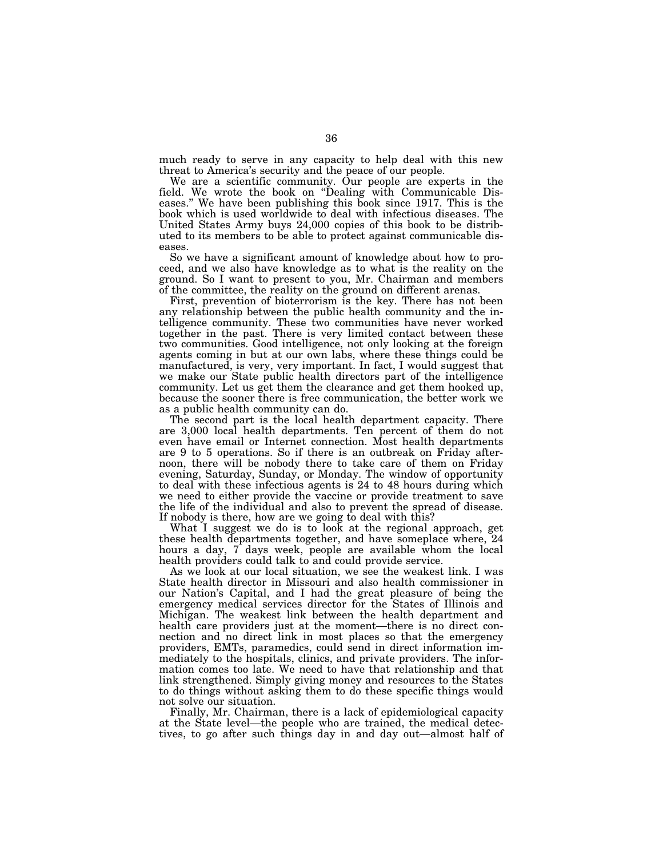much ready to serve in any capacity to help deal with this new threat to America's security and the peace of our people.

We are a scientific community. Our people are experts in the field. We wrote the book on "Dealing with Communicable Diseases.'' We have been publishing this book since 1917. This is the book which is used worldwide to deal with infectious diseases. The United States Army buys 24,000 copies of this book to be distributed to its members to be able to protect against communicable diseases.

So we have a significant amount of knowledge about how to proceed, and we also have knowledge as to what is the reality on the ground. So I want to present to you, Mr. Chairman and members of the committee, the reality on the ground on different arenas.

First, prevention of bioterrorism is the key. There has not been any relationship between the public health community and the intelligence community. These two communities have never worked together in the past. There is very limited contact between these two communities. Good intelligence, not only looking at the foreign agents coming in but at our own labs, where these things could be manufactured, is very, very important. In fact, I would suggest that we make our State public health directors part of the intelligence community. Let us get them the clearance and get them hooked up, because the sooner there is free communication, the better work we as a public health community can do.

The second part is the local health department capacity. There are 3,000 local health departments. Ten percent of them do not even have email or Internet connection. Most health departments are 9 to 5 operations. So if there is an outbreak on Friday afternoon, there will be nobody there to take care of them on Friday evening, Saturday, Sunday, or Monday. The window of opportunity to deal with these infectious agents is 24 to 48 hours during which we need to either provide the vaccine or provide treatment to save the life of the individual and also to prevent the spread of disease. If nobody is there, how are we going to deal with this?

What I suggest we do is to look at the regional approach, get these health departments together, and have someplace where, 24 hours a day, 7 days week, people are available whom the local health providers could talk to and could provide service.

As we look at our local situation, we see the weakest link. I was State health director in Missouri and also health commissioner in our Nation's Capital, and I had the great pleasure of being the emergency medical services director for the States of Illinois and Michigan. The weakest link between the health department and health care providers just at the moment—there is no direct connection and no direct link in most places so that the emergency providers, EMTs, paramedics, could send in direct information immediately to the hospitals, clinics, and private providers. The information comes too late. We need to have that relationship and that link strengthened. Simply giving money and resources to the States to do things without asking them to do these specific things would not solve our situation.

Finally, Mr. Chairman, there is a lack of epidemiological capacity at the State level—the people who are trained, the medical detectives, to go after such things day in and day out—almost half of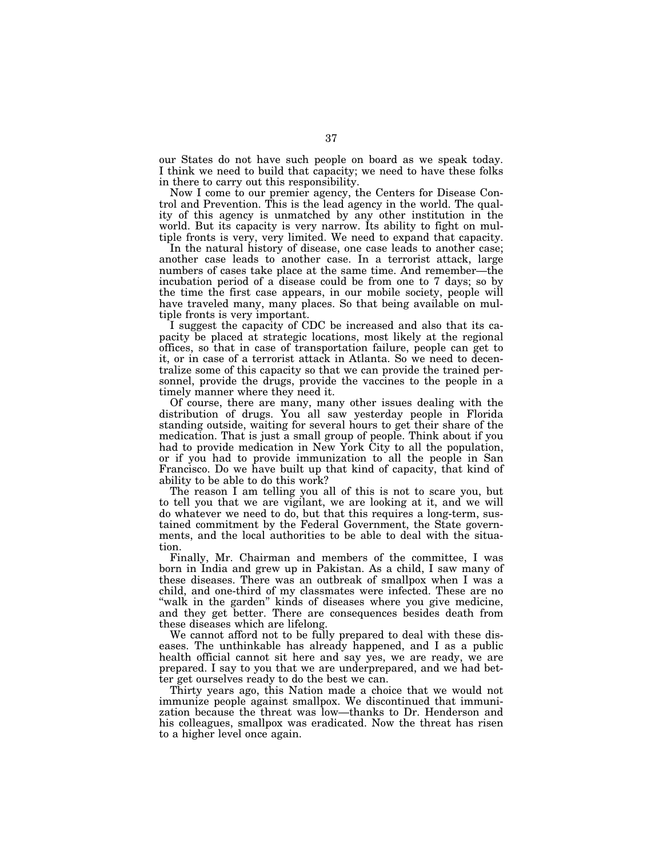our States do not have such people on board as we speak today. I think we need to build that capacity; we need to have these folks in there to carry out this responsibility.

Now I come to our premier agency, the Centers for Disease Control and Prevention. This is the lead agency in the world. The quality of this agency is unmatched by any other institution in the world. But its capacity is very narrow. Its ability to fight on multiple fronts is very, very limited. We need to expand that capacity.

In the natural history of disease, one case leads to another case; another case leads to another case. In a terrorist attack, large numbers of cases take place at the same time. And remember—the incubation period of a disease could be from one to 7 days; so by the time the first case appears, in our mobile society, people will have traveled many, many places. So that being available on multiple fronts is very important.

I suggest the capacity of CDC be increased and also that its capacity be placed at strategic locations, most likely at the regional offices, so that in case of transportation failure, people can get to it, or in case of a terrorist attack in Atlanta. So we need to decentralize some of this capacity so that we can provide the trained personnel, provide the drugs, provide the vaccines to the people in a timely manner where they need it.

Of course, there are many, many other issues dealing with the distribution of drugs. You all saw yesterday people in Florida standing outside, waiting for several hours to get their share of the medication. That is just a small group of people. Think about if you had to provide medication in New York City to all the population, or if you had to provide immunization to all the people in San Francisco. Do we have built up that kind of capacity, that kind of ability to be able to do this work?

The reason I am telling you all of this is not to scare you, but to tell you that we are vigilant, we are looking at it, and we will do whatever we need to do, but that this requires a long-term, sustained commitment by the Federal Government, the State governments, and the local authorities to be able to deal with the situation.

Finally, Mr. Chairman and members of the committee, I was born in India and grew up in Pakistan. As a child, I saw many of these diseases. There was an outbreak of smallpox when I was a child, and one-third of my classmates were infected. These are no "walk in the garden" kinds of diseases where you give medicine, and they get better. There are consequences besides death from these diseases which are lifelong.

We cannot afford not to be fully prepared to deal with these diseases. The unthinkable has already happened, and I as a public health official cannot sit here and say yes, we are ready, we are prepared. I say to you that we are underprepared, and we had better get ourselves ready to do the best we can.

Thirty years ago, this Nation made a choice that we would not immunize people against smallpox. We discontinued that immunization because the threat was low—thanks to Dr. Henderson and his colleagues, smallpox was eradicated. Now the threat has risen to a higher level once again.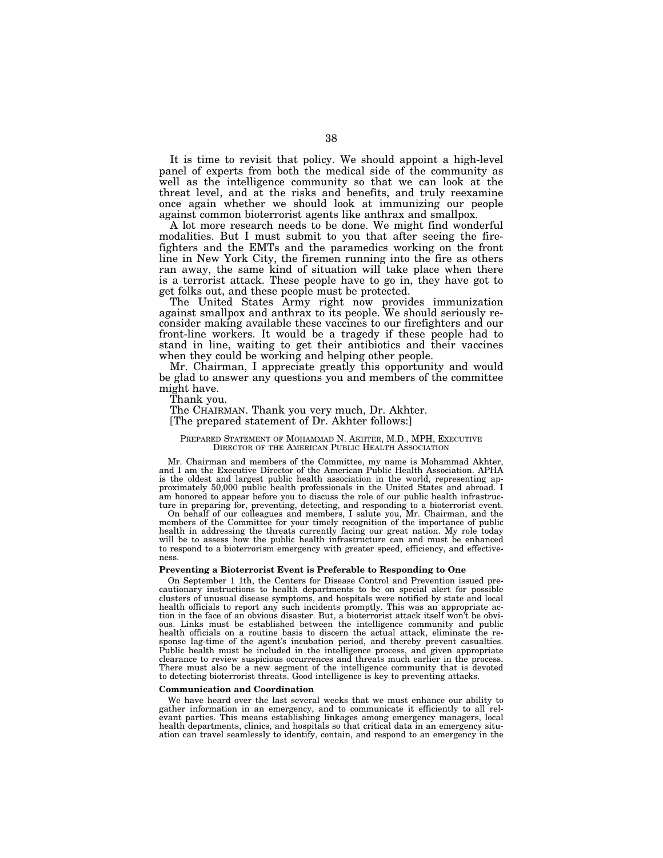It is time to revisit that policy. We should appoint a high-level panel of experts from both the medical side of the community as well as the intelligence community so that we can look at the threat level, and at the risks and benefits, and truly reexamine once again whether we should look at immunizing our people against common bioterrorist agents like anthrax and smallpox.

A lot more research needs to be done. We might find wonderful modalities. But I must submit to you that after seeing the firefighters and the EMTs and the paramedics working on the front line in New York City, the firemen running into the fire as others ran away, the same kind of situation will take place when there is a terrorist attack. These people have to go in, they have got to get folks out, and these people must be protected.

The United States Army right now provides immunization against smallpox and anthrax to its people. We should seriously reconsider making available these vaccines to our firefighters and our front-line workers. It would be a tragedy if these people had to stand in line, waiting to get their antibiotics and their vaccines when they could be working and helping other people.

Mr. Chairman, I appreciate greatly this opportunity and would be glad to answer any questions you and members of the committee might have.

Thank you.

The CHAIRMAN. Thank you very much, Dr. Akhter. [The prepared statement of Dr. Akhter follows:]

## PREPARED STATEMENT OF MOHAMMAD N. AKHTER, M.D., MPH, EXECUTIVE DIRECTOR OF THE AMERICAN PUBLIC HEALTH ASSOCIATION

Mr. Chairman and members of the Committee, my name is Mohammad Akhter, and I am the Executive Director of the American Public Health Association. APHA is the oldest and largest public health association in the world, representing approximately 50,000 public health professionals in the United States and abroad. I am honored to appear before you to discuss the role of our public health infrastructure in preparing for, preventing, detecting, and responding to a bioterrorist event.

On behalf of our colleagues and members, I salute you, Mr. Chairman, and the members of the Committee for your timely recognition of the importance of public health in addressing the threats currently facing our great nation. My role today will be to assess how the public health infrastructure can and must be enhanced to respond to a bioterrorism emergency with greater speed, efficiency, and effectiveness.

# **Preventing a Bioterrorist Event is Preferable to Responding to One**

On September 1 1th, the Centers for Disease Control and Prevention issued precautionary instructions to health departments to be on special alert for possible clusters of unusual disease symptoms, and hospitals were notified by state and local health officials to report any such incidents promptly. This was an appropriate action in the face of an obvious disaster. But, a bioterrorist attack itself won't be obvious. Links must be established between the intelligence community and public health officials on a routine basis to discern the actual attack, eliminate the response lag-time of the agent's incubation period, and thereby prevent casualties. Public health must be included in the intelligence process, and given appropriate clearance to review suspicious occurrences and threats much earlier in the process. There must also be a new segment of the intelligence community that is devoted to detecting bioterrorist threats. Good intelligence is key to preventing attacks.

# **Communication and Coordination**

We have heard over the last several weeks that we must enhance our ability to gather information in an emergency, and to communicate it efficiently to all relevant parties. This means establishing linkages among emergency managers, local health departments, clinics, and hospitals so that critical data in an emergency situation can travel seamlessly to identify, contain, and respond to an emergency in the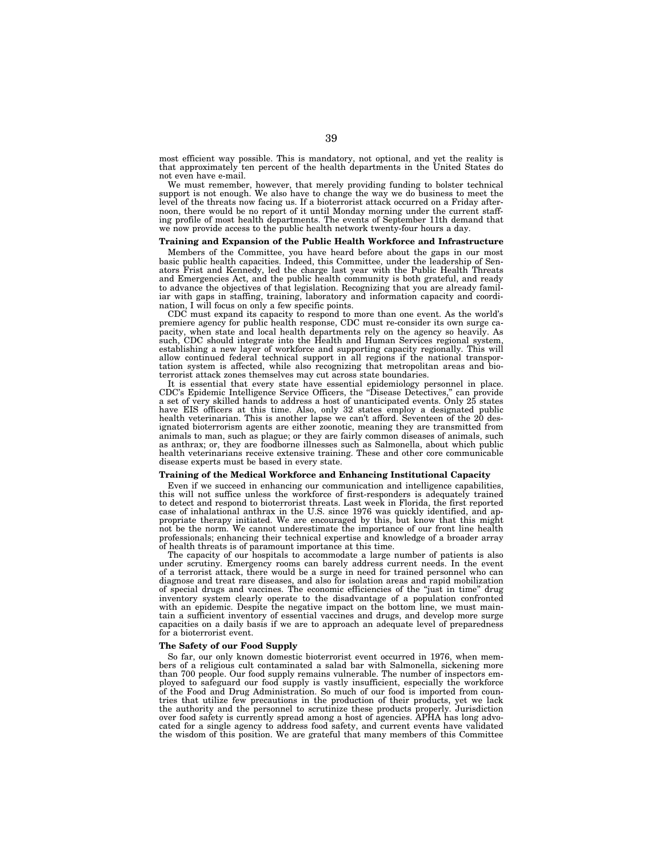most efficient way possible. This is mandatory, not optional, and yet the reality is that approximately ten percent of the health departments in the United States do not even have e-mail.

We must remember, however, that merely providing funding to bolster technical support is not enough. We also have to change the way we do business to meet the level of the threats now facing us. If a bioterrorist attack occurred on a Friday afternoon, there would be no report of it until Monday morning under the current staffing profile of most health departments. The events of September 11th demand that we now provide access to the public health network twenty-four hours a day.

#### **Training and Expansion of the Public Health Workforce and Infrastructure**

Members of the Committee, you have heard before about the gaps in our most basic public health capacities. Indeed, this Committee, under the leadership of Senators Frist and Kennedy, led the charge last year with the Public Health Threats and Emergencies Act, and the public health community is both grateful, and ready to advance the objectives of that legislation. Recognizing that you are already familiar with gaps in staffing, training, laboratory and information capacity and coordination, I will focus on only a few specific points.

CDC must expand its capacity to respond to more than one event. As the world's premiere agency for public health response, CDC must re-consider its own surge capacity, when state and local health departments rely on the agency so heavily. As such, CDC should integrate into the Health and Human Services regional system, establishing a new layer of workforce and supporting capacity regionally. This will allow continued federal technical support in all regions if the national transportation system is affected, while also recognizing that metropolitan areas and bioterrorist attack zones themselves may cut across state boundaries.

It is essential that every state have essential epidemiology personnel in place. CDC's Epidemic Intelligence Service Officers, the ''Disease Detectives,'' can provide a set of very skilled hands to address a host of unanticipated events. Only 25 states have EIS officers at this time. Also, only 32 states employ a designated public health veterinarian. This is another lapse we can't afford. Seventeen of the 20 designated bioterrorism agents are either zoonotic, meaning they are transmitted from animals to man, such as plague; or they are fairly common diseases of animals, such as anthrax; or, they are foodborne illnesses such as Salmonella, about which public health veterinarians receive extensive training. These and other core communicable disease experts must be based in every state.

### **Training of the Medical Workforce and Enhancing Institutional Capacity**

Even if we succeed in enhancing our communication and intelligence capabilities, this will not suffice unless the workforce of first-responders is adequately trained to detect and respond to bioterrorist threats. Last week in Florida, the first reported case of inhalational anthrax in the U.S. since 1976 was quickly identified, and appropriate therapy initiated. We are encouraged by this, but know that this might not be the norm. We cannot underestimate the importance of our front line health professionals; enhancing their technical expertise and knowledge of a broader array of health threats is of paramount importance at this time.

The capacity of our hospitals to accommodate a large number of patients is also under scrutiny. Emergency rooms can barely address current needs. In the event of a terrorist attack, there would be a surge in need for trained personnel who can diagnose and treat rare diseases, and also for isolation areas and rapid mobilization of special drugs and vaccines. The economic efficiencies of the ''just in time'' drug inventory system clearly operate to the disadvantage of a population confronted with an epidemic. Despite the negative impact on the bottom line, we must maintain a sufficient inventory of essential vaccines and drugs, and develop more surge capacities on a daily basis if we are to approach an adequate level of preparedness for a bioterrorist event.

#### **The Safety of our Food Supply**

So far, our only known domestic bioterrorist event occurred in 1976, when members of a religious cult contaminated a salad bar with Salmonella, sickening more than 700 people. Our food supply remains vulnerable. The number of inspectors employed to safeguard our food supply is vastly insufficient, especially the workforce of the Food and Drug Administration. So much of our food is imported from countries that utilize few precautions in the production of their products, yet we lack the authority and the personnel to scrutinize these products properly. Jurisdiction over food safety is currently spread among a host of agencies. APHA has long advo-cated for a single agency to address food safety, and current events have validated the wisdom of this position. We are grateful that many members of this Committee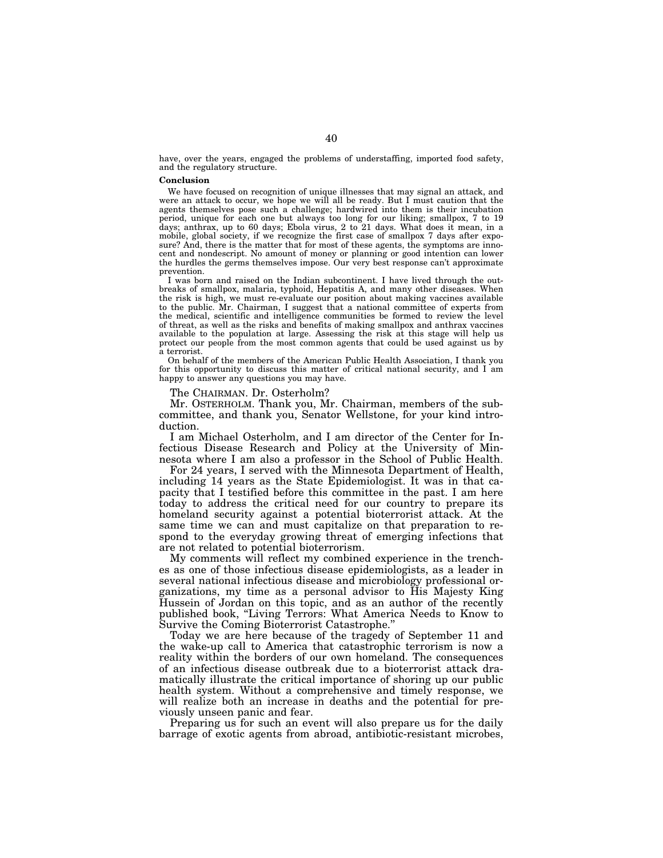have, over the years, engaged the problems of understaffing, imported food safety, and the regulatory structure.

#### **Conclusion**

We have focused on recognition of unique illnesses that may signal an attack, and were an attack to occur, we hope we will all be ready. But I must caution that the agents themselves pose such a challenge; hardwired into them is their incubation period, unique for each one but always too long for our liking; smallpox, 7 to 19 days; anthrax, up to 60 days; Ebola virus, 2 to 21 days. What does it mean, in a mobile, global society, if we recognize the first case of smallpox 7 days after exposure? And, there is the matter that for most of these agents, the symptoms are innocent and nondescript. No amount of money or planning or good intention can lower the hurdles the germs themselves impose. Our very best response can't approximate prevention.

I was born and raised on the Indian subcontinent. I have lived through the outbreaks of smallpox, malaria, typhoid, Hepatitis A, and many other diseases. When the risk is high, we must re-evaluate our position about making vaccines available to the public. Mr. Chairman, I suggest that a national committee of experts from the medical, scientific and intelligence communities be formed to review the level of threat, as well as the risks and benefits of making smallpox and anthrax vaccines available to the population at large. Assessing the risk at this stage will help us protect our people from the most common agents that could be used against us by a terrorist.

On behalf of the members of the American Public Health Association, I thank you for this opportunity to discuss this matter of critical national security, and I am happy to answer any questions you may have.

The CHAIRMAN. Dr. Osterholm?

Mr. OSTERHOLM. Thank you, Mr. Chairman, members of the subcommittee, and thank you, Senator Wellstone, for your kind introduction.

I am Michael Osterholm, and I am director of the Center for Infectious Disease Research and Policy at the University of Minnesota where I am also a professor in the School of Public Health.

For 24 years, I served with the Minnesota Department of Health, including 14 years as the State Epidemiologist. It was in that capacity that I testified before this committee in the past. I am here today to address the critical need for our country to prepare its homeland security against a potential bioterrorist attack. At the same time we can and must capitalize on that preparation to respond to the everyday growing threat of emerging infections that are not related to potential bioterrorism.

My comments will reflect my combined experience in the trenches as one of those infectious disease epidemiologists, as a leader in several national infectious disease and microbiology professional organizations, my time as a personal advisor to His Majesty King Hussein of Jordan on this topic, and as an author of the recently published book, ''Living Terrors: What America Needs to Know to Survive the Coming Bioterrorist Catastrophe.''

Today we are here because of the tragedy of September 11 and the wake-up call to America that catastrophic terrorism is now a reality within the borders of our own homeland. The consequences of an infectious disease outbreak due to a bioterrorist attack dramatically illustrate the critical importance of shoring up our public health system. Without a comprehensive and timely response, we will realize both an increase in deaths and the potential for previously unseen panic and fear.

Preparing us for such an event will also prepare us for the daily barrage of exotic agents from abroad, antibiotic-resistant microbes,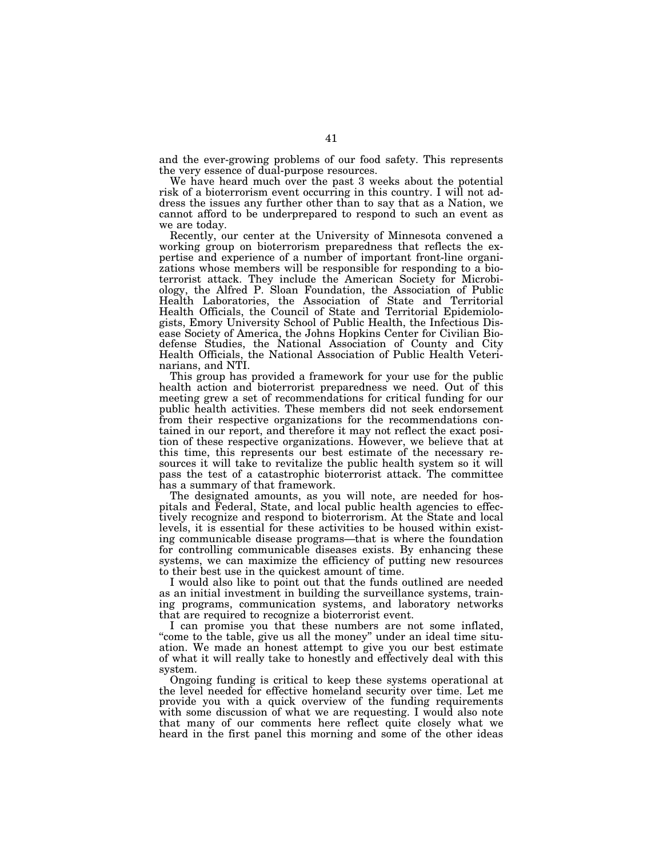and the ever-growing problems of our food safety. This represents the very essence of dual-purpose resources.

We have heard much over the past 3 weeks about the potential risk of a bioterrorism event occurring in this country. I will not address the issues any further other than to say that as a Nation, we cannot afford to be underprepared to respond to such an event as we are today.

Recently, our center at the University of Minnesota convened a working group on bioterrorism preparedness that reflects the expertise and experience of a number of important front-line organizations whose members will be responsible for responding to a bioterrorist attack. They include the American Society for Microbiology, the Alfred P. Sloan Foundation, the Association of Public Health Laboratories, the Association of State and Territorial Health Officials, the Council of State and Territorial Epidemiologists, Emory University School of Public Health, the Infectious Disease Society of America, the Johns Hopkins Center for Civilian Biodefense Studies, the National Association of County and City Health Officials, the National Association of Public Health Veterinarians, and NTI.

This group has provided a framework for your use for the public health action and bioterrorist preparedness we need. Out of this meeting grew a set of recommendations for critical funding for our public health activities. These members did not seek endorsement from their respective organizations for the recommendations contained in our report, and therefore it may not reflect the exact position of these respective organizations. However, we believe that at this time, this represents our best estimate of the necessary resources it will take to revitalize the public health system so it will pass the test of a catastrophic bioterrorist attack. The committee has a summary of that framework.

The designated amounts, as you will note, are needed for hospitals and Federal, State, and local public health agencies to effectively recognize and respond to bioterrorism. At the State and local levels, it is essential for these activities to be housed within existing communicable disease programs—that is where the foundation for controlling communicable diseases exists. By enhancing these systems, we can maximize the efficiency of putting new resources to their best use in the quickest amount of time.

I would also like to point out that the funds outlined are needed as an initial investment in building the surveillance systems, training programs, communication systems, and laboratory networks that are required to recognize a bioterrorist event.

I can promise you that these numbers are not some inflated, "come to the table, give us all the money" under an ideal time situation. We made an honest attempt to give you our best estimate of what it will really take to honestly and effectively deal with this system.

Ongoing funding is critical to keep these systems operational at the level needed for effective homeland security over time. Let me provide you with a quick overview of the funding requirements with some discussion of what we are requesting. I would also note that many of our comments here reflect quite closely what we heard in the first panel this morning and some of the other ideas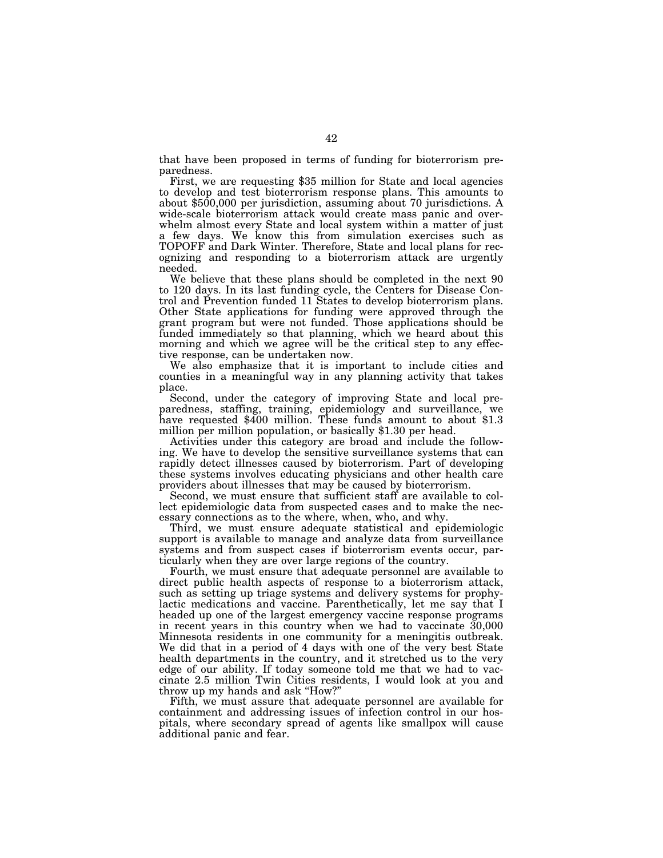that have been proposed in terms of funding for bioterrorism pre-

First, we are requesting \$35 million for State and local agencies to develop and test bioterrorism response plans. This amounts to about \$500,000 per jurisdiction, assuming about 70 jurisdictions. A wide-scale bioterrorism attack would create mass panic and overwhelm almost every State and local system within a matter of just a few days. We know this from simulation exercises such as TOPOFF and Dark Winter. Therefore, State and local plans for recognizing and responding to a bioterrorism attack are urgently needed.

We believe that these plans should be completed in the next 90 to 120 days. In its last funding cycle, the Centers for Disease Control and Prevention funded 11 States to develop bioterrorism plans. Other State applications for funding were approved through the grant program but were not funded. Those applications should be funded immediately so that planning, which we heard about this morning and which we agree will be the critical step to any effective response, can be undertaken now.

We also emphasize that it is important to include cities and counties in a meaningful way in any planning activity that takes place.

Second, under the category of improving State and local preparedness, staffing, training, epidemiology and surveillance, we have requested \$400 million. These funds amount to about \$1.3 million per million population, or basically \$1.30 per head.

Activities under this category are broad and include the following. We have to develop the sensitive surveillance systems that can rapidly detect illnesses caused by bioterrorism. Part of developing these systems involves educating physicians and other health care providers about illnesses that may be caused by bioterrorism.

Second, we must ensure that sufficient staff are available to collect epidemiologic data from suspected cases and to make the necessary connections as to the where, when, who, and why.

Third, we must ensure adequate statistical and epidemiologic support is available to manage and analyze data from surveillance systems and from suspect cases if bioterrorism events occur, particularly when they are over large regions of the country.

Fourth, we must ensure that adequate personnel are available to direct public health aspects of response to a bioterrorism attack, such as setting up triage systems and delivery systems for prophylactic medications and vaccine. Parenthetically, let me say that I headed up one of the largest emergency vaccine response programs in recent years in this country when we had to vaccinate 30,000 Minnesota residents in one community for a meningitis outbreak. We did that in a period of 4 days with one of the very best State health departments in the country, and it stretched us to the very edge of our ability. If today someone told me that we had to vaccinate 2.5 million Twin Cities residents, I would look at you and throw up my hands and ask ''How?''

Fifth, we must assure that adequate personnel are available for containment and addressing issues of infection control in our hospitals, where secondary spread of agents like smallpox will cause additional panic and fear.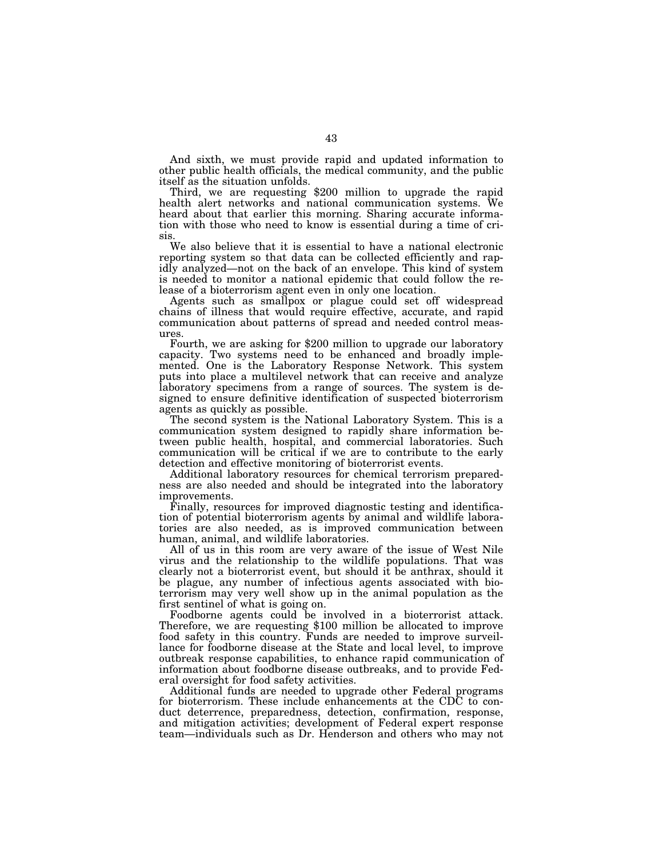And sixth, we must provide rapid and updated information to other public health officials, the medical community, and the public itself as the situation unfolds.

Third, we are requesting \$200 million to upgrade the rapid health alert networks and national communication systems. We heard about that earlier this morning. Sharing accurate information with those who need to know is essential during a time of crisis.

We also believe that it is essential to have a national electronic reporting system so that data can be collected efficiently and rapidly analyzed—not on the back of an envelope. This kind of system is needed to monitor a national epidemic that could follow the release of a bioterrorism agent even in only one location.

Agents such as smallpox or plague could set off widespread chains of illness that would require effective, accurate, and rapid communication about patterns of spread and needed control measures.

Fourth, we are asking for \$200 million to upgrade our laboratory capacity. Two systems need to be enhanced and broadly implemented. One is the Laboratory Response Network. This system puts into place a multilevel network that can receive and analyze laboratory specimens from a range of sources. The system is designed to ensure definitive identification of suspected bioterrorism agents as quickly as possible.

The second system is the National Laboratory System. This is a communication system designed to rapidly share information between public health, hospital, and commercial laboratories. Such communication will be critical if we are to contribute to the early detection and effective monitoring of bioterrorist events.

Additional laboratory resources for chemical terrorism preparedness are also needed and should be integrated into the laboratory improvements.

Finally, resources for improved diagnostic testing and identification of potential bioterrorism agents by animal and wildlife laboratories are also needed, as is improved communication between human, animal, and wildlife laboratories.

All of us in this room are very aware of the issue of West Nile virus and the relationship to the wildlife populations. That was clearly not a bioterrorist event, but should it be anthrax, should it be plague, any number of infectious agents associated with bioterrorism may very well show up in the animal population as the first sentinel of what is going on.

Foodborne agents could be involved in a bioterrorist attack. Therefore, we are requesting \$100 million be allocated to improve food safety in this country. Funds are needed to improve surveillance for foodborne disease at the State and local level, to improve outbreak response capabilities, to enhance rapid communication of information about foodborne disease outbreaks, and to provide Federal oversight for food safety activities.

Additional funds are needed to upgrade other Federal programs for bioterrorism. These include enhancements at the CDC to conduct deterrence, preparedness, detection, confirmation, response, and mitigation activities; development of Federal expert response team—individuals such as Dr. Henderson and others who may not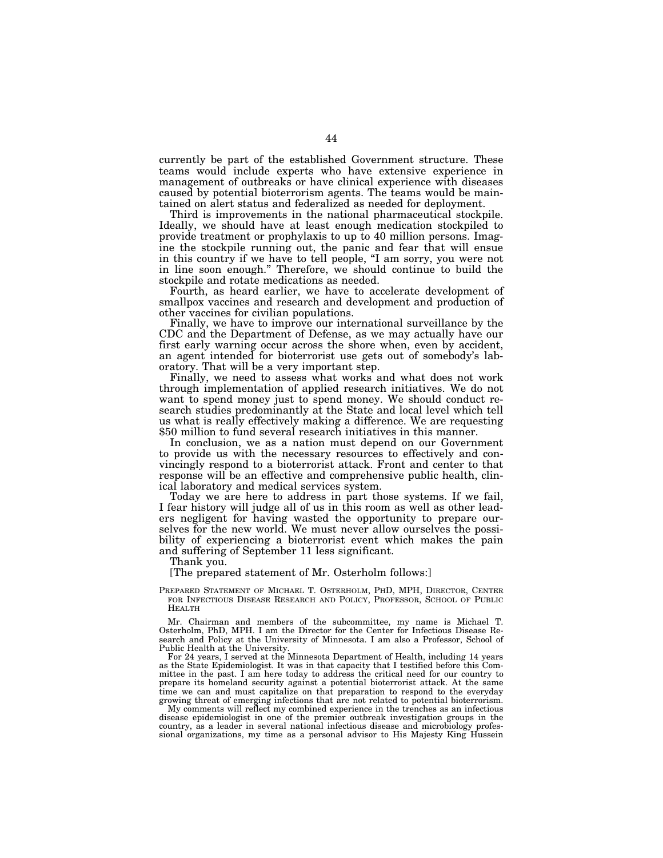currently be part of the established Government structure. These teams would include experts who have extensive experience in management of outbreaks or have clinical experience with diseases caused by potential bioterrorism agents. The teams would be maintained on alert status and federalized as needed for deployment.

Third is improvements in the national pharmaceutical stockpile. Ideally, we should have at least enough medication stockpiled to provide treatment or prophylaxis to up to 40 million persons. Imagine the stockpile running out, the panic and fear that will ensue in this country if we have to tell people, "I am sorry, you were not in line soon enough.'' Therefore, we should continue to build the stockpile and rotate medications as needed.

Fourth, as heard earlier, we have to accelerate development of smallpox vaccines and research and development and production of other vaccines for civilian populations.

Finally, we have to improve our international surveillance by the CDC and the Department of Defense, as we may actually have our first early warning occur across the shore when, even by accident, an agent intended for bioterrorist use gets out of somebody's laboratory. That will be a very important step.

Finally, we need to assess what works and what does not work through implementation of applied research initiatives. We do not want to spend money just to spend money. We should conduct research studies predominantly at the State and local level which tell us what is really effectively making a difference. We are requesting \$50 million to fund several research initiatives in this manner.

In conclusion, we as a nation must depend on our Government to provide us with the necessary resources to effectively and convincingly respond to a bioterrorist attack. Front and center to that response will be an effective and comprehensive public health, clinical laboratory and medical services system.

Today we are here to address in part those systems. If we fail, I fear history will judge all of us in this room as well as other leaders negligent for having wasted the opportunity to prepare ourselves for the new world. We must never allow ourselves the possibility of experiencing a bioterrorist event which makes the pain and suffering of September 11 less significant.

Thank you.

[The prepared statement of Mr. Osterholm follows:]

PREPARED STATEMENT OF MICHAEL T. OSTERHOLM, PHD, MPH, DIRECTOR, CENTER FOR INFECTIOUS DISEASE RESEARCH AND POLICY, PROFESSOR, SCHOOL OF PUBLIC HEALTH

Mr. Chairman and members of the subcommittee, my name is Michael T. Osterholm, PhD, MPH. I am the Director for the Center for Infectious Disease Research and Policy at the University of Minnesota. I am also a Professor, School of Public Health at the University.

For 24 years, I served at the Minnesota Department of Health, including 14 years as the State Epidemiologist. It was in that capacity that I testified before this Committee in the past. I am here today to address the critical need for our country to prepare its homeland security against a potential bioterrorist attack. At the same time we can and must capitalize on that preparation to respond to the everyday growing threat of emerging infections that are not related to potential bioterrorism.

My comments will reflect my combined experience in the trenches as an infectious disease epidemiologist in one of the premier outbreak investigation groups in the country, as a leader in several national infectious disease and microbiology professional organizations, my time as a personal advisor to His Majesty King Hussein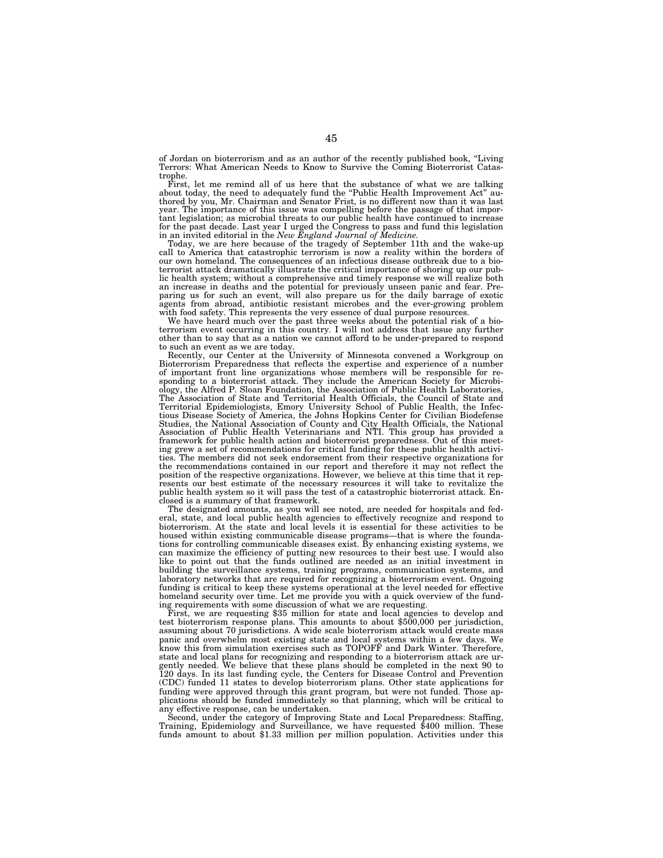of Jordan on bioterrorism and as an author of the recently published book, ''Living Terrors: What American Needs to Know to Survive the Coming Bioterrorist Catastrophe.

First, let me remind all of us here that the substance of what we are talking about today, the need to adequately fund the "Public Health Improvement Act" auabout today, the need to adequately fund the ''Public Health Improvement Action Input Act thored by you, Mr. Chairman and Senator Frist, is no different now than it was last year. The importance of this issue was compelling before the passage of that important legislation; as microbial threats to our public health have continued to increase for the past decade. Last year I urged the Congress to pass and fund this legislation in an invited editorial in the *New England Journal of Medicine.*

Today, we are here because of the tragedy of September 11th and the wake-up call to America that catastrophic terrorism is now a reality within the borders of our own homeland. The consequences of an infectious disease outbreak due to a bioterrorist attack dramatically illustrate the critical importance of shoring up our public health system; without a comprehensive and timely response we will realize both an increase in deaths and the potential for previously unseen panic and fear. Pre-paring us for such an event, will also prepare us for the daily barrage of exotic agents from abroad, antibiotic resistant microbes and the ever-growing problem with food safety. This represents the very essence of dual purpose resources.

We have heard much over the past three weeks about the potential risk of a bio-<br>terrorism event occurring in this country. I will not address that issue any further other than to say that as a nation we cannot afford to be under-prepared to respond to such an event as we are today.

Recently, our Center at the University of Minnesota convened a Workgroup on Bioterrorism Preparedness that reflects the expertise and experience of a number of important front line organizations whose members will be responsible for responding to a bioterrorist attack. They include the American Society for Microbiology, the Alfred P. Sloan Foundation, the Association of Public Health Laboratories, The Association of State and Territorial Health Officials, the Council of State and<br>Territorial Epidemiologists, Emory University School of Public Health, the Infec-<br>tious Disease Society of America, the Johns Hopkins Cent Studies, the National Association of County and City Health Officials, the National Association of Public Health Veterinarians and NTI. This group has provided a framework for public health action and bioterrorist preparedness. Out of this meeting grew a set of recommendations for critical funding for these public health activities. The members did not seek endorsement from their respective organizations for the recommendations contained in our report and therefore it may not reflect the position of the respective organizations. However, we believe at this time that it represents our best estimate of the necessary resources it will take to revitalize the public health system so it will pass the test of a catastrophic bioterrorist attack. Enclosed is a summary of that framework.

The designated amounts, as you will see noted, are needed for hospitals and federal, state, and local public health agencies to effectively recognize and respond to bioterrorism. At the state and local levels it is essential for these activities to be housed within existing communicable disease programs—that is where the foundations for controlling communicable diseases exist. By enhancing existing systems, we can maximize the efficiency of putting new resources to their best use. I would also like to point out that the funds outlined are needed as an initial investment in building the surveillance systems, training programs, communication systems, and laboratory networks that are required for recognizing a bioterrorism event. Ongoing funding is critical to keep these systems operational at the level needed for effective homeland security over time. Let me provide you with a quick overview of the funding requirements with some discussion of what we are requesting.

First, we are requesting \$35 million for state and local agencies to develop and test bioterrorism response plans. This amounts to about \$500,000 per jurisdiction, assuming about 70 jurisdictions. A wide scale bioterrorism attack would create mass panic and overwhelm most existing state and local systems within a few days. We know this from simulation exercises such as TOPOFF and Dark Winter. Therefore, state and local plans for recognizing and responding to a bioterrorism attack are urgently needed. We believe that these plans should be completed in the next 90 to 120 days. In its last funding cycle, the Centers for Disease Control and Prevention (CDC) funded 11 states to develop bioterrorism plans. Other state applications for funding were approved through this grant program, but were not funded. Those applications should be funded immediately so that planning, which will be critical to any effective response, can be undertaken.

Second, under the category of Improving State and Local Preparedness: Staffing, Training, Epidemiology and Surveillance, we have requested \$400 million. These funds amount to about \$1.33 million per million population. Activities under this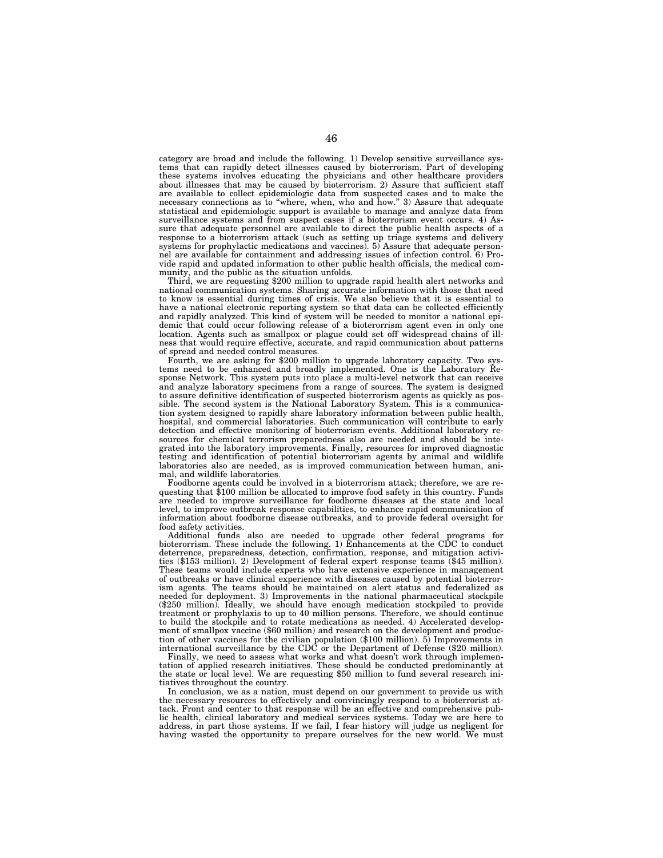category are broad and include the following. 1) Develop sensitive surveillance systems that can rapidly detect illnesses caused by bioterrorism. Part of developing these systems involves educating the physicians and other healthcare providers about illnesses that may be caused by bioterrorism. 2) Assure that sufficient staff are available to collect epidemiologic data from suspected cases and to make the necessary connections as to "where, when, who and how." 3) Assure that adequate statistical and epidemiologic support is available to manage and analyze data from surveillance systems and from suspect cases if a bioterrorism event occurs. 4) Assure that adequate personnel are available to direct the public health aspects of a response to a bioterrorism attack (such as setting up triage systems and delivery systems for prophylactic medications and vaccines). 5) Assure that adequate personnel are available for containment and addressing issues of infection control. 6) Provide rapid and updated information to other public health officials, the medical community, and the public as the situation unfolds.

Third, we are requesting \$200 million to upgrade rapid health alert networks and national communication systems. Sharing accurate information with those that need to know is essential during times of crisis. We also believe that it is essential to have a national electronic reporting system so that data can be collected efficiently and rapidly analyzed. This kind of system will be needed to monitor a national epidemic that could occur following release of a bioterorrism agent even in only one location. Agents such as smallpox or plague could set off widespread chains of illness that would require effective, accurate, and rapid communication about patterns of spread and needed control measures.

Fourth, we are asking for \$200 million to upgrade laboratory capacity. Two systems need to be enhanced and broadly implemented. One is the Laboratory Response Network. This system puts into place a multi-level network that can receive and analyze laboratory specimens from a range of sources. The system is designed to assure definitive identification of suspected bioterrorism agents as quickly as possible. The second system is the National Laboratory System. This is a communication system designed to rapidly share laboratory information between public health, hospital, and commercial laboratories. Such communication will contribute to early detection and effective monitoring of bioterrorism events. Additional laboratory resources for chemical terrorism preparedness also are needed and should be integrated into the laboratory improvements. Finally, resources for improved diagnostic testing and identification of potential bioterrorism agents by animal and wildlife laboratories also are needed, as is improved communication between human, animal, and wildlife laboratories.

Foodborne agents could be involved in a bioterrorism attack; therefore, we are requesting that \$100 million be allocated to improve food safety in this country. Funds are needed to improve surveillance for foodborne diseases at the state and local level, to improve outbreak response capabilities, to enhance rapid communication of information about foodborne disease outbreaks, and to provide federal oversight for food safety activities.

Additional funds also are needed to upgrade other federal programs for bioterorrism. These include the following. 1) Enhancements at the CDC to conduct deterrence, preparedness, detection, confirmation, response, and mitigation activities (\$153 million). 2) Development of federal expert response teams (\$45 million). These teams would include experts who have extensive experience in management of outbreaks or have clinical experience with diseases caused by potential bioterrorism agents. The teams should be maintained on alert status and federalized as needed for deployment. 3) Improvements in the national pharmaceutical stockpile (\$250 million). Ideally, we should have enough medication stockpiled to provide treatment or prophylaxis to up to 40 million persons. Therefore, we should continue to build the stockpile and to rotate medications as needed. 4) Accelerated development of smallpox vaccine (\$60 million) and research on the development and production of other vaccines for the civilian population (\$100 million). 5) Improvements in international surveillance by the CDC or the Department of Defense (\$20 million).

Finally, we need to assess what works and what doesn't work through implementation of applied research initiatives. These should be conducted predominantly at the state or local level. We are requesting \$50 million to fund several research initiatives throughout the country.

In conclusion, we as a nation, must depend on our government to provide us with the necessary resources to effectively and convincingly respond to a bioterrorist attack. Front and center to that response will be an effective and comprehensive public health, clinical laboratory and medical services systems. Today we are here to address, in part those systems. If we fail, I fear history will judge us negligent for having wasted the opportunity to prepare ourselves for the new world. We must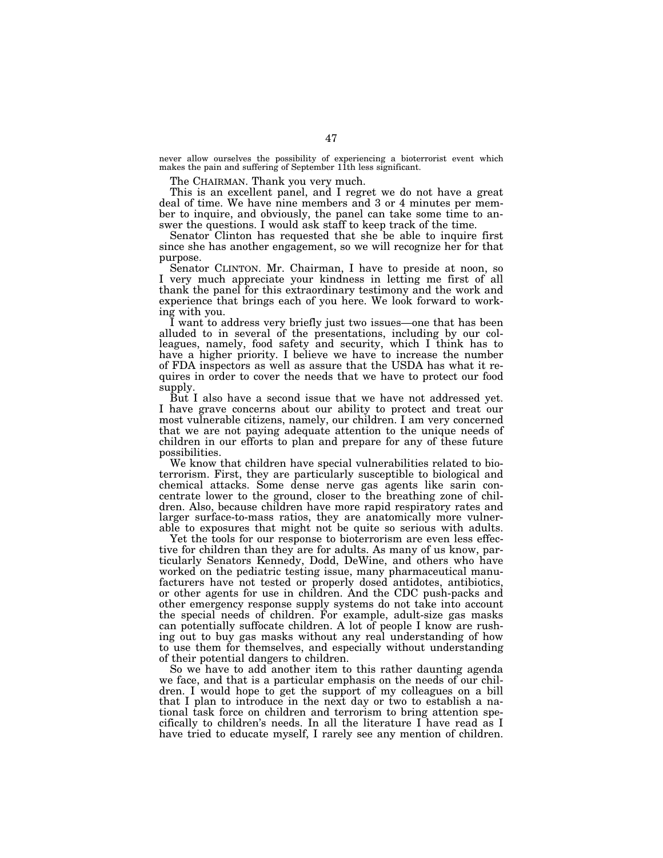never allow ourselves the possibility of experiencing a bioterrorist event which makes the pain and suffering of September 11th less significant.

The CHAIRMAN. Thank you very much.

This is an excellent panel, and I regret we do not have a great deal of time. We have nine members and 3 or 4 minutes per member to inquire, and obviously, the panel can take some time to answer the questions. I would ask staff to keep track of the time.

Senator Clinton has requested that she be able to inquire first since she has another engagement, so we will recognize her for that purpose.

Senator CLINTON. Mr. Chairman, I have to preside at noon, so I very much appreciate your kindness in letting me first of all thank the panel for this extraordinary testimony and the work and experience that brings each of you here. We look forward to working with you.

I want to address very briefly just two issues—one that has been alluded to in several of the presentations, including by our colleagues, namely, food safety and security, which I think has to have a higher priority. I believe we have to increase the number of FDA inspectors as well as assure that the USDA has what it requires in order to cover the needs that we have to protect our food supply.

But I also have a second issue that we have not addressed yet. I have grave concerns about our ability to protect and treat our most vulnerable citizens, namely, our children. I am very concerned that we are not paying adequate attention to the unique needs of children in our efforts to plan and prepare for any of these future possibilities.

We know that children have special vulnerabilities related to bioterrorism. First, they are particularly susceptible to biological and chemical attacks. Some dense nerve gas agents like sarin concentrate lower to the ground, closer to the breathing zone of children. Also, because children have more rapid respiratory rates and larger surface-to-mass ratios, they are anatomically more vulnerable to exposures that might not be quite so serious with adults.

Yet the tools for our response to bioterrorism are even less effective for children than they are for adults. As many of us know, particularly Senators Kennedy, Dodd, DeWine, and others who have worked on the pediatric testing issue, many pharmaceutical manufacturers have not tested or properly dosed antidotes, antibiotics, or other agents for use in children. And the CDC push-packs and other emergency response supply systems do not take into account the special needs of children. For example, adult-size gas masks can potentially suffocate children. A lot of people I know are rushing out to buy gas masks without any real understanding of how to use them for themselves, and especially without understanding of their potential dangers to children.

So we have to add another item to this rather daunting agenda we face, and that is a particular emphasis on the needs of our children. I would hope to get the support of my colleagues on a bill that I plan to introduce in the next day or two to establish a national task force on children and terrorism to bring attention specifically to children's needs. In all the literature I have read as I have tried to educate myself, I rarely see any mention of children.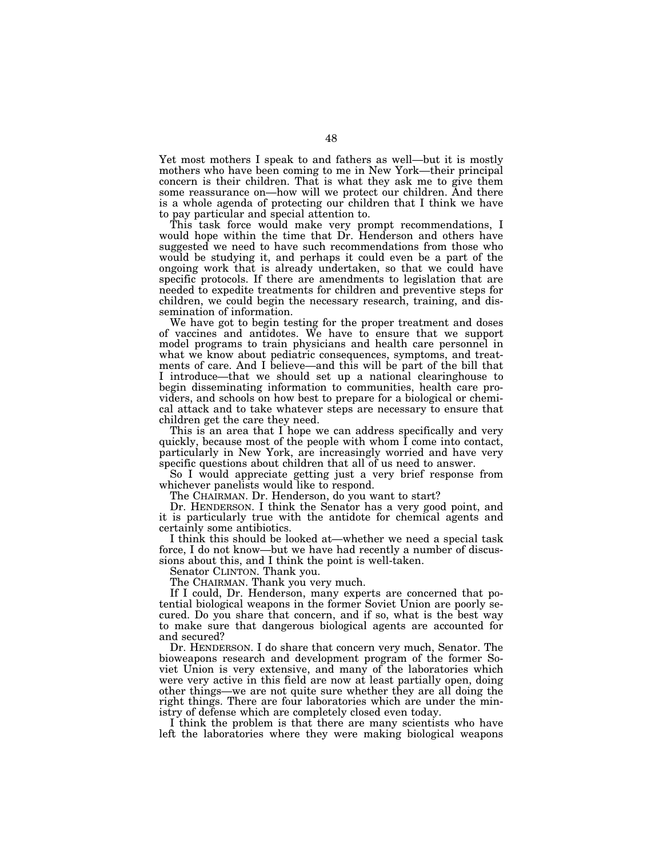Yet most mothers I speak to and fathers as well—but it is mostly mothers who have been coming to me in New York—their principal concern is their children. That is what they ask me to give them some reassurance on—how will we protect our children. And there is a whole agenda of protecting our children that I think we have to pay particular and special attention to.

This task force would make very prompt recommendations, I would hope within the time that Dr. Henderson and others have suggested we need to have such recommendations from those who would be studying it, and perhaps it could even be a part of the ongoing work that is already undertaken, so that we could have specific protocols. If there are amendments to legislation that are needed to expedite treatments for children and preventive steps for children, we could begin the necessary research, training, and dissemination of information.

We have got to begin testing for the proper treatment and doses of vaccines and antidotes. We have to ensure that we support model programs to train physicians and health care personnel in what we know about pediatric consequences, symptoms, and treatments of care. And I believe—and this will be part of the bill that I introduce—that we should set up a national clearinghouse to begin disseminating information to communities, health care providers, and schools on how best to prepare for a biological or chemical attack and to take whatever steps are necessary to ensure that children get the care they need.

This is an area that I hope we can address specifically and very quickly, because most of the people with whom I come into contact, particularly in New York, are increasingly worried and have very specific questions about children that all of us need to answer.

So I would appreciate getting just a very brief response from whichever panelists would like to respond.

The CHAIRMAN. Dr. Henderson, do you want to start?

Dr. HENDERSON. I think the Senator has a very good point, and it is particularly true with the antidote for chemical agents and certainly some antibiotics.

I think this should be looked at—whether we need a special task force, I do not know—but we have had recently a number of discussions about this, and I think the point is well-taken.

Senator CLINTON. Thank you.

The CHAIRMAN. Thank you very much.

If I could, Dr. Henderson, many experts are concerned that potential biological weapons in the former Soviet Union are poorly secured. Do you share that concern, and if so, what is the best way to make sure that dangerous biological agents are accounted for and secured?

Dr. HENDERSON. I do share that concern very much, Senator. The bioweapons research and development program of the former Soviet Union is very extensive, and many of the laboratories which were very active in this field are now at least partially open, doing other things—we are not quite sure whether they are all doing the right things. There are four laboratories which are under the ministry of defense which are completely closed even today.

I think the problem is that there are many scientists who have left the laboratories where they were making biological weapons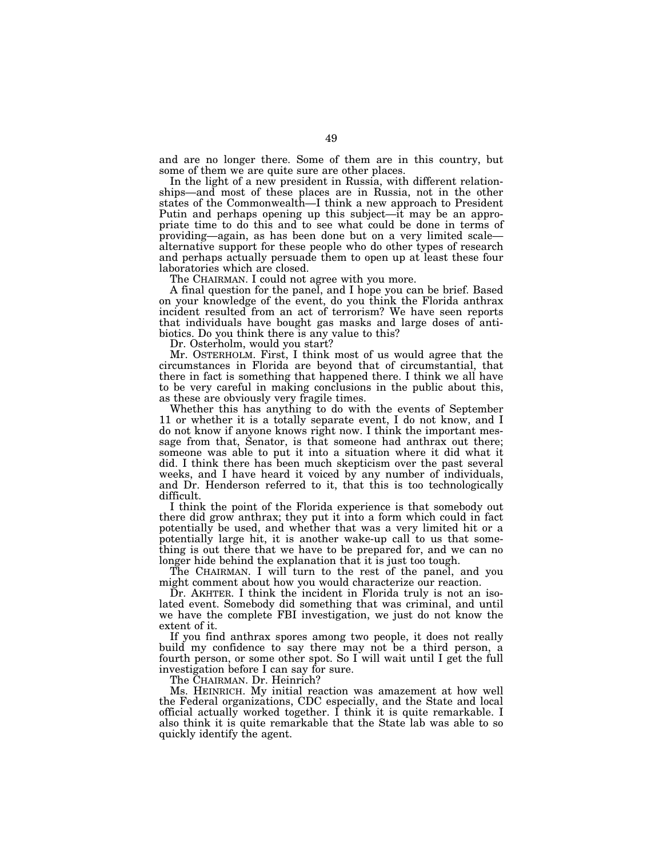and are no longer there. Some of them are in this country, but some of them we are quite sure are other places.

In the light of a new president in Russia, with different relationships—and most of these places are in Russia, not in the other states of the Commonwealth—I think a new approach to President Putin and perhaps opening up this subject—it may be an appropriate time to do this and to see what could be done in terms of providing—again, as has been done but on a very limited scale alternative support for these people who do other types of research and perhaps actually persuade them to open up at least these four laboratories which are closed.

The CHAIRMAN. I could not agree with you more.

A final question for the panel, and I hope you can be brief. Based on your knowledge of the event, do you think the Florida anthrax incident resulted from an act of terrorism? We have seen reports that individuals have bought gas masks and large doses of antibiotics. Do you think there is any value to this?

Dr. Osterholm, would you start?

Mr. OSTERHOLM. First, I think most of us would agree that the circumstances in Florida are beyond that of circumstantial, that there in fact is something that happened there. I think we all have to be very careful in making conclusions in the public about this, as these are obviously very fragile times.

Whether this has anything to do with the events of September 11 or whether it is a totally separate event, I do not know, and I do not know if anyone knows right now. I think the important message from that, Senator, is that someone had anthrax out there; someone was able to put it into a situation where it did what it did. I think there has been much skepticism over the past several weeks, and I have heard it voiced by any number of individuals, and Dr. Henderson referred to it, that this is too technologically difficult.

I think the point of the Florida experience is that somebody out there did grow anthrax; they put it into a form which could in fact potentially be used, and whether that was a very limited hit or a potentially large hit, it is another wake-up call to us that something is out there that we have to be prepared for, and we can no longer hide behind the explanation that it is just too tough.

The CHAIRMAN. I will turn to the rest of the panel, and you might comment about how you would characterize our reaction.

Dr. AKHTER. I think the incident in Florida truly is not an isolated event. Somebody did something that was criminal, and until we have the complete FBI investigation, we just do not know the extent of it.

If you find anthrax spores among two people, it does not really build my confidence to say there may not be a third person, a fourth person, or some other spot. So I will wait until I get the full investigation before I can say for sure.

The CHAIRMAN. Dr. Heinrich?

Ms. HEINRICH. My initial reaction was amazement at how well the Federal organizations, CDC especially, and the State and local official actually worked together. I think it is quite remarkable. I also think it is quite remarkable that the State lab was able to so quickly identify the agent.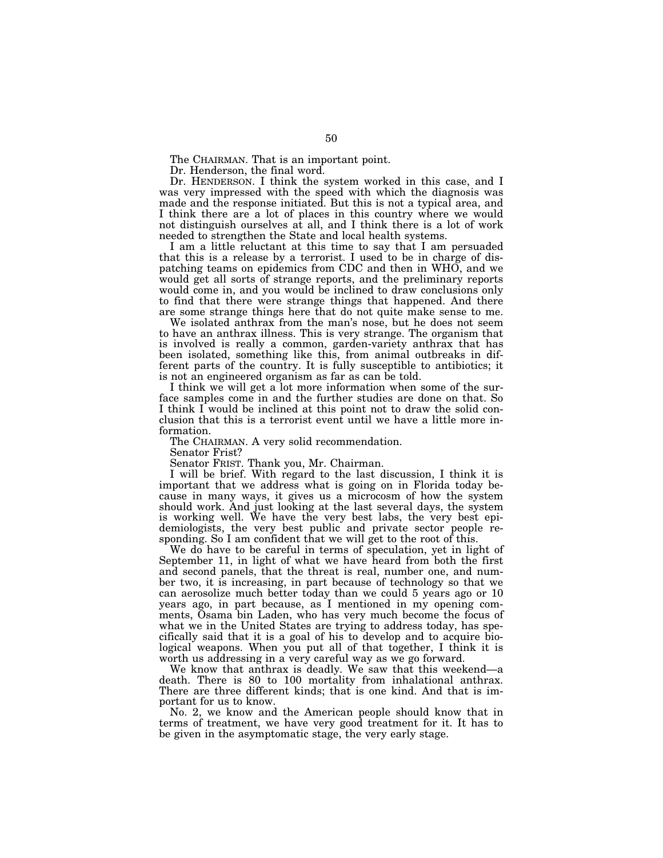The CHAIRMAN. That is an important point.

Dr. Henderson, the final word.

Dr. HENDERSON. I think the system worked in this case, and I was very impressed with the speed with which the diagnosis was made and the response initiated. But this is not a typical area, and I think there are a lot of places in this country where we would not distinguish ourselves at all, and I think there is a lot of work needed to strengthen the State and local health systems.

I am a little reluctant at this time to say that I am persuaded that this is a release by a terrorist. I used to be in charge of dispatching teams on epidemics from CDC and then in WHO, and we would get all sorts of strange reports, and the preliminary reports would come in, and you would be inclined to draw conclusions only to find that there were strange things that happened. And there are some strange things here that do not quite make sense to me.

We isolated anthrax from the man's nose, but he does not seem to have an anthrax illness. This is very strange. The organism that is involved is really a common, garden-variety anthrax that has been isolated, something like this, from animal outbreaks in different parts of the country. It is fully susceptible to antibiotics; it is not an engineered organism as far as can be told.

I think we will get a lot more information when some of the surface samples come in and the further studies are done on that. So I think I would be inclined at this point not to draw the solid conclusion that this is a terrorist event until we have a little more information.

The CHAIRMAN. A very solid recommendation.

Senator Frist?

Senator FRIST. Thank you, Mr. Chairman.

I will be brief. With regard to the last discussion, I think it is important that we address what is going on in Florida today because in many ways, it gives us a microcosm of how the system should work. And just looking at the last several days, the system is working well. We have the very best labs, the very best epidemiologists, the very best public and private sector people responding. So I am confident that we will get to the root of this.

We do have to be careful in terms of speculation, yet in light of September 11, in light of what we have heard from both the first and second panels, that the threat is real, number one, and number two, it is increasing, in part because of technology so that we can aerosolize much better today than we could 5 years ago or 10 years ago, in part because, as I mentioned in my opening comments, Osama bin Laden, who has very much become the focus of what we in the United States are trying to address today, has specifically said that it is a goal of his to develop and to acquire biological weapons. When you put all of that together, I think it is worth us addressing in a very careful way as we go forward.

We know that anthrax is deadly. We saw that this weekend—a death. There is 80 to 100 mortality from inhalational anthrax. There are three different kinds; that is one kind. And that is important for us to know.

No. 2, we know and the American people should know that in terms of treatment, we have very good treatment for it. It has to be given in the asymptomatic stage, the very early stage.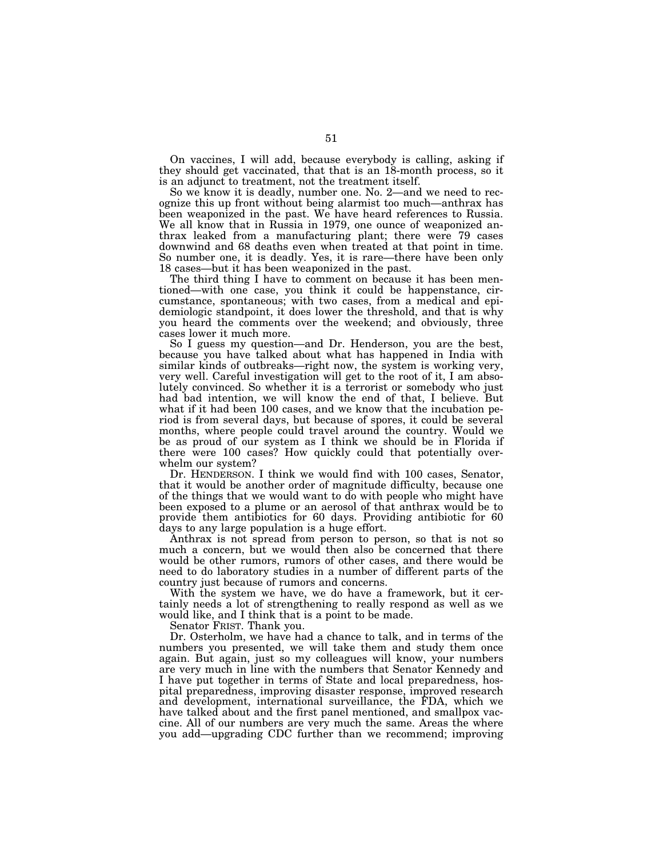On vaccines, I will add, because everybody is calling, asking if they should get vaccinated, that that is an 18-month process, so it is an adjunct to treatment, not the treatment itself.

So we know it is deadly, number one. No. 2—and we need to recognize this up front without being alarmist too much—anthrax has been weaponized in the past. We have heard references to Russia. We all know that in Russia in 1979, one ounce of weaponized anthrax leaked from a manufacturing plant; there were 79 cases downwind and 68 deaths even when treated at that point in time. So number one, it is deadly. Yes, it is rare—there have been only 18 cases—but it has been weaponized in the past.

The third thing I have to comment on because it has been mentioned—with one case, you think it could be happenstance, circumstance, spontaneous; with two cases, from a medical and epidemiologic standpoint, it does lower the threshold, and that is why you heard the comments over the weekend; and obviously, three cases lower it much more.

So I guess my question—and Dr. Henderson, you are the best, because you have talked about what has happened in India with similar kinds of outbreaks—right now, the system is working very, very well. Careful investigation will get to the root of it, I am absolutely convinced. So whether it is a terrorist or somebody who just had bad intention, we will know the end of that, I believe. But what if it had been 100 cases, and we know that the incubation period is from several days, but because of spores, it could be several months, where people could travel around the country. Would we be as proud of our system as I think we should be in Florida if there were 100 cases? How quickly could that potentially overwhelm our system?

Dr. HENDERSON. I think we would find with 100 cases, Senator, that it would be another order of magnitude difficulty, because one of the things that we would want to do with people who might have been exposed to a plume or an aerosol of that anthrax would be to provide them antibiotics for 60 days. Providing antibiotic for 60 days to any large population is a huge effort.

Anthrax is not spread from person to person, so that is not so much a concern, but we would then also be concerned that there would be other rumors, rumors of other cases, and there would be need to do laboratory studies in a number of different parts of the country just because of rumors and concerns.

With the system we have, we do have a framework, but it certainly needs a lot of strengthening to really respond as well as we would like, and I think that is a point to be made.

Senator FRIST. Thank you.

Dr. Osterholm, we have had a chance to talk, and in terms of the numbers you presented, we will take them and study them once again. But again, just so my colleagues will know, your numbers are very much in line with the numbers that Senator Kennedy and I have put together in terms of State and local preparedness, hospital preparedness, improving disaster response, improved research and development, international surveillance, the FDA, which we have talked about and the first panel mentioned, and smallpox vaccine. All of our numbers are very much the same. Areas the where you add—upgrading CDC further than we recommend; improving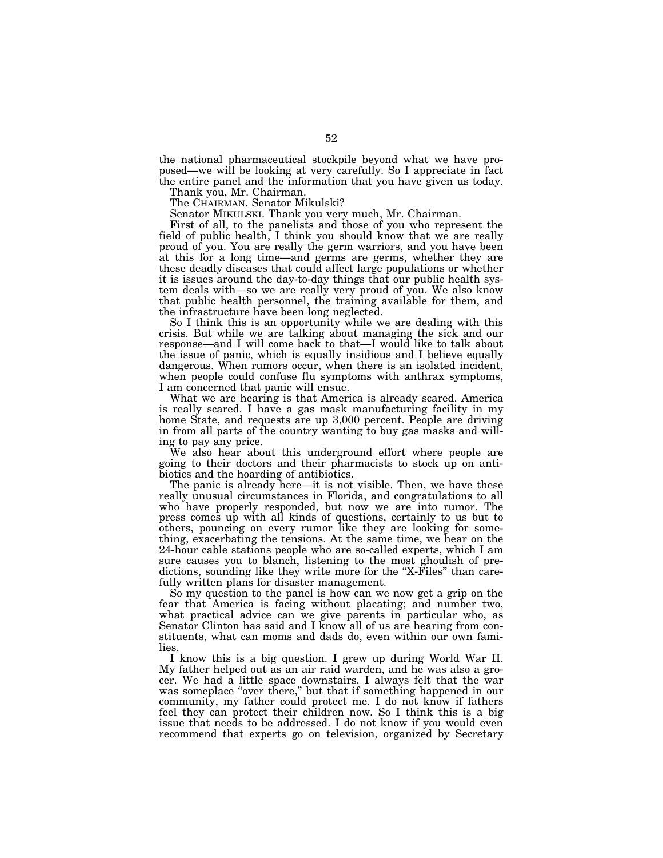the national pharmaceutical stockpile beyond what we have proposed—we will be looking at very carefully. So I appreciate in fact the entire panel and the information that you have given us today.

Thank you, Mr. Chairman.

The CHAIRMAN. Senator Mikulski?

Senator MIKULSKI. Thank you very much, Mr. Chairman.

First of all, to the panelists and those of you who represent the field of public health, I think you should know that we are really proud of you. You are really the germ warriors, and you have been at this for a long time—and germs are germs, whether they are these deadly diseases that could affect large populations or whether it is issues around the day-to-day things that our public health system deals with—so we are really very proud of you. We also know that public health personnel, the training available for them, and the infrastructure have been long neglected.

So I think this is an opportunity while we are dealing with this crisis. But while we are talking about managing the sick and our response—and I will come back to that—I would like to talk about the issue of panic, which is equally insidious and I believe equally dangerous. When rumors occur, when there is an isolated incident, when people could confuse flu symptoms with anthrax symptoms, I am concerned that panic will ensue.

What we are hearing is that America is already scared. America is really scared. I have a gas mask manufacturing facility in my home State, and requests are up 3,000 percent. People are driving in from all parts of the country wanting to buy gas masks and willing to pay any price.

We also hear about this underground effort where people are going to their doctors and their pharmacists to stock up on antibiotics and the hoarding of antibiotics.

The panic is already here—it is not visible. Then, we have these really unusual circumstances in Florida, and congratulations to all who have properly responded, but now we are into rumor. The press comes up with all kinds of questions, certainly to us but to others, pouncing on every rumor like they are looking for something, exacerbating the tensions. At the same time, we hear on the 24-hour cable stations people who are so-called experts, which I am sure causes you to blanch, listening to the most ghoulish of predictions, sounding like they write more for the ''X-Files'' than carefully written plans for disaster management.

So my question to the panel is how can we now get a grip on the fear that America is facing without placating; and number two, what practical advice can we give parents in particular who, as Senator Clinton has said and I know all of us are hearing from constituents, what can moms and dads do, even within our own families.

I know this is a big question. I grew up during World War II. My father helped out as an air raid warden, and he was also a grocer. We had a little space downstairs. I always felt that the war was someplace ''over there,'' but that if something happened in our community, my father could protect me. I do not know if fathers feel they can protect their children now. So I think this is a big issue that needs to be addressed. I do not know if you would even recommend that experts go on television, organized by Secretary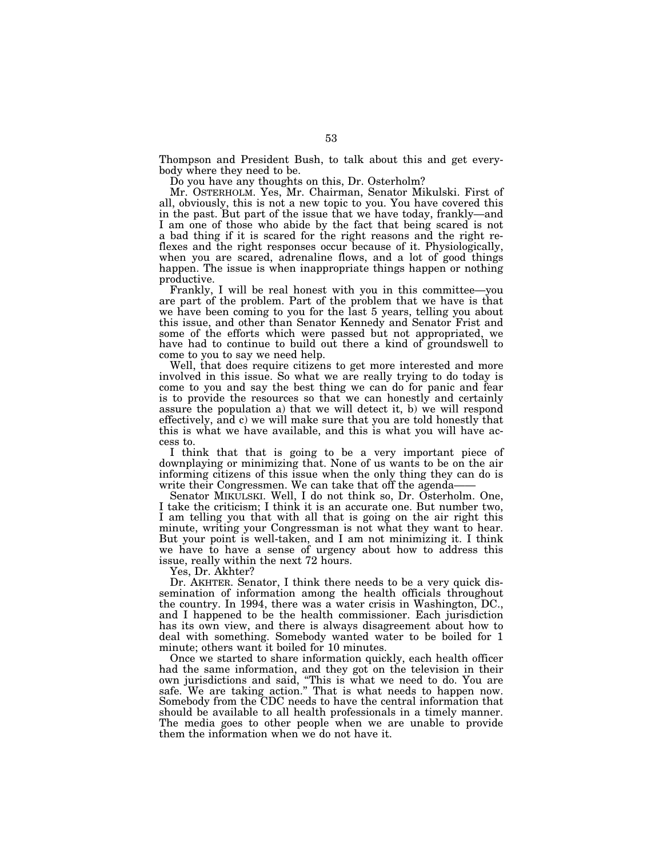Thompson and President Bush, to talk about this and get everybody where they need to be.

Do you have any thoughts on this, Dr. Osterholm?

Mr. OSTERHOLM. Yes, Mr. Chairman, Senator Mikulski. First of all, obviously, this is not a new topic to you. You have covered this in the past. But part of the issue that we have today, frankly—and I am one of those who abide by the fact that being scared is not a bad thing if it is scared for the right reasons and the right reflexes and the right responses occur because of it. Physiologically, when you are scared, adrenaline flows, and a lot of good things happen. The issue is when inappropriate things happen or nothing productive.

Frankly, I will be real honest with you in this committee—you are part of the problem. Part of the problem that we have is that we have been coming to you for the last 5 years, telling you about this issue, and other than Senator Kennedy and Senator Frist and some of the efforts which were passed but not appropriated, we have had to continue to build out there a kind of groundswell to come to you to say we need help.

Well, that does require citizens to get more interested and more involved in this issue. So what we are really trying to do today is come to you and say the best thing we can do for panic and fear is to provide the resources so that we can honestly and certainly assure the population a) that we will detect it, b) we will respond effectively, and c) we will make sure that you are told honestly that this is what we have available, and this is what you will have access to.

I think that that is going to be a very important piece of downplaying or minimizing that. None of us wants to be on the air informing citizens of this issue when the only thing they can do is write their Congressmen. We can take that off the agenda—

Senator MIKULSKI. Well, I do not think so, Dr. Osterholm. One, I take the criticism; I think it is an accurate one. But number two, I am telling you that with all that is going on the air right this minute, writing your Congressman is not what they want to hear. But your point is well-taken, and I am not minimizing it. I think we have to have a sense of urgency about how to address this issue, really within the next 72 hours.

Yes, Dr. Akhter?

Dr. AKHTER. Senator, I think there needs to be a very quick dissemination of information among the health officials throughout the country. In 1994, there was a water crisis in Washington, DC., and I happened to be the health commissioner. Each jurisdiction has its own view, and there is always disagreement about how to deal with something. Somebody wanted water to be boiled for 1 minute; others want it boiled for 10 minutes.

Once we started to share information quickly, each health officer had the same information, and they got on the television in their own jurisdictions and said, ''This is what we need to do. You are safe. We are taking action.'' That is what needs to happen now. Somebody from the CDC needs to have the central information that should be available to all health professionals in a timely manner. The media goes to other people when we are unable to provide them the information when we do not have it.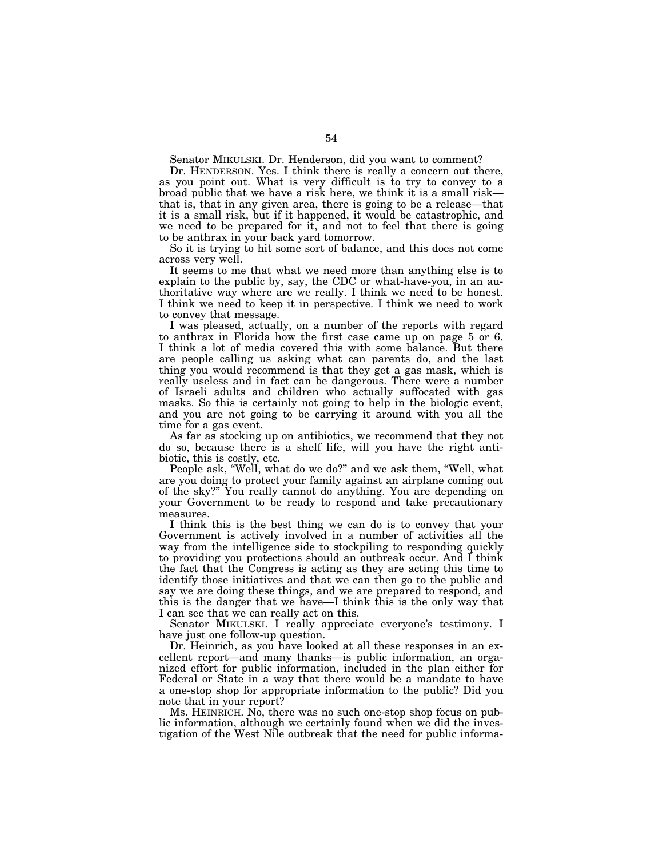Senator MIKULSKI. Dr. Henderson, did you want to comment?

Dr. HENDERSON. Yes. I think there is really a concern out there, as you point out. What is very difficult is to try to convey to a broad public that we have a risk here, we think it is a small risk that is, that in any given area, there is going to be a release—that it is a small risk, but if it happened, it would be catastrophic, and we need to be prepared for  $i\overline{t}$ , and not to feel that there is going to be anthrax in your back yard tomorrow.

So it is trying to hit some sort of balance, and this does not come across very well.

It seems to me that what we need more than anything else is to explain to the public by, say, the CDC or what-have-you, in an authoritative way where are we really. I think we need to be honest. I think we need to keep it in perspective. I think we need to work to convey that message.

I was pleased, actually, on a number of the reports with regard to anthrax in Florida how the first case came up on page 5 or 6. I think a lot of media covered this with some balance. But there are people calling us asking what can parents do, and the last thing you would recommend is that they get a gas mask, which is really useless and in fact can be dangerous. There were a number of Israeli adults and children who actually suffocated with gas masks. So this is certainly not going to help in the biologic event, and you are not going to be carrying it around with you all the time for a gas event.

As far as stocking up on antibiotics, we recommend that they not do so, because there is a shelf life, will you have the right antibiotic, this is costly, etc.

People ask, "Well, what do we do?" and we ask them, "Well, what are you doing to protect your family against an airplane coming out of the sky?'' You really cannot do anything. You are depending on your Government to be ready to respond and take precautionary measures.

I think this is the best thing we can do is to convey that your Government is actively involved in a number of activities all the way from the intelligence side to stockpiling to responding quickly to providing you protections should an outbreak occur. And I think the fact that the Congress is acting as they are acting this time to identify those initiatives and that we can then go to the public and say we are doing these things, and we are prepared to respond, and this is the danger that we have—I think this is the only way that I can see that we can really act on this.

Senator MIKULSKI. I really appreciate everyone's testimony. I have just one follow-up question.

Dr. Heinrich, as you have looked at all these responses in an excellent report—and many thanks—is public information, an organized effort for public information, included in the plan either for Federal or State in a way that there would be a mandate to have a one-stop shop for appropriate information to the public? Did you note that in your report?

Ms. HEINRICH. No, there was no such one-stop shop focus on public information, although we certainly found when we did the investigation of the West Nile outbreak that the need for public informa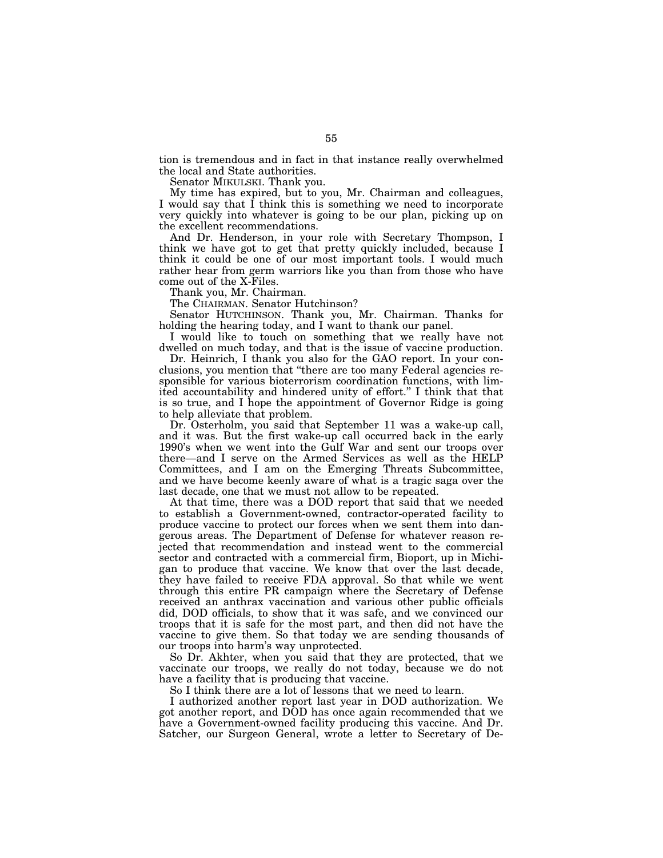tion is tremendous and in fact in that instance really overwhelmed the local and State authorities.

Senator MIKULSKI. Thank you.

My time has expired, but to you, Mr. Chairman and colleagues, I would say that I think this is something we need to incorporate very quickly into whatever is going to be our plan, picking up on the excellent recommendations.

And Dr. Henderson, in your role with Secretary Thompson, I think we have got to get that pretty quickly included, because I think it could be one of our most important tools. I would much rather hear from germ warriors like you than from those who have come out of the X-Files.

Thank you, Mr. Chairman.

The CHAIRMAN. Senator Hutchinson?

Senator HUTCHINSON. Thank you, Mr. Chairman. Thanks for holding the hearing today, and I want to thank our panel.

I would like to touch on something that we really have not dwelled on much today, and that is the issue of vaccine production.

Dr. Heinrich, I thank you also for the GAO report. In your conclusions, you mention that ''there are too many Federal agencies responsible for various bioterrorism coordination functions, with limited accountability and hindered unity of effort.'' I think that that is so true, and I hope the appointment of Governor Ridge is going to help alleviate that problem.

Dr. Osterholm, you said that September 11 was a wake-up call, and it was. But the first wake-up call occurred back in the early 1990's when we went into the Gulf War and sent our troops over there—and I serve on the Armed Services as well as the HELP Committees, and I am on the Emerging Threats Subcommittee, and we have become keenly aware of what is a tragic saga over the last decade, one that we must not allow to be repeated.

At that time, there was a DOD report that said that we needed to establish a Government-owned, contractor-operated facility to produce vaccine to protect our forces when we sent them into dangerous areas. The Department of Defense for whatever reason rejected that recommendation and instead went to the commercial sector and contracted with a commercial firm, Bioport, up in Michigan to produce that vaccine. We know that over the last decade, they have failed to receive FDA approval. So that while we went through this entire PR campaign where the Secretary of Defense received an anthrax vaccination and various other public officials did, DOD officials, to show that it was safe, and we convinced our troops that it is safe for the most part, and then did not have the vaccine to give them. So that today we are sending thousands of our troops into harm's way unprotected.

So Dr. Akhter, when you said that they are protected, that we vaccinate our troops, we really do not today, because we do not have a facility that is producing that vaccine.

So I think there are a lot of lessons that we need to learn.

I authorized another report last year in DOD authorization. We got another report, and DOD has once again recommended that we have a Government-owned facility producing this vaccine. And Dr. Satcher, our Surgeon General, wrote a letter to Secretary of De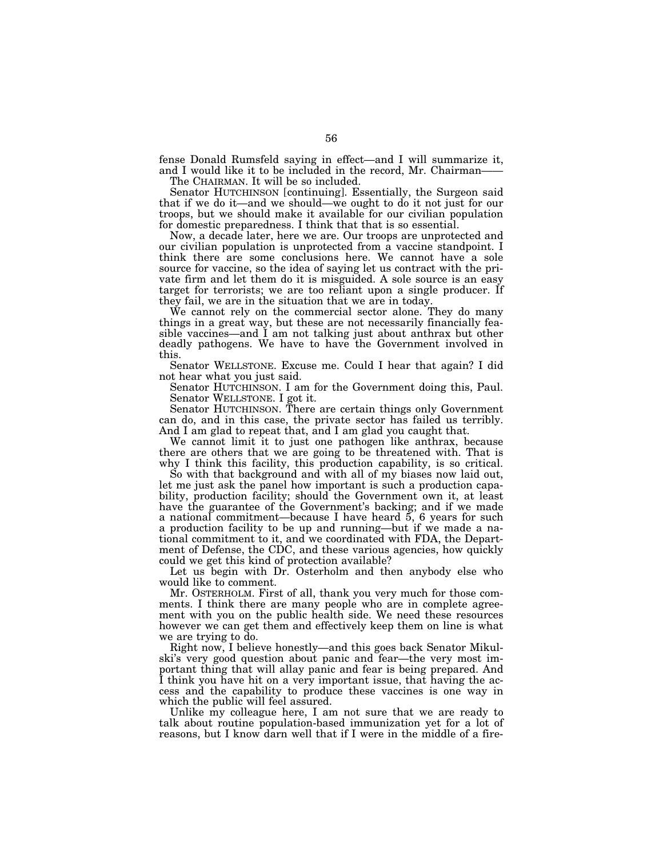fense Donald Rumsfeld saying in effect—and I will summarize it, and I would like it to be included in the record, Mr. Chairman—— The CHAIRMAN. It will be so included.

Senator HUTCHINSON [continuing]. Essentially, the Surgeon said that if we do it—and we should—we ought to do it not just for our troops, but we should make it available for our civilian population for domestic preparedness. I think that that is so essential.

Now, a decade later, here we are. Our troops are unprotected and our civilian population is unprotected from a vaccine standpoint. I think there are some conclusions here. We cannot have a sole source for vaccine, so the idea of saying let us contract with the private firm and let them do it is misguided. A sole source is an easy target for terrorists; we are too reliant upon a single producer. If they fail, we are in the situation that we are in today.

We cannot rely on the commercial sector alone. They do many things in a great way, but these are not necessarily financially feasible vaccines—and I am not talking just about anthrax but other deadly pathogens. We have to have the Government involved in this.

Senator WELLSTONE. Excuse me. Could I hear that again? I did not hear what you just said.

Senator HUTCHINSON. I am for the Government doing this, Paul. Senator WELLSTONE. I got it.

Senator HUTCHINSON. There are certain things only Government can do, and in this case, the private sector has failed us terribly. And I am glad to repeat that, and I am glad you caught that.

We cannot limit it to just one pathogen like anthrax, because there are others that we are going to be threatened with. That is why I think this facility, this production capability, is so critical.

So with that background and with all of my biases now laid out, let me just ask the panel how important is such a production capability, production facility; should the Government own it, at least have the guarantee of the Government's backing; and if we made a national commitment—because I have heard 5, 6 years for such a production facility to be up and running—but if we made a national commitment to it, and we coordinated with FDA, the Department of Defense, the CDC, and these various agencies, how quickly could we get this kind of protection available?

Let us begin with Dr. Osterholm and then anybody else who would like to comment.

Mr. OSTERHOLM. First of all, thank you very much for those comments. I think there are many people who are in complete agreement with you on the public health side. We need these resources however we can get them and effectively keep them on line is what we are trying to do.

Right now, I believe honestly—and this goes back Senator Mikulski's very good question about panic and fear—the very most important thing that will allay panic and fear is being prepared. And I think you have hit on a very important issue, that having the access and the capability to produce these vaccines is one way in which the public will feel assured.

Unlike my colleague here, I am not sure that we are ready to talk about routine population-based immunization yet for a lot of reasons, but I know darn well that if I were in the middle of a fire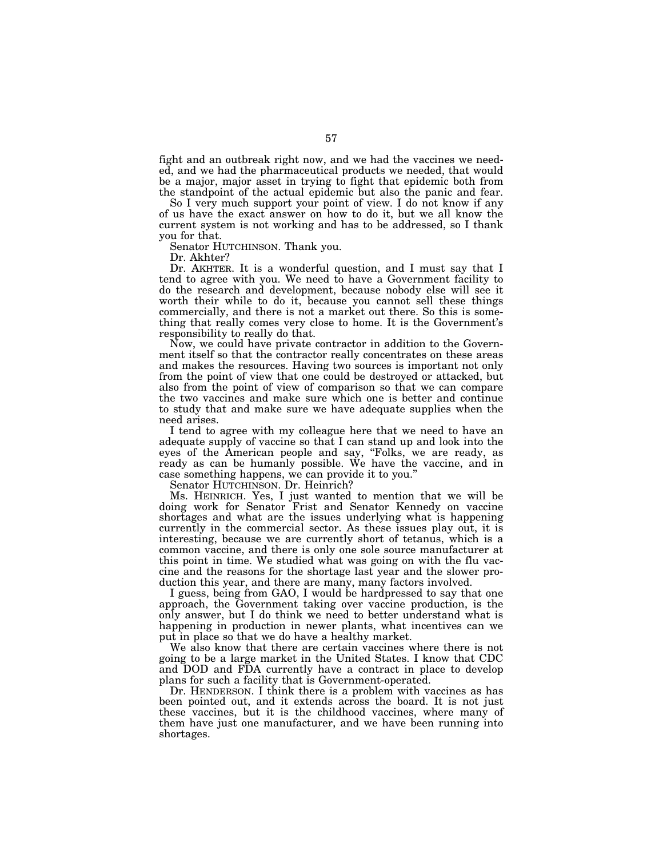fight and an outbreak right now, and we had the vaccines we needed, and we had the pharmaceutical products we needed, that would be a major, major asset in trying to fight that epidemic both from the standpoint of the actual epidemic but also the panic and fear.

So I very much support your point of view. I do not know if any of us have the exact answer on how to do it, but we all know the current system is not working and has to be addressed, so I thank you for that.

Senator HUTCHINSON. Thank you.

Dr. Akhter?

Dr. AKHTER. It is a wonderful question, and I must say that I tend to agree with you. We need to have a Government facility to do the research and development, because nobody else will see it worth their while to do it, because you cannot sell these things commercially, and there is not a market out there. So this is something that really comes very close to home. It is the Government's responsibility to really do that.

Now, we could have private contractor in addition to the Government itself so that the contractor really concentrates on these areas and makes the resources. Having two sources is important not only from the point of view that one could be destroyed or attacked, but also from the point of view of comparison so that we can compare the two vaccines and make sure which one is better and continue to study that and make sure we have adequate supplies when the need arises.

I tend to agree with my colleague here that we need to have an adequate supply of vaccine so that I can stand up and look into the eyes of the American people and say, ''Folks, we are ready, as ready as can be humanly possible. We have the vaccine, and in case something happens, we can provide it to you.'' Senator HUTCHINSON. Dr. Heinrich?

Ms. HEINRICH. Yes, I just wanted to mention that we will be doing work for Senator Frist and Senator Kennedy on vaccine shortages and what are the issues underlying what is happening currently in the commercial sector. As these issues play out, it is interesting, because we are currently short of tetanus, which is a common vaccine, and there is only one sole source manufacturer at this point in time. We studied what was going on with the flu vaccine and the reasons for the shortage last year and the slower production this year, and there are many, many factors involved.

I guess, being from GAO, I would be hardpressed to say that one approach, the Government taking over vaccine production, is the only answer, but I do think we need to better understand what is happening in production in newer plants, what incentives can we put in place so that we do have a healthy market.

We also know that there are certain vaccines where there is not going to be a large market in the United States. I know that CDC and DOD and FDA currently have a contract in place to develop plans for such a facility that is Government-operated.

Dr. HENDERSON. I think there is a problem with vaccines as has been pointed out, and it extends across the board. It is not just these vaccines, but it is the childhood vaccines, where many of them have just one manufacturer, and we have been running into shortages.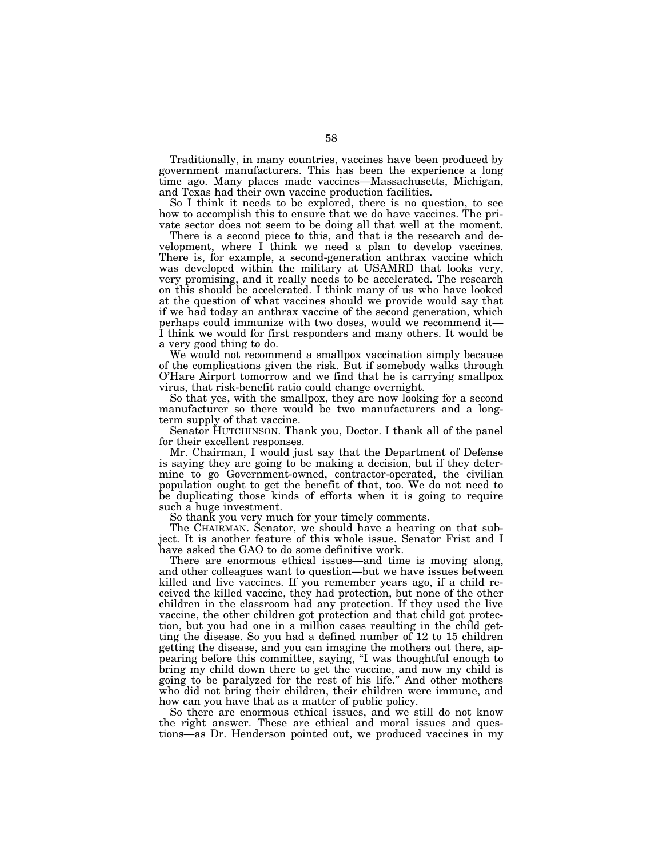Traditionally, in many countries, vaccines have been produced by government manufacturers. This has been the experience a long time ago. Many places made vaccines—Massachusetts, Michigan, and Texas had their own vaccine production facilities.

So I think it needs to be explored, there is no question, to see how to accomplish this to ensure that we do have vaccines. The private sector does not seem to be doing all that well at the moment.

There is a second piece to this, and that is the research and development, where I think we need a plan to develop vaccines. There is, for example, a second-generation anthrax vaccine which was developed within the military at USAMRD that looks very, very promising, and it really needs to be accelerated. The research on this should be accelerated. I think many of us who have looked at the question of what vaccines should we provide would say that if we had today an anthrax vaccine of the second generation, which perhaps could immunize with two doses, would we recommend it— I think we would for first responders and many others. It would be a very good thing to do.

We would not recommend a smallpox vaccination simply because of the complications given the risk. But if somebody walks through O'Hare Airport tomorrow and we find that he is carrying smallpox virus, that risk-benefit ratio could change overnight.

So that yes, with the smallpox, they are now looking for a second manufacturer so there would be two manufacturers and a longterm supply of that vaccine.

Senator HUTCHINSON. Thank you, Doctor. I thank all of the panel for their excellent responses.

Mr. Chairman, I would just say that the Department of Defense is saying they are going to be making a decision, but if they determine to go Government-owned, contractor-operated, the civilian population ought to get the benefit of that, too. We do not need to be duplicating those kinds of efforts when it is going to require such a huge investment.

So thank you very much for your timely comments.

The CHAIRMAN. Senator, we should have a hearing on that subject. It is another feature of this whole issue. Senator Frist and I have asked the GAO to do some definitive work.

There are enormous ethical issues—and time is moving along, and other colleagues want to question—but we have issues between killed and live vaccines. If you remember years ago, if a child received the killed vaccine, they had protection, but none of the other children in the classroom had any protection. If they used the live vaccine, the other children got protection and that child got protection, but you had one in a million cases resulting in the child getting the disease. So you had a defined number of 12 to 15 children getting the disease, and you can imagine the mothers out there, appearing before this committee, saying, "I was thoughtful enough to bring my child down there to get the vaccine, and now my child is going to be paralyzed for the rest of his life.'' And other mothers who did not bring their children, their children were immune, and how can you have that as a matter of public policy.

So there are enormous ethical issues, and we still do not know the right answer. These are ethical and moral issues and questions—as Dr. Henderson pointed out, we produced vaccines in my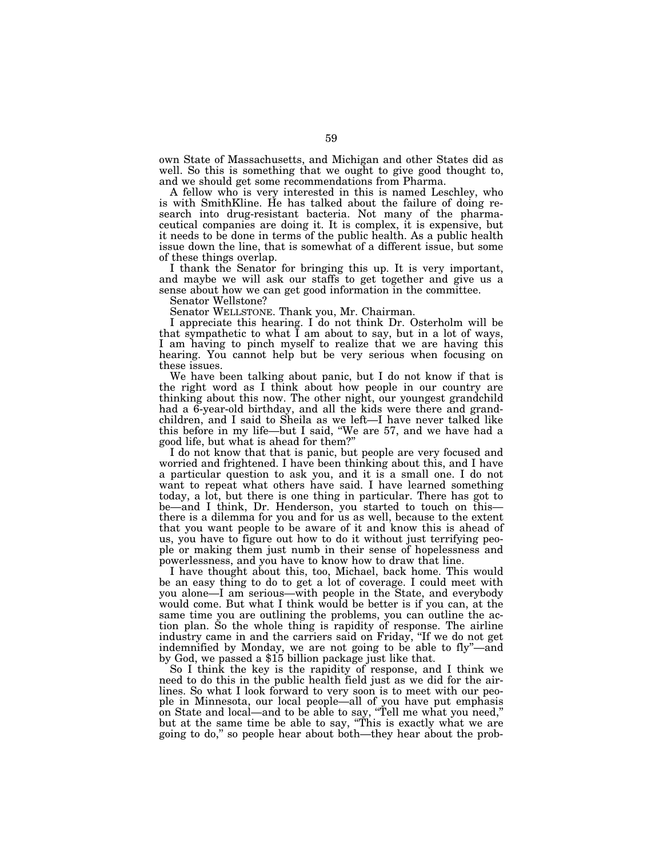own State of Massachusetts, and Michigan and other States did as well. So this is something that we ought to give good thought to, and we should get some recommendations from Pharma.

A fellow who is very interested in this is named Leschley, who is with SmithKline. He has talked about the failure of doing research into drug-resistant bacteria. Not many of the pharmaceutical companies are doing it. It is complex, it is expensive, but it needs to be done in terms of the public health. As a public health issue down the line, that is somewhat of a different issue, but some of these things overlap.

I thank the Senator for bringing this up. It is very important, and maybe we will ask our staffs to get together and give us a sense about how we can get good information in the committee.

Senator Wellstone?

Senator WELLSTONE. Thank you, Mr. Chairman.

I appreciate this hearing. I do not think Dr. Osterholm will be that sympathetic to what I am about to say, but in a lot of ways, I am having to pinch myself to realize that we are having this hearing. You cannot help but be very serious when focusing on these issues.

We have been talking about panic, but I do not know if that is the right word as I think about how people in our country are thinking about this now. The other night, our youngest grandchild had a 6-year-old birthday, and all the kids were there and grandchildren, and I said to Sheila as we left—I have never talked like this before in my life—but I said, ''We are 57, and we have had a good life, but what is ahead for them?''

I do not know that that is panic, but people are very focused and worried and frightened. I have been thinking about this, and I have a particular question to ask you, and it is a small one. I do not want to repeat what others have said. I have learned something today, a lot, but there is one thing in particular. There has got to be—and I think, Dr. Henderson, you started to touch on this— there is a dilemma for you and for us as well, because to the extent that you want people to be aware of it and know this is ahead of us, you have to figure out how to do it without just terrifying people or making them just numb in their sense of hopelessness and powerlessness, and you have to know how to draw that line.

I have thought about this, too, Michael, back home. This would be an easy thing to do to get a lot of coverage. I could meet with you alone—I am serious—with people in the State, and everybody would come. But what I think would be better is if you can, at the same time you are outlining the problems, you can outline the action plan. So the whole thing is rapidity of response. The airline industry came in and the carriers said on Friday, ''If we do not get indemnified by Monday, we are not going to be able to fly''—and by God, we passed a \$15 billion package just like that.

So I think the key is the rapidity of response, and I think we need to do this in the public health field just as we did for the airlines. So what I look forward to very soon is to meet with our people in Minnesota, our local people—all of you have put emphasis on State and local—and to be able to say, ''Tell me what you need,'' but at the same time be able to say, ''This is exactly what we are going to do,'' so people hear about both—they hear about the prob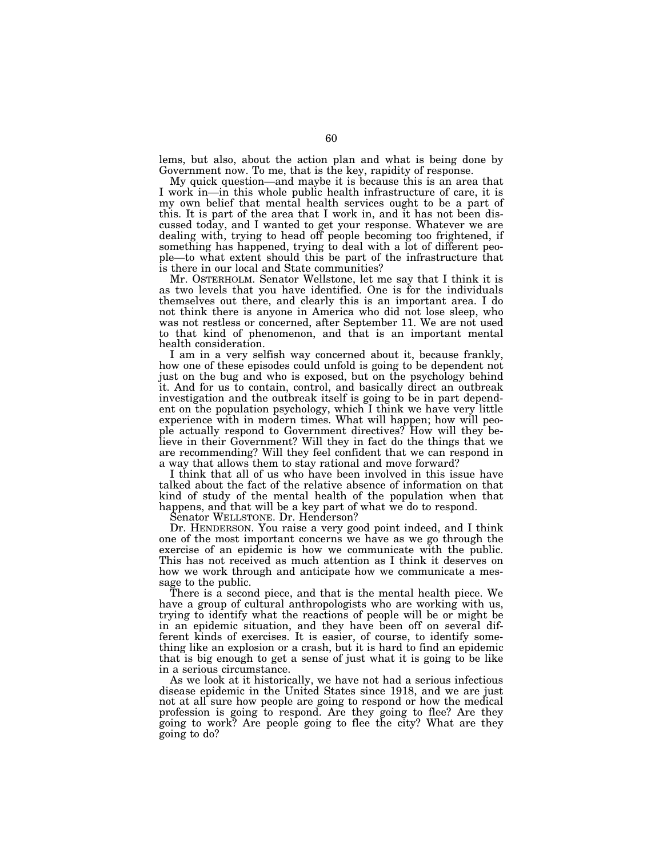lems, but also, about the action plan and what is being done by Government now. To me, that is the key, rapidity of response.

My quick question—and maybe it is because this is an area that I work in—in this whole public health infrastructure of care, it is my own belief that mental health services ought to be a part of this. It is part of the area that I work in, and it has not been discussed today, and I wanted to get your response. Whatever we are dealing with, trying to head off people becoming too frightened, if something has happened, trying to deal with a lot of different people—to what extent should this be part of the infrastructure that is there in our local and State communities?

Mr. OSTERHOLM. Senator Wellstone, let me say that I think it is as two levels that you have identified. One is for the individuals themselves out there, and clearly this is an important area. I do not think there is anyone in America who did not lose sleep, who was not restless or concerned, after September 11. We are not used to that kind of phenomenon, and that is an important mental health consideration.

I am in a very selfish way concerned about it, because frankly, how one of these episodes could unfold is going to be dependent not just on the bug and who is exposed, but on the psychology behind it. And for us to contain, control, and basically direct an outbreak investigation and the outbreak itself is going to be in part dependent on the population psychology, which I think we have very little experience with in modern times. What will happen; how will people actually respond to Government directives? How will they believe in their Government? Will they in fact do the things that we are recommending? Will they feel confident that we can respond in a way that allows them to stay rational and move forward?

I think that all of us who have been involved in this issue have talked about the fact of the relative absence of information on that kind of study of the mental health of the population when that happens, and that will be a key part of what we do to respond.

Senator WELLSTONE. Dr. Henderson?

Dr. HENDERSON. You raise a very good point indeed, and I think one of the most important concerns we have as we go through the exercise of an epidemic is how we communicate with the public. This has not received as much attention as I think it deserves on how we work through and anticipate how we communicate a message to the public.

There is a second piece, and that is the mental health piece. We have a group of cultural anthropologists who are working with us, trying to identify what the reactions of people will be or might be in an epidemic situation, and they have been off on several different kinds of exercises. It is easier, of course, to identify something like an explosion or a crash, but it is hard to find an epidemic that is big enough to get a sense of just what it is going to be like in a serious circumstance.

As we look at it historically, we have not had a serious infectious disease epidemic in the United States since 1918, and we are just not at all sure how people are going to respond or how the medical profession is going to respond. Are they going to flee? Are they going to work? Are people going to flee the city? What are they going to do?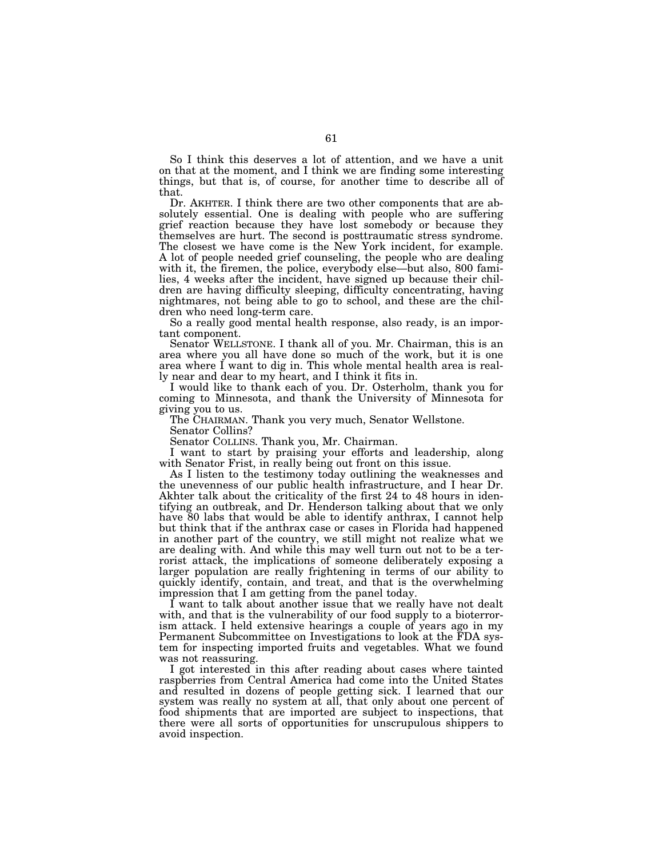So I think this deserves a lot of attention, and we have a unit on that at the moment, and I think we are finding some interesting things, but that is, of course, for another time to describe all of that.

Dr. AKHTER. I think there are two other components that are absolutely essential. One is dealing with people who are suffering grief reaction because they have lost somebody or because they themselves are hurt. The second is posttraumatic stress syndrome. The closest we have come is the New York incident, for example. A lot of people needed grief counseling, the people who are dealing with it, the firemen, the police, everybody else—but also, 800 families, 4 weeks after the incident, have signed up because their children are having difficulty sleeping, difficulty concentrating, having nightmares, not being able to go to school, and these are the children who need long-term care.

So a really good mental health response, also ready, is an important component.

Senator WELLSTONE. I thank all of you. Mr. Chairman, this is an area where you all have done so much of the work, but it is one area where I want to dig in. This whole mental health area is really near and dear to my heart, and I think it fits in.

I would like to thank each of you. Dr. Osterholm, thank you for coming to Minnesota, and thank the University of Minnesota for giving you to us.

The CHAIRMAN. Thank you very much, Senator Wellstone.

Senator Collins?

Senator COLLINS. Thank you, Mr. Chairman.

I want to start by praising your efforts and leadership, along with Senator Frist, in really being out front on this issue.

As I listen to the testimony today outlining the weaknesses and the unevenness of our public health infrastructure, and I hear Dr. Akhter talk about the criticality of the first 24 to 48 hours in identifying an outbreak, and Dr. Henderson talking about that we only have 80 labs that would be able to identify anthrax, I cannot help but think that if the anthrax case or cases in Florida had happened in another part of the country, we still might not realize what we are dealing with. And while this may well turn out not to be a terrorist attack, the implications of someone deliberately exposing a larger population are really frightening in terms of our ability to quickly identify, contain, and treat, and that is the overwhelming impression that I am getting from the panel today.

I want to talk about another issue that we really have not dealt with, and that is the vulnerability of our food supply to a bioterrorism attack. I held extensive hearings a couple of years ago in my Permanent Subcommittee on Investigations to look at the FDA system for inspecting imported fruits and vegetables. What we found was not reassuring.

I got interested in this after reading about cases where tainted raspberries from Central America had come into the United States and resulted in dozens of people getting sick. I learned that our system was really no system at all, that only about one percent of food shipments that are imported are subject to inspections, that there were all sorts of opportunities for unscrupulous shippers to avoid inspection.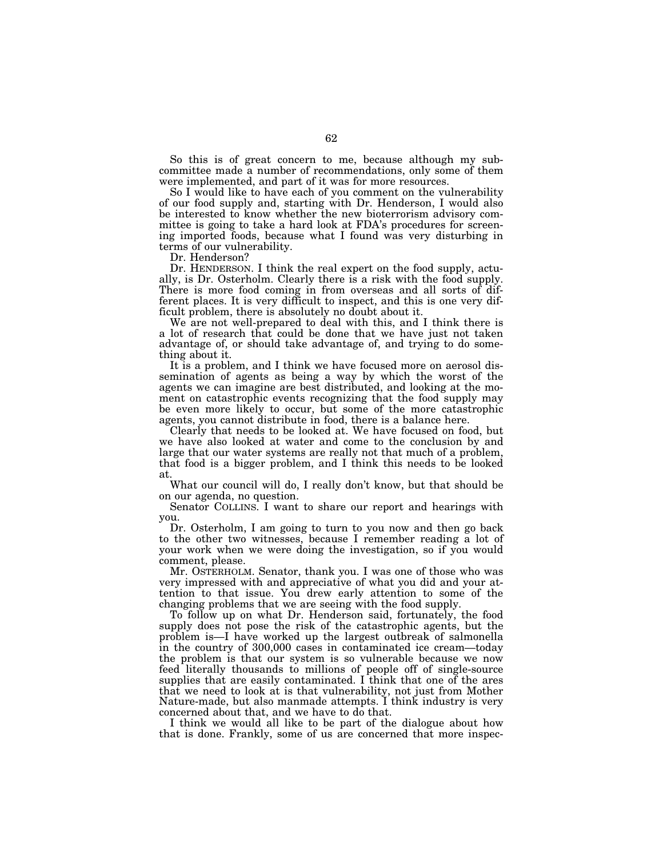So this is of great concern to me, because although my subcommittee made a number of recommendations, only some of them were implemented, and part of it was for more resources.

So I would like to have each of you comment on the vulnerability of our food supply and, starting with Dr. Henderson, I would also be interested to know whether the new bioterrorism advisory committee is going to take a hard look at FDA's procedures for screening imported foods, because what I found was very disturbing in terms of our vulnerability.

Dr. Henderson?

Dr. HENDERSON. I think the real expert on the food supply, actually, is Dr. Osterholm. Clearly there is a risk with the food supply. There is more food coming in from overseas and all sorts of different places. It is very difficult to inspect, and this is one very difficult problem, there is absolutely no doubt about it.

We are not well-prepared to deal with this, and I think there is a lot of research that could be done that we have just not taken advantage of, or should take advantage of, and trying to do something about it.

It is a problem, and I think we have focused more on aerosol dissemination of agents as being a way by which the worst of the agents we can imagine are best distributed, and looking at the moment on catastrophic events recognizing that the food supply may be even more likely to occur, but some of the more catastrophic agents, you cannot distribute in food, there is a balance here.

Clearly that needs to be looked at. We have focused on food, but we have also looked at water and come to the conclusion by and large that our water systems are really not that much of a problem, that food is a bigger problem, and I think this needs to be looked at.

What our council will do, I really don't know, but that should be on our agenda, no question.

Senator COLLINS. I want to share our report and hearings with you.

Dr. Osterholm, I am going to turn to you now and then go back to the other two witnesses, because I remember reading a lot of your work when we were doing the investigation, so if you would comment, please.

Mr. OSTERHOLM. Senator, thank you. I was one of those who was very impressed with and appreciative of what you did and your attention to that issue. You drew early attention to some of the changing problems that we are seeing with the food supply.

To follow up on what Dr. Henderson said, fortunately, the food supply does not pose the risk of the catastrophic agents, but the problem is—I have worked up the largest outbreak of salmonella in the country of 300,000 cases in contaminated ice cream—today the problem is that our system is so vulnerable because we now feed literally thousands to millions of people off of single-source supplies that are easily contaminated. I think that one of the ares that we need to look at is that vulnerability, not just from Mother Nature-made, but also manmade attempts. I think industry is very concerned about that, and we have to do that.

I think we would all like to be part of the dialogue about how that is done. Frankly, some of us are concerned that more inspec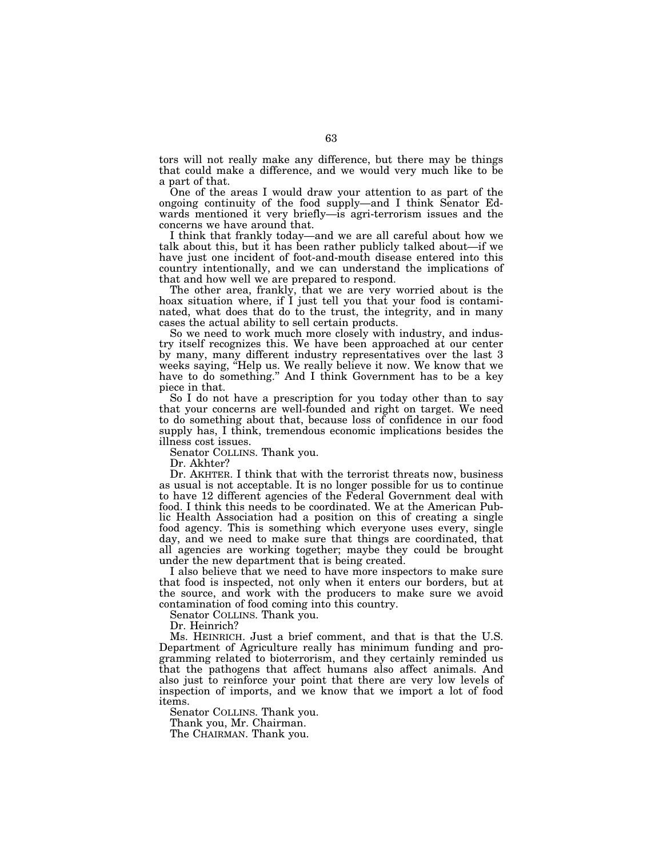tors will not really make any difference, but there may be things that could make a difference, and we would very much like to be a part of that.

One of the areas I would draw your attention to as part of the ongoing continuity of the food supply—and I think Senator Edwards mentioned it very briefly—is agri-terrorism issues and the concerns we have around that.

I think that frankly today—and we are all careful about how we talk about this, but it has been rather publicly talked about—if we have just one incident of foot-and-mouth disease entered into this country intentionally, and we can understand the implications of that and how well we are prepared to respond.

The other area, frankly, that we are very worried about is the hoax situation where, if I just tell you that your food is contaminated, what does that do to the trust, the integrity, and in many cases the actual ability to sell certain products.

So we need to work much more closely with industry, and industry itself recognizes this. We have been approached at our center by many, many different industry representatives over the last 3 weeks saying, ''Help us. We really believe it now. We know that we have to do something.'' And I think Government has to be a key piece in that.

So I do not have a prescription for you today other than to say that your concerns are well-founded and right on target. We need to do something about that, because loss of confidence in our food supply has, I think, tremendous economic implications besides the illness cost issues.

Senator COLLINS. Thank you.

Dr. Akhter?

Dr. AKHTER. I think that with the terrorist threats now, business as usual is not acceptable. It is no longer possible for us to continue to have 12 different agencies of the Federal Government deal with food. I think this needs to be coordinated. We at the American Public Health Association had a position on this of creating a single food agency. This is something which everyone uses every, single day, and we need to make sure that things are coordinated, that all agencies are working together; maybe they could be brought under the new department that is being created.

I also believe that we need to have more inspectors to make sure that food is inspected, not only when it enters our borders, but at the source, and work with the producers to make sure we avoid contamination of food coming into this country.

Senator COLLINS. Thank you.

Dr. Heinrich?

Ms. HEINRICH. Just a brief comment, and that is that the U.S. Department of Agriculture really has minimum funding and programming related to bioterrorism, and they certainly reminded us that the pathogens that affect humans also affect animals. And also just to reinforce your point that there are very low levels of inspection of imports, and we know that we import a lot of food items.

Senator COLLINS. Thank you.

Thank you, Mr. Chairman.

The CHAIRMAN. Thank you.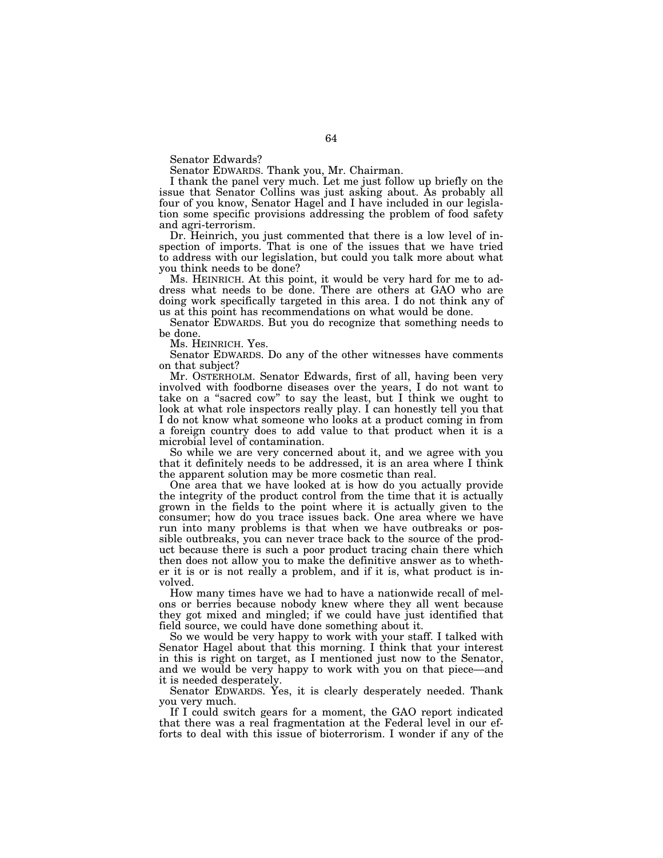Senator Edwards?

Senator EDWARDS. Thank you, Mr. Chairman.

I thank the panel very much. Let me just follow up briefly on the issue that Senator Collins was just asking about. As probably all four of you know, Senator Hagel and I have included in our legislation some specific provisions addressing the problem of food safety and agri-terrorism.

Dr. Heinrich, you just commented that there is a low level of inspection of imports. That is one of the issues that we have tried to address with our legislation, but could you talk more about what you think needs to be done?

Ms. HEINRICH. At this point, it would be very hard for me to address what needs to be done. There are others at GAO who are doing work specifically targeted in this area. I do not think any of us at this point has recommendations on what would be done.

Senator EDWARDS. But you do recognize that something needs to be done.

Ms. HEINRICH. Yes.

Senator EDWARDS. Do any of the other witnesses have comments on that subject?

Mr. OSTERHOLM. Senator Edwards, first of all, having been very involved with foodborne diseases over the years, I do not want to take on a ''sacred cow'' to say the least, but I think we ought to look at what role inspectors really play. I can honestly tell you that I do not know what someone who looks at a product coming in from a foreign country does to add value to that product when it is a microbial level of contamination.

So while we are very concerned about it, and we agree with you that it definitely needs to be addressed, it is an area where I think the apparent solution may be more cosmetic than real.

One area that we have looked at is how do you actually provide the integrity of the product control from the time that it is actually grown in the fields to the point where it is actually given to the consumer; how do you trace issues back. One area where we have run into many problems is that when we have outbreaks or possible outbreaks, you can never trace back to the source of the product because there is such a poor product tracing chain there which then does not allow you to make the definitive answer as to whether it is or is not really a problem, and if it is, what product is involved.

How many times have we had to have a nationwide recall of melons or berries because nobody knew where they all went because they got mixed and mingled; if we could have just identified that field source, we could have done something about it.

So we would be very happy to work with your staff. I talked with Senator Hagel about that this morning. I think that your interest in this is right on target, as I mentioned just now to the Senator, and we would be very happy to work with you on that piece—and it is needed desperately.

Senator EDWARDS. Yes, it is clearly desperately needed. Thank you very much.

If I could switch gears for a moment, the GAO report indicated that there was a real fragmentation at the Federal level in our efforts to deal with this issue of bioterrorism. I wonder if any of the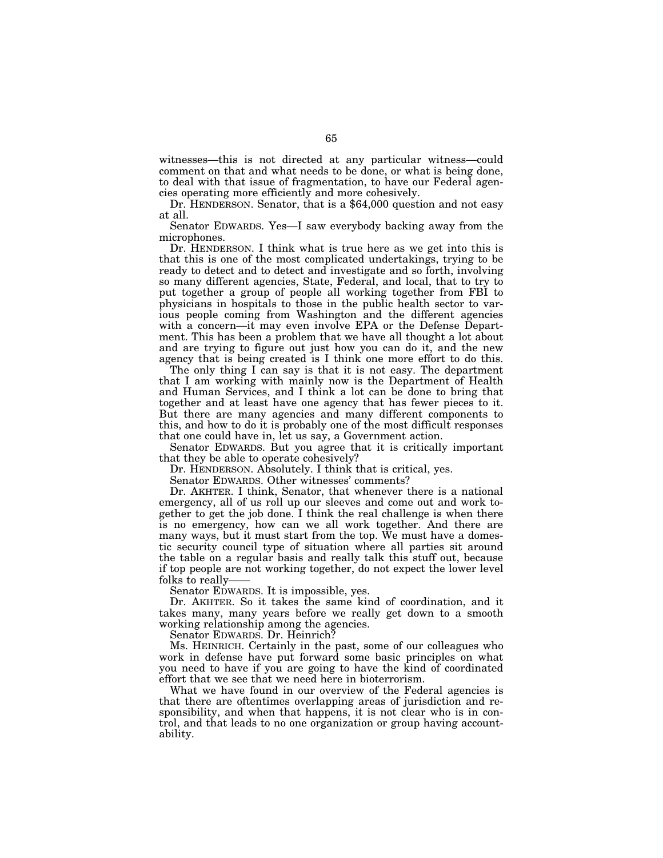witnesses—this is not directed at any particular witness—could comment on that and what needs to be done, or what is being done, to deal with that issue of fragmentation, to have our Federal agencies operating more efficiently and more cohesively.

Dr. HENDERSON. Senator, that is a \$64,000 question and not easy at all.

Senator EDWARDS. Yes—I saw everybody backing away from the microphones.

Dr. HENDERSON. I think what is true here as we get into this is that this is one of the most complicated undertakings, trying to be ready to detect and to detect and investigate and so forth, involving so many different agencies, State, Federal, and local, that to try to put together a group of people all working together from FBI to physicians in hospitals to those in the public health sector to various people coming from Washington and the different agencies with a concern—it may even involve EPA or the Defense Department. This has been a problem that we have all thought a lot about and are trying to figure out just how you can do it, and the new agency that is being created is I think one more effort to do this.

The only thing I can say is that it is not easy. The department that I am working with mainly now is the Department of Health and Human Services, and I think a lot can be done to bring that together and at least have one agency that has fewer pieces to it. But there are many agencies and many different components to this, and how to do it is probably one of the most difficult responses that one could have in, let us say, a Government action.

Senator EDWARDS. But you agree that it is critically important that they be able to operate cohesively?

Dr. HENDERSON. Absolutely. I think that is critical, yes.

Senator EDWARDS. Other witnesses' comments?

Dr. AKHTER. I think, Senator, that whenever there is a national emergency, all of us roll up our sleeves and come out and work together to get the job done. I think the real challenge is when there is no emergency, how can we all work together. And there are many ways, but it must start from the top. We must have a domestic security council type of situation where all parties sit around the table on a regular basis and really talk this stuff out, because if top people are not working together, do not expect the lower level folks to really-

Senator EDWARDS. It is impossible, yes.

Dr. AKHTER. So it takes the same kind of coordination, and it takes many, many years before we really get down to a smooth working relationship among the agencies.

Senator EDWARDS. Dr. Heinrich?

Ms. HEINRICH. Certainly in the past, some of our colleagues who work in defense have put forward some basic principles on what you need to have if you are going to have the kind of coordinated effort that we see that we need here in bioterrorism.

What we have found in our overview of the Federal agencies is that there are oftentimes overlapping areas of jurisdiction and responsibility, and when that happens, it is not clear who is in control, and that leads to no one organization or group having accountability.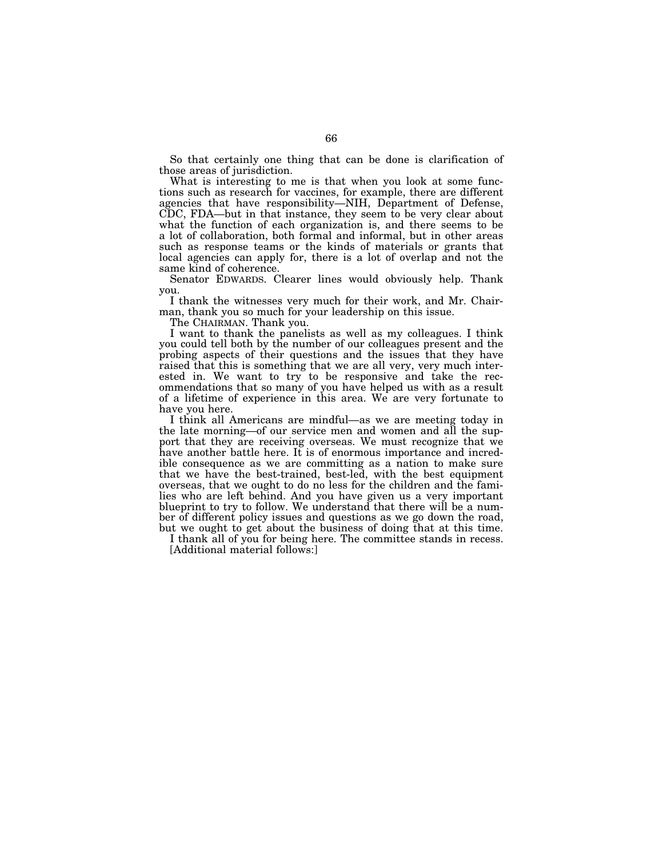So that certainly one thing that can be done is clarification of those areas of jurisdiction.

What is interesting to me is that when you look at some functions such as research for vaccines, for example, there are different agencies that have responsibility—NIH, Department of Defense, CDC, FDA—but in that instance, they seem to be very clear about what the function of each organization is, and there seems to be a lot of collaboration, both formal and informal, but in other areas such as response teams or the kinds of materials or grants that local agencies can apply for, there is a lot of overlap and not the same kind of coherence.

Senator EDWARDS. Clearer lines would obviously help. Thank you.

I thank the witnesses very much for their work, and Mr. Chairman, thank you so much for your leadership on this issue.

The CHAIRMAN. Thank you.

I want to thank the panelists as well as my colleagues. I think you could tell both by the number of our colleagues present and the probing aspects of their questions and the issues that they have raised that this is something that we are all very, very much interested in. We want to try to be responsive and take the recommendations that so many of you have helped us with as a result of a lifetime of experience in this area. We are very fortunate to have you here.

I think all Americans are mindful—as we are meeting today in the late morning—of our service men and women and all the support that they are receiving overseas. We must recognize that we have another battle here. It is of enormous importance and incredible consequence as we are committing as a nation to make sure that we have the best-trained, best-led, with the best equipment overseas, that we ought to do no less for the children and the families who are left behind. And you have given us a very important blueprint to try to follow. We understand that there will be a number of different policy issues and questions as we go down the road, but we ought to get about the business of doing that at this time.

I thank all of you for being here. The committee stands in recess. [Additional material follows:]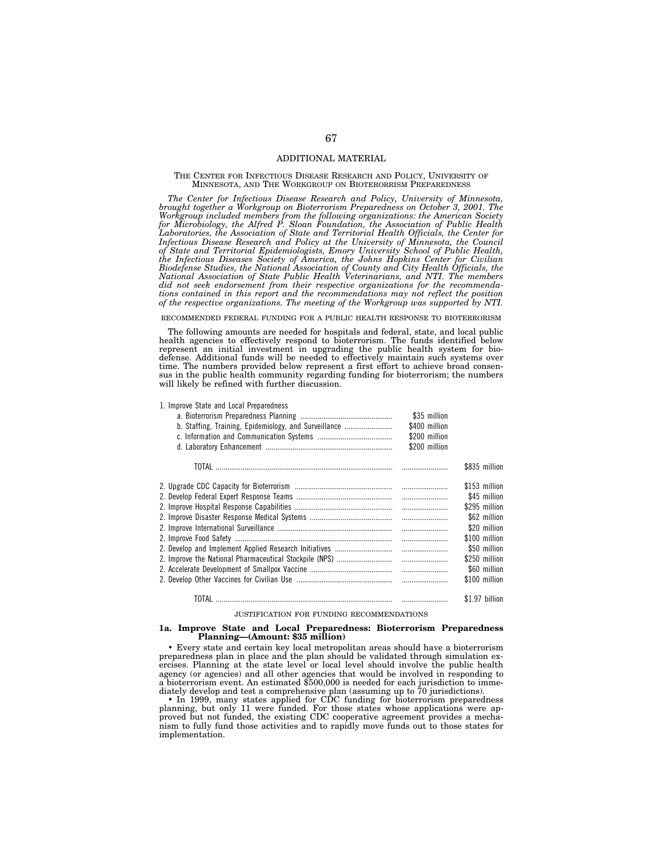## ADDITIONAL MATERIAL

#### THE CENTER FOR INFECTIOUS DISEASE RESEARCH AND POLICY, UNIVERSITY OF MINNESOTA, AND THE WORKGROUP ON BIOTERORRISM PREPAREDNESS

*The Center for Infectious Disease Research and Policy, University of Minnesota, brought together a Workgroup on Bioterrorism Preparedness on October 3, 2001. The Workgroup included members from the following organizations: the American Society for Microbiology, the Alfred P. Sloan Foundation, the Association of Public Health Laboratories, the Association of State and Territorial Health Officials, the Center for Infectious Disease Research and Policy at the University of Minnesota, the Council of State and Territorial Epidemiologists, Emory University School of Public Health, the Infectious Diseases Society of America, the Johns Hopkins Center for Civilian Biodefense Studies, the National Association of County and City Health Officials, the National Association of State Public Health Veterinarians, and NTI. The members did not seek endorsement from their respective organizations for the recommendations contained in this report and the recommendations may not reflect the position of the respective organizations. The meeting of the Workgroup was supported by NTI.*

# RECOMMENDED FEDERAL FUNDING FOR A PUBLIC HEALTH RESPONSE TO BIOTERRORISM

The following amounts are needed for hospitals and federal, state, and local public health agencies to effectively respond to bioterrorism. The funds identified below represent an initial investment in upgrading the public health system for biodefense. Additional funds will be needed to effectively maintain such systems over time. The numbers provided below represent a first effort to achieve broad consensus in the public health community regarding funding for bioterrorism; the numbers will likely be refined with further discussion.

#### 1. Improve State and Local Preparedness

|                                                       | \$35 million  |                |
|-------------------------------------------------------|---------------|----------------|
| b. Staffing, Training, Epidemiology, and Surveillance | \$400 million |                |
|                                                       | \$200 million |                |
|                                                       | \$200 million |                |
|                                                       |               | \$835 million  |
|                                                       |               | \$153 million  |
|                                                       |               | \$45 million   |
|                                                       |               | \$295 million  |
|                                                       |               | \$62 million   |
|                                                       |               | \$20 million   |
|                                                       |               | \$100 million  |
|                                                       |               | \$50 million   |
|                                                       |               | \$250 million  |
|                                                       |               | \$60 million   |
|                                                       |               | \$100 million  |
|                                                       |               | \$1.97 billion |

## JUSTIFICATION FOR FUNDING RECOMMENDATIONS

#### **1a. Improve State and Local Preparedness: Bioterrorism Preparedness Planning—(Amount: \$35 million)**

• Every state and certain key local metropolitan areas should have a bioterrorism preparedness plan in place and the plan should be validated through simulation exercises. Planning at the state level or local level should involve the public health agency (or agencies) and all other agencies that would be involved in responding to a bioterrorism event. An estimated \$500,000 is needed for each jurisdiction to immediately develop and test a comprehensive plan (assuming up to 70 jurisdictions).

• In 1999, many states applied for CDC funding for bioterrorism preparedness planning, but only 11 were funded. For those states whose applications were ap-proved but not funded, the existing CDC cooperative agreement provides a mechanism to fully fund those activities and to rapidly move funds out to those states for implementation.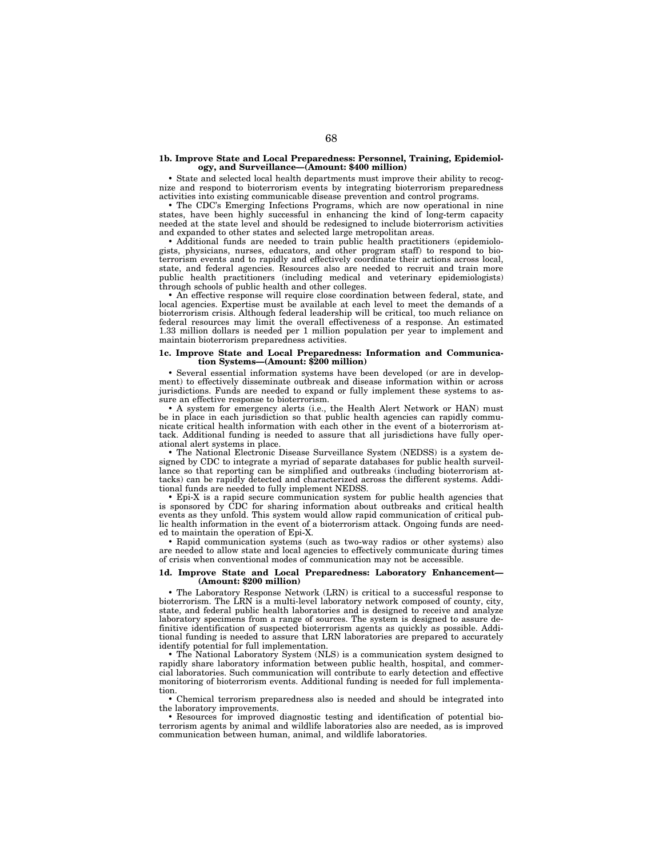## **1b. Improve State and Local Preparedness: Personnel, Training, Epidemiology, and Surveillance—(Amount: \$400 million)**

• State and selected local health departments must improve their ability to recognize and respond to bioterrorism events by integrating bioterrorism preparedness activities into existing communicable disease prevention and control programs.

• The CDC's Emerging Infections Programs, which are now operational in nine states, have been highly successful in enhancing the kind of long-term capacity needed at the state level and should be redesigned to include bioterrorism activities and expanded to other states and selected large metropolitan areas.

• Additional funds are needed to train public health practitioners (epidemiologists, physicians, nurses, educators, and other program staff) to respond to bioterrorism events and to rapidly and effectively coordinate their actions across local, state, and federal agencies. Resources also are needed to recruit and train more public health practitioners (including medical and veterinary epidemiologists) through schools of public health and other colleges.

• An effective response will require close coordination between federal, state, and local agencies. Expertise must be available at each level to meet the demands of a bioterrorism crisis. Although federal leadership will be critical, too much reliance on federal resources may limit the overall effectiveness of a response. An estimated 1.33 million dollars is needed per 1 million population per year to implement and maintain bioterrorism preparedness activities.

## **1c. Improve State and Local Preparedness: Information and Communication Systems—(Amount: \$200 million)**

• Several essential information systems have been developed (or are in development) to effectively disseminate outbreak and disease information within or across jurisdictions. Funds are needed to expand or fully implement these systems to assure an effective response to bioterrorism.

• A system for emergency alerts (i.e., the Health Alert Network or HAN) must be in place in each jurisdiction so that public health agencies can rapidly communicate critical health information with each other in the event of a bioterrorism attack. Additional funding is needed to assure that all jurisdictions have fully operational alert systems in place.

• The National Electronic Disease Surveillance System (NEDSS) is a system designed by CDC to integrate a myriad of separate databases for public health surveillance so that reporting can be simplified and outbreaks (including bioterrorism attacks) can be rapidly detected and characterized across the different systems. Additional funds are needed to fully implement NEDSS.

• Epi-X is a rapid secure communication system for public health agencies that is sponsored by CDC for sharing information about outbreaks and critical health events as they unfold. This system would allow rapid communication of critical public health information in the event of a bioterrorism attack. Ongoing funds are needed to maintain the operation of Epi-X.

• Rapid communication systems (such as two-way radios or other systems) also are needed to allow state and local agencies to effectively communicate during times of crisis when conventional modes of communication may not be accessible.

#### **1d. Improve State and Local Preparedness: Laboratory Enhancement— (Amount: \$200 million)**

• The Laboratory Response Network (LRN) is critical to a successful response to bioterrorism. The LRN is a multi-level laboratory network composed of county, city, state, and federal public health laboratories and is designed to receive and analyze laboratory specimens from a range of sources. The system is designed to assure definitive identification of suspected bioterrorism agents as quickly as possible. Additional funding is needed to assure that LRN laboratories are prepared to accurately identify potential for full implementation.

• The National Laboratory System (NLS) is a communication system designed to rapidly share laboratory information between public health, hospital, and commercial laboratories. Such communication will contribute to early detection and effective monitoring of bioterrorism events. Additional funding is needed for full implementation.

• Chemical terrorism preparedness also is needed and should be integrated into the laboratory improvements.

• Resources for improved diagnostic testing and identification of potential bioterrorism agents by animal and wildlife laboratories also are needed, as is improved communication between human, animal, and wildlife laboratories.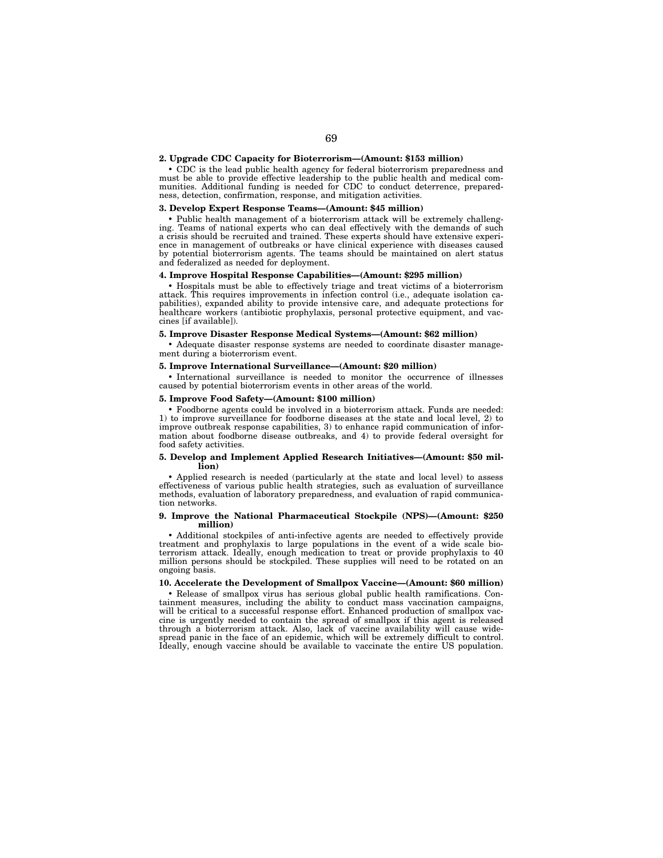## **2. Upgrade CDC Capacity for Bioterrorism—(Amount: \$153 million)**

• CDC is the lead public health agency for federal bioterrorism preparedness and must be able to provide effective leadership to the public health and medical communities. Additional funding is needed for CDC to conduct deterrence, preparedness, detection, confirmation, response, and mitigation activities.

# **3. Develop Expert Response Teams—(Amount: \$45 million)**

• Public health management of a bioterrorism attack will be extremely challenging. Teams of national experts who can deal effectively with the demands of such a crisis should be recruited and trained. These experts should have extensive experience in management of outbreaks or have clinical experience with diseases caused by potential bioterrorism agents. The teams should be maintained on alert status and federalized as needed for deployment.

# **4. Improve Hospital Response Capabilities—(Amount: \$295 million)**

• Hospitals must be able to effectively triage and treat victims of a bioterrorism attack. This requires improvements in infection control (i.e., adequate isolation capabilities), expanded ability to provide intensive care, and adequate protections for healthcare workers (antibiotic prophylaxis, personal protective equipment, and vaccines [if available]).

## **5. Improve Disaster Response Medical Systems—(Amount: \$62 million)**

• Adequate disaster response systems are needed to coordinate disaster management during a bioterrorism event.

## **5. Improve International Surveillance—(Amount: \$20 million)**

• International surveillance is needed to monitor the occurrence of illnesses caused by potential bioterrorism events in other areas of the world.

#### **5. Improve Food Safety—(Amount: \$100 million)**

• Foodborne agents could be involved in a bioterrorism attack. Funds are needed: 1) to improve surveillance for foodborne diseases at the state and local level, 2) to improve outbreak response capabilities, 3) to enhance rapid communication of information about foodborne disease outbreaks, and 4) to provide federal oversight for food safety activities.

#### **5. Develop and Implement Applied Research Initiatives—(Amount: \$50 million)**

• Applied research is needed (particularly at the state and local level) to assess effectiveness of various public health strategies, such as evaluation of surveillance methods, evaluation of laboratory preparedness, and evaluation of rapid communication networks.

#### **9. Improve the National Pharmaceutical Stockpile (NPS)—(Amount: \$250 million)**

• Additional stockpiles of anti-infective agents are needed to effectively provide treatment and prophylaxis to large populations in the event of a wide scale bioterrorism attack. Ideally, enough medication to treat or provide prophylaxis to 40 million persons should be stockpiled. These supplies will need to be rotated on an ongoing basis.

### **10. Accelerate the Development of Smallpox Vaccine—(Amount: \$60 million)**

• Release of smallpox virus has serious global public health ramifications. Containment measures, including the ability to conduct mass vaccination campaigns, will be critical to a successful response effort. Enhanced production of smallpox vaccine is urgently needed to contain the spread of smallpox if this agent is released through a bioterrorism attack. Also, lack of vaccine availability will cause widespread panic in the face of an epidemic, which will be extremely difficult to control. Ideally, enough vaccine should be available to vaccinate the entire US population.